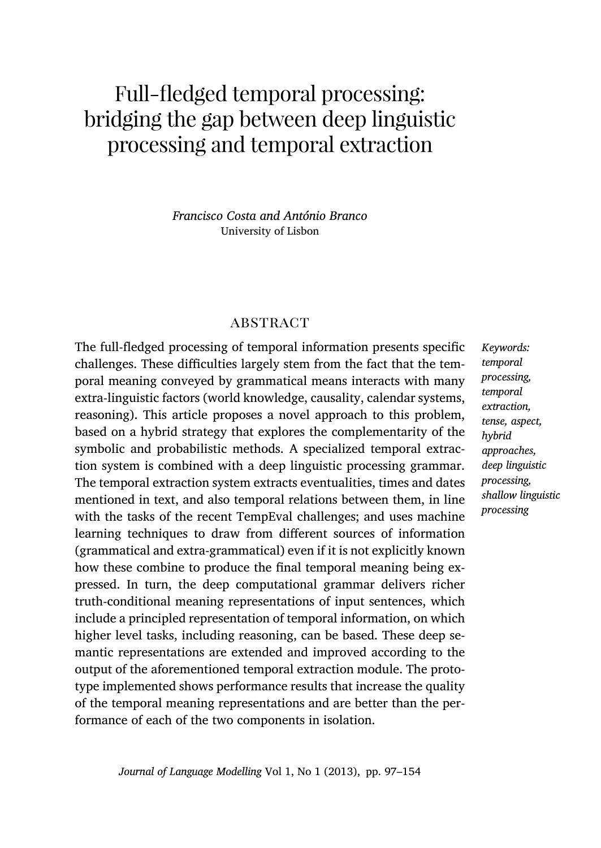# Full-fledged temporal processing: bridging the gap between deep linguistic processing and temporal extraction

*Francisco Costa and António Branco* University of Lisbon

# **ABSTRACT**

The full-fledged processing of temporal information presents specific challenges. These difficulties largely stem from the fact that the temporal meaning conveyed by grammatical means interacts with many extra-linguistic factors (world knowledge, causality, calendar systems, reasoning). This article proposes a novel approach to this problem, based on a hybrid strategy that explores the complementarity of the symbolic and probabilistic methods. A specialized temporal extraction system is combined with a deep linguistic processing grammar. The temporal extraction system extracts eventualities, times and dates mentioned in text, and also temporal relations between them, in line with the tasks of the recent TempEval challenges; and uses machine learning techniques to draw from different sources of information (grammatical and extra-grammatical) even if it is not explicitly known how these combine to produce the final temporal meaning being expressed. In turn, the deep computational grammar delivers richer truth-conditional meaning representations of input sentences, which include a principled representation of temporal information, on which higher level tasks, including reasoning, can be based. Th[ese d](#page-45-0)eep semantic representations are extended and improved according to the output of the aforementioned temporal extraction module. The prototype implemented shows performance results that increase the quality of the temporal meaning representations and are better than the performance of each of the two components in isolation.

*Keywords: temporal processing, temporal extraction, tense, aspect, hybrid approaches, deep linguistic processing, shallow linguistic processing*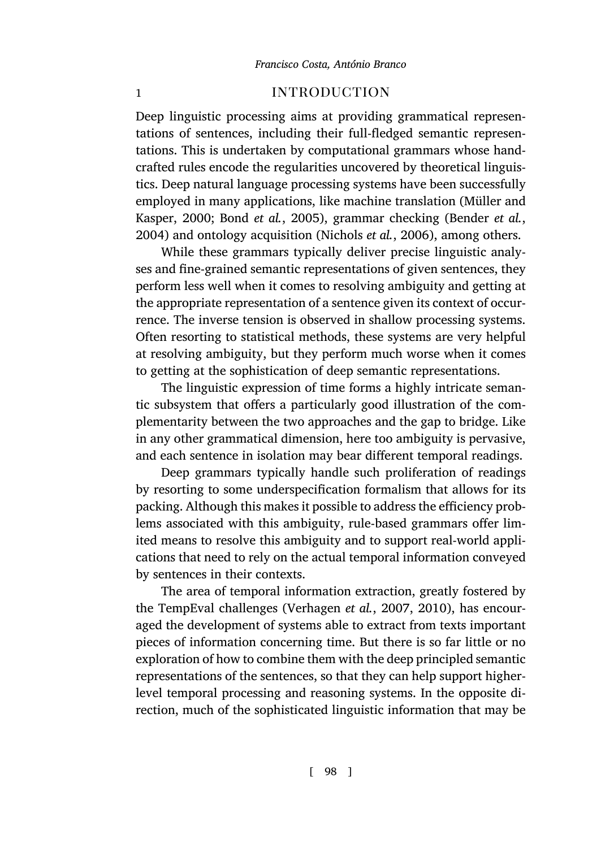# [1](#page-47-1) **[intro](#page-47-0)[duction](#page-53-0)**

Deep linguistic processing aims at providing grammatical representations of sentences, including their full-fledged semantic representations. This is undertaken by computational grammars whose handcrafted rules encode the regularities uncovered by theoretical linguistics. Deep natural language processing systems have been successfully employed in many applications, like machine translation (Müller and Kasper, 2000; Bond *et al.*, 2005), grammar checking (Bender *et al.*, 2004) and ontology acquisition (Nichols *et al.*, 2006), among others.

While these grammars typically deliver precise linguistic analyses and fine-grained semantic representations of given sentences, they perform less well when it comes to resolving ambiguity and getting at the appropriate representation of a sentence given its context of occurrence. The inverse tension is observed in shallow processing systems. Often resorting to statistical methods, these systems are very helpful at resolving ambiguity, but they perform much worse when it comes to getting at the sophistication of deep semantic representations.

The linguistic expression of time forms a highly intricate semantic subsystem that offers a particularly good illustration of the complementarity between the two approaches and the gap to bridge. Like in any other grammatical dimension, here too ambiguity is pervasive, and each sentence in isolation may bear different temporal readings.

Deep grammars typic[ally handle such proli](#page-56-0)f[eratio](#page-56-1)n of readings by resorting to some underspecification formalism that allows for its packing. Although this makes it possible to address the efficiency problems associated with this ambiguity, rule-based grammars offer limited means to resolve this ambiguity and to support real-world applications that need to rely on the actual temporal information conveyed by sentences in their contexts.

The area of temporal information extraction, greatly fostered by the TempEval challenges (Verhagen *et al.*, 2007, 2010), has encouraged the development of systems able to extract from texts important pieces of information concerning time. But there is so far little or no exploration of how to combine them with the deep principled semantic representations of the sentences, so that they can help support higherlevel temporal processing and reasoning systems. In the opposite direction, much of the sophisticated linguistic information that may be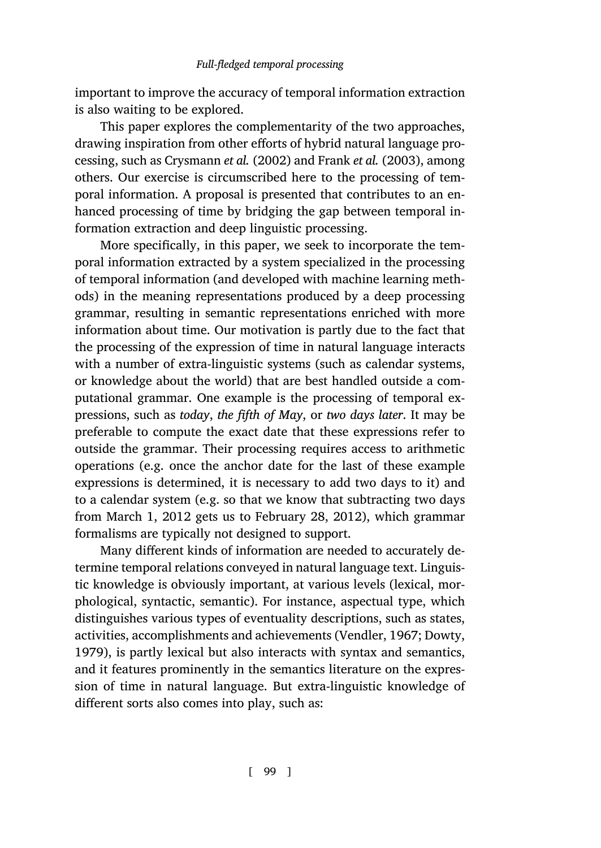important to improve the accuracy of temporal information extraction is also waiting to be explored.

This paper explores the complementarity of the two approaches, drawing inspiration from other efforts of hybrid natural language processing, such as Crysmann *et al.* (2002) and Frank *et al.* (2003), among others. Our exercise is circumscribed here to the processing of temporal information. A proposal is presented that contributes to an enhanced processing of time by bridging the gap between temporal information extraction and deep linguistic processing.

More specifically, in this paper, we seek to incorporate the temporal information extracted by a system specialized in the processing of temporal information (and developed with machine learning methods) in the meaning representations produced by a deep processing grammar, resulting in semantic representations enriched with more information about time. Our motivation is partly due to the fact that the processing of the expression of time in natural language interacts with a number of extra-linguistic systems (such as calendar systems, or knowledge about the world) that are best handled outside a computational grammar. One example is the processing of temporal expressions, such as *today*, *the fifth of May*, or *two days later*. It may be preferable to compute the exact date that these expressions refer to outside the grammar. Their processing requires access to arithmetic operations (e.g. once the anchor date for the last of these example expressions is determined, it is necessary to add two days to it) and to a calendar system (e.g. so that we know th[at subtracting t](#page-56-2)[wo days](#page-50-0) [from](#page-50-0) March 1, 2012 gets us to February 28, 2012), which grammar formalisms are typically not designed to support.

Many different kinds of information are needed to accurately determine temporal relations conveyed in natural language text. Linguistic knowledge is obviously important, at various levels (lexical, morphological, syntactic, semantic). For instance, aspectual type, which distinguishes various types of eventuality descriptions, such as states, activities, accomplishments and achievements (Vendler, 1967; Dowty, 1979), is partly lexical but also interacts with syntax and semantics, and it features prominently in the semantics literature on the expression of time in natural language. But extra-linguistic knowledge of different sorts also comes into play, such as: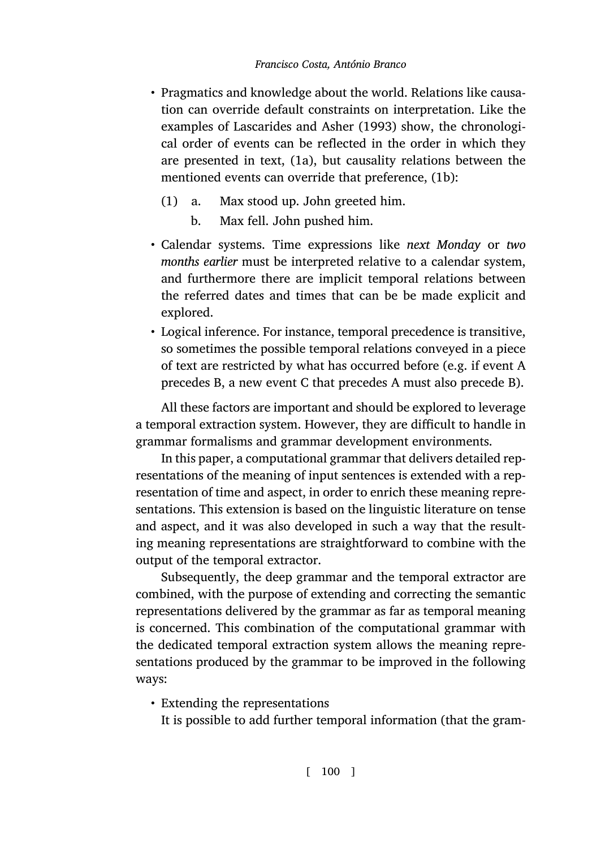- Pragmatics and knowledge about the world. Relations like causation can override default constraints on interpretation. Like the examples of Lascarides and Asher (1993) show, the chronological order of events can be reflected in the order in which they are presented in text, (1a), but causality relations between the mentioned events can override that preference, (1b):
	- (1) a. Max stood up. John greeted him.
		- b. Max fell. John pushed him.
- Calendar systems. Time expressions like *next Monday* or *two months earlier* must be interpreted relative to a calendar system, and furthermore there are implicit temporal relations between the referred dates and times that can be be made explicit and explored.
- Logical inference. For instance, temporal precedence is transitive, so sometimes the possible temporal relations conveyed in a piece of text are restricted by what has occurred before (e.g. if event A precedes B, a new event C that precedes A must also precede B).

All these factors are important and should be explored to leverage a temporal extraction system. However, they are difficult to handle in grammar formalisms and grammar development environments.

In this paper, a computational grammar that delivers detailed representations of the meaning of input sentences is extended with a representation of time and aspect, in order to enrich these meaning representations. This extension is based on the linguistic literature on tense and aspect, and it was also developed in such a way that the resulting meaning representations are straightforward to combine with the output of the temporal extractor.

Subsequently, the deep grammar and the temporal extractor are combined, with the purpose of extending and correcting the semantic representations delivered by the grammar as far as temporal meaning is concerned. This combination of the computational grammar with the dedicated temporal extraction system allows the meaning representations produced by the grammar to be improved in the following ways:

• Extending the representations

It is possible to add further temporal information (that the gram-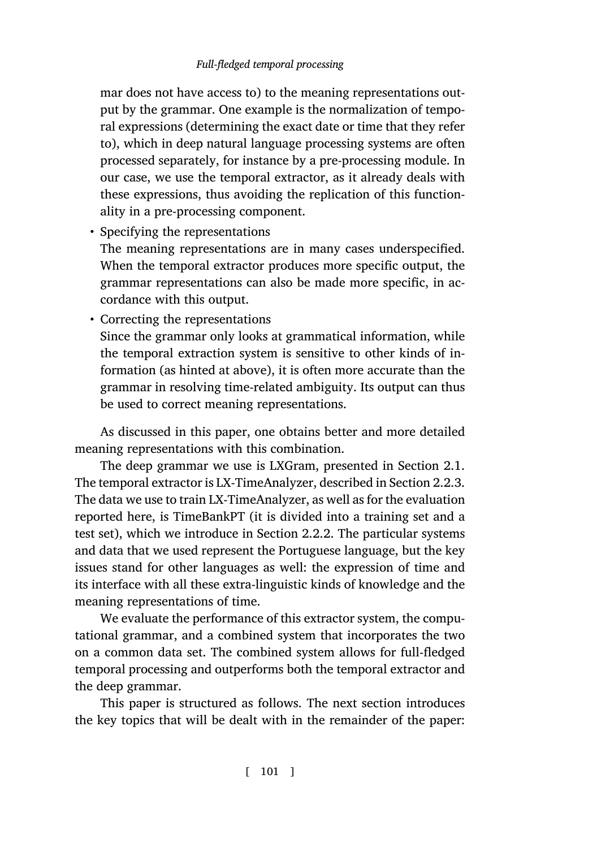mar does not have access to) to the meaning representations output by the grammar. One example is the normalization of temporal expressions (determining the exact date or time that they refer to), which in deep natural language processing systems are often processed separately, for instance by a pre-processing module. In our case, we use the temporal extractor, as it already deals with these expressions, thus avoiding the replication of this functionality in a pre-processing component.

• Specifying the representations

The meaning representations are in many cases underspecified. When the temporal extractor produces more specific output, the grammar representations can also be made more specific, in accordance with this output.

• Correcting the representations

Since the grammar only looks at grammatical information, [while](#page-15-0) the temporal extraction system is sensitive to other kinds of information (as hinted at above), it is often more accurate than the grammar in resolving time-related [ambig](#page-14-0)uity. Its output can thus be used to correct meaning representations.

As discussed in this paper, one obtains better and more detailed meaning representations with this combination.

The deep grammar we use is LXGram, presented in Section 2.1. The temporal extractor is LX-TimeAnalyzer, described in Section 2.2.3. The data we use to train LX-TimeAnalyzer, as well as for the evaluation reported here, is TimeBankPT (it is divided into a training set and a test set), which we introduce in Section 2.2.2. The particular systems and data that we used represent the Portuguese language, but the key issues stand for other languages as well: the expression of time and its interface with all these extra-linguistic kinds of knowledge and the meaning representations of time.

We evaluate the performance of this extractor system, the computational grammar, and a combined system that incorporates the two on a common data set. The combined system allows for full-fledged temporal processing and outperforms both the temporal extractor and the deep grammar.

This paper is structured as follows. The next section introduces the key topics that will be dealt with in the remainder of the paper: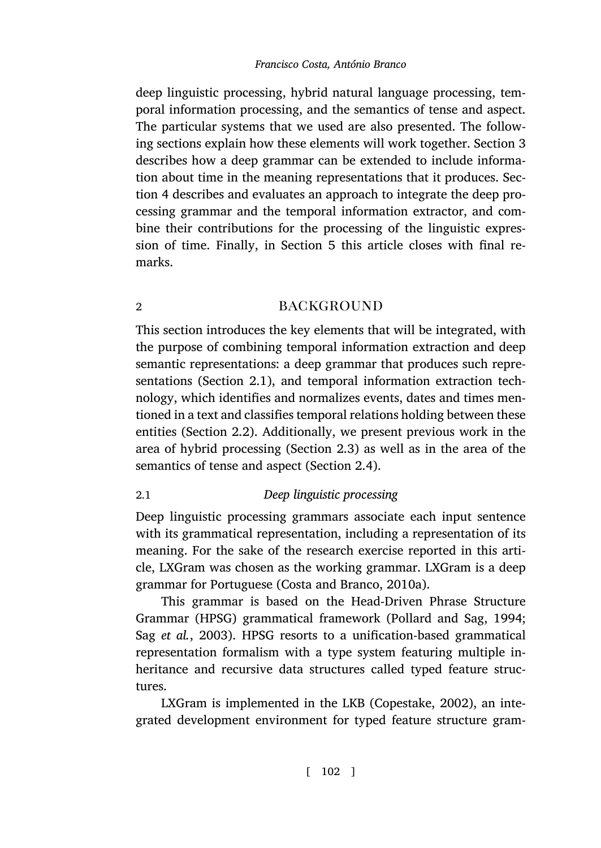deep linguistic processing, hybrid natural language processing, temporal information processing, and [t](#page-45-0)he semantics of tense and aspect. The particular systems that we used are also presented. The following sections explain how these elements will work together. Section 3 describes how a deep grammar can be extended to include information about time in the meaning representations that it produces. Section 4 describes and evaluates an approach to integrate the deep processing grammar and the temporal information extractor, and combine their contributions for the processing of the linguistic expression of time. Finall[y, i](#page-5-0)n Section 5 this article closes with final remarks.

# 2 backg[rou](#page-18-0)nd

<span id="page-5-0"></span>This section introduces the key elemen[ts th](#page-20-0)at will be integrated, with the purpose of combining temporal information extraction and deep semantic representations: a deep grammar that produces such representations (Section 2.1), and temporal information extraction technology, which identifies and normalizes events, dates and times mentioned in a text and classifies temporal relations holding between these entities (Section 2.2). Additionally, we present previous work in the area of hybrid processing [\(Section](#page-48-0) 2.3) as [well as](#page-48-0) in the area of the semantics of tense and aspect (Section 2.4).

### [2.1](#page-54-0) *Deep linguistic processing*

Deep linguistic processing grammars associate each input sentence with its grammatical representation, including a representation of its meaning. For the sake of the research exercise reported in this article, LXGram was chosen as the working g[rammar. LXGram](#page-48-1) is a deep grammar for Portuguese (Costa and Branco, 2010a).

This grammar is based on the Head-Driven Phrase Structure Grammar (HPSG) grammatical framework (Pollard and Sag, 1994; Sag *et al.*, 2003). HPSG resorts to a unification-based grammatical representation formalism with a type system featuring multiple inheritance and recursive data structures called typed feature structures.

LXGram is implemented in the LKB (Copestake, 2002), an integrated development environment for typed feature structure gram-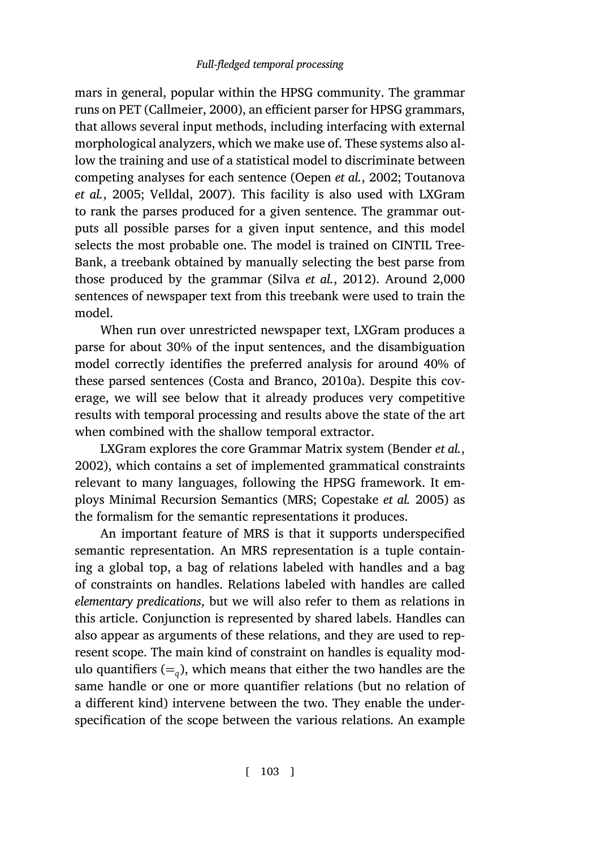mars in general, popular within the HPSG community. The grammar runs on PET (Callmeier, 2000), an efficient parser for HPSG grammars, that allows several input methods, including interfacing with external morphological analyzers, which we [make use o](#page-55-1)f. [These](#page-55-1) systems also allow the training and use of a statistical model to discriminate between competing analyses for each sentence (Oepen *et al.*, 2002; Toutanova *et al.*, 2005; Velldal, 2007). This facility is also used with LXGram to rank the parses produced for a given sentence. The grammar outputs all possible parses for a given input sentence, and this model selects the most probabl[e one. The model](#page-48-0) i[s traine](#page-48-0)d on CINTIL Tree-Bank, a treebank obtained by manually selecting the best parse from those produced by the grammar (Silva *et al.*, 2012). Around 2,000 sentences of newspaper text from this treebank were use[d to train the](#page-46-0) model.

[W](#page-46-0)hen run over unrestricted newspaper text, LXGram produces a parse for about 30% of the input sentences, and the disambiguation model correctly identifies the preferred an[alysis for around 40%](#page-48-2) of these parsed sentences (Costa and Branco, 2010a). Despite this coverage, we will see below that it already produces very competitive results with temporal processing and results above the state of the art when combined with the shallow temporal extractor.

LXGram explores the core Grammar Matrix system (Bender *et al.*, 2002), which contains a set of implemented grammatical constraints relevant to many languages, following the HPSG framework. It employs Minimal Recursion Semantics (MRS; Copestake *et al.* 2005) as the formalism for the semantic representations it produces.

An important feature of MRS is that it supports underspecified semantic representation. An MRS representation is a tuple containing a global top, a bag of relations labeled with handles and a bag of constraints on handles. Relations labeled with handles are called *elementary predications*, but we will also refer to them as relations in this article. Conjunction is represented by shared labels. Handles can also appear as arguments of these relations, and they are used to represent scope. The main kind of constraint on handles is equality modulo quantifiers  $(=_q)$ , which means that either the two handles are the same handle or one or more quantifier relations (but no relation of a different kind) intervene between the two. They enable the underspecification of the scope between the various relations. An example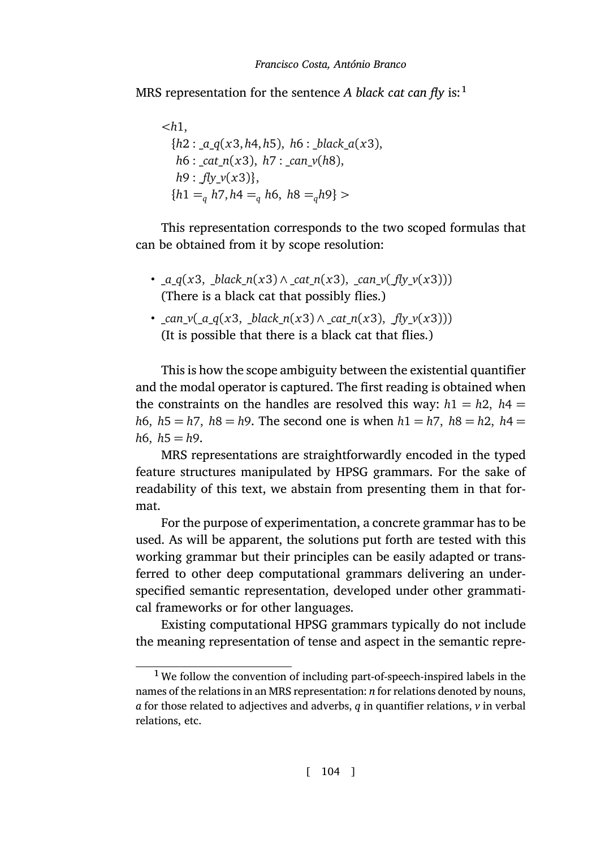MRS representation for the sentence *A black cat can fly* is:<sup>1</sup>

*<h*1, *{h*2 : \_*a*\_*q*(*x*3, *h*4, *h*5), *h*6 : \_*black*\_*a*(*x*3), *h*6 : \_*cat*\_*n*(*x*3), *h*7 : \_*can*\_*v*(*h*8), *h*9 : \_*fly*\_*v*(*x*3)*}*, *{h*1 =*<sup>q</sup> h*7, *h*4 =*<sup>q</sup> h*6, *h*8 =*qh*9*} >*

This representation corresponds to the two scoped formulas that can be obtained from it by scope resolution:

- \_*a*\_*q*(*x*3, \_*black*\_*n*(*x*3) *∧* \_*cat*\_*n*(*x*3), \_*can*\_*v*(\_*fly*\_*v*(*x*3))) (There is a black cat that possibly flies.)
- \_*can*\_*v*(\_*a*\_*q*(*x*3, \_*black*\_*n*(*x*3) *∧* \_*cat*\_*n*(*x*3), \_*fly*\_*v*(*x*3))) (It is possible that there is a black cat that flies.)

This is how the scope ambiguity between the existential quantifier and the modal operator is captured. The first reading is obtained when the constraints on the handles are resolved this way:  $h1 = h2$ ,  $h4 =$ *h*6, *h*5 = *h*7, *h*8 = *h*9. The second one is when *h*1 = *h*7, *h*8 = *h*2, *h*4 = *h*6,  $h5 = h9$ .

MRS representations are straightforwardly encoded in the typed feature structures manipulated by HPSG grammars. For the sake of readability of this text, we abstain from presenting them in that format.

For the purpose of experimentation, a concrete grammar has to be used. As will be apparent, the solutions put forth are tested with this working grammar but their principles can be easily adapted or transferred to other deep computational grammars delivering an underspecified semantic representation, developed under other grammatical frameworks or for other languages.

Existing computational HPSG grammars typically do not include the meaning representation of tense and aspect in the semantic repre-

<sup>&</sup>lt;sup>1</sup> We follow the convention of including part-of-speech-inspired labels in the names of the relations in an MRS representation: *n* for relations denoted by nouns, *a* for those related to adjectives and adverbs, *q* in quantifier relations, *v* in verbal relations, etc.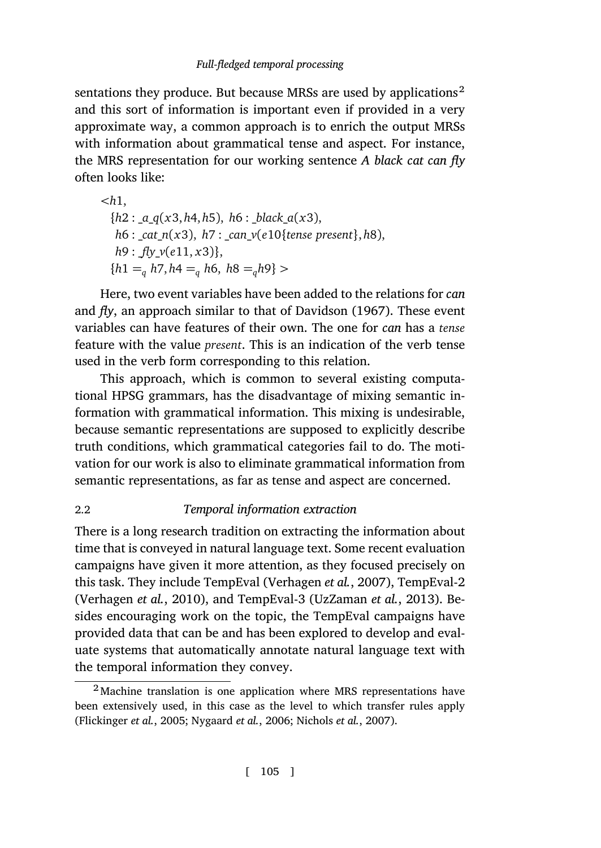sentations they produce. But because MRSs are used by applications<sup>2</sup> and this sort of information is important even if provided in a very approximate way, a common approach is to enrich the output MRSs with information about grammatical tense and aspect. For instance, the MRS representation for our worki[ng sentenc](#page-49-0)e *[A bla](#page-49-0)ck cat can fly* often looks like:

*<h*1, *{h*2 : \_*a*\_*q*(*x*3, *h*4, *h*5), *h*6 : \_*black*\_*a*(*x*3), *h*6 : \_*cat*\_*n*(*x*3), *h*7 : \_*can*\_*v*(*e*10*{tense present}*, *h*8), *h*9 : \_*fly*\_*v*(*e*11, *x*3)*}*, *{h*1 =*<sup>q</sup> h*7, *h*4 =*<sup>q</sup> h*6, *h*8 =*qh*9*} >*

Here, two event variables have been added to the relations for *can* and *fly*, an approach similar to that of Davidson (1967). These event variables can have features of their own. The one for *can* has a *tense* feature with the value *present*. This is an indication of the verb tense used in the verb form corresponding to this relation.

This approach, which is common to several existing computational HPSG grammars, has the disadvantage of mixing semantic information with grammatical information. This mixing is undesirable, because semantic representations are supposed to explicitly describe truth conditions, which grammati[cal categories fail to](#page-56-0) do. The moti[vation for our w](#page-56-1)o[rk is a](#page-56-1)lso to eliminate gra[mmatical information](#page-55-2) from semantic representations, as far as tense and aspect are concerned.

### 2.2 *Temporal information extraction*

There is a long research tradition on extracting the information about time that is conveyed in natural language text. Some recent evaluation campaigns have given it more attention, as they focused precisely on [this task. They inclu](#page-50-1)[de TempEval \(Verh](#page-53-1)agen *[et al.](#page-53-2)*, 2[007\)](#page-53-2), TempEval-2 (Verhagen *et al.*, 2010), and TempEval-3 (UzZaman *et al.*, 2013). Besides encouraging work on the topic, the TempEval campaigns have provided data that can be and has been explored to develop and evaluate systems that automatically annotate natural language text with the temporal information they convey.

<sup>2</sup> Machine translation is one application where MRS representations have been extensively used, in this case as the level to which transfer rules apply (Flickinger *et al.*, 2005; Nygaard *et al.*, 2006; Nichols *et al.*, 2007).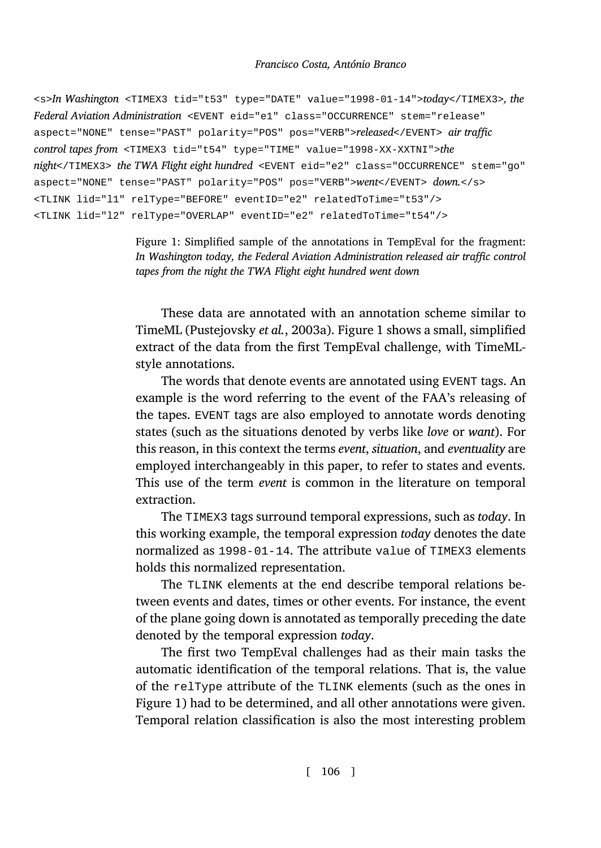```
<s>In Washington <TIMEX3 tid="t53" type="DATE" value="1998-01-14">today</TIMEX3>, the
Federal Aviation Administration <EVENT eid="e1" class="OCCURRENCE" stem="release"
aspect="NONE" tense="PAST" polarity="POS" pos="VERB">released</EVENT> air traffic
control tapes from <TIMEX3 tid="t54" type="TIME" value="1998-XX-XXTNI">the
night</TIMEX3> the TWA Flight eight hundred <EVENT eid="e2" class="OCCURRENCE" stem="go"
aspect="NONE" tense="PAST" polarity="POS" pos="VERB">went</EVENT> down.</s>
<TLINK lid="l1" relType="BEFORE" eventID="e2" relatedToTime="t53"/>
<TLINK lid="l2" relType="OVERLAP" eventID="e2" relatedToTime="t54"/>
```
Figure 1: Simplified sample of the annotations in TempEval for the fragment: *In Washington today, the Federal Aviation Administration released air traffic control tapes from the night the TWA Flight eight hundred went down*

These data are annotated with an annotation scheme similar to TimeML (Pustejovsky *et al.*, 2003a). Figure 1 shows a small, simplified extract of the data from the first TempEval challenge, with TimeMLstyle annotations.

The words that denote events are annotated using EVENT tags. An example is the word referring to the event of the FAA's releasing of the tapes. EVENT tags are also employed to annotate words denoting states (such as the situations denoted by verbs like *love* or *want*). For this reason, in this context the terms *event*, *situation*, and *eventuality* are employed interchangeably in this paper, to refer to states and events. This use of the term *event* is common in the literature on temporal extraction.

The TIMEX3 tags surround temporal expressions, such as *today*. In this working example, the temporal expression *today* denotes the date normalized as 1998-01-14. The attribute value of TIMEX3 elements holdst[hi](#page-9-0)s normalized representation.

The TLINK elements at the end describe temporal relations between events and dates, times or other events. For instance, the event of the plane going down is annotated as temporally preceding the date denoted by the temporal expression *today*.

The first two TempEval challenges had as their main tasks the automatic identification of the temporal relations. That is, the value of the relType attribute of the TLINK elements (such as the ones in Figure 1) had to be determined, and all other annotations were given. Temporal relation classification is also the most interesting problem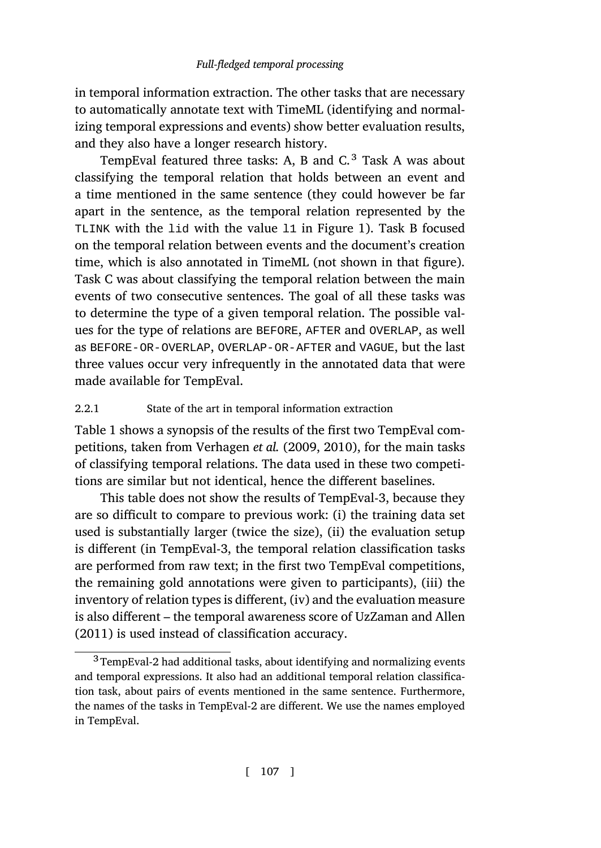in temporal information extraction. The other task[s t](#page-9-0)hat are necessary to automatically annotate text with TimeML (identifying and normalizing temporal expressions and events) show better evaluation results, and they also have a longer research history.

TempEval featured three tasks: A, B and  $C<sup>3</sup>$  Task A was about classifying the temporal relation that holds between an event and a time mentioned in the same sentence (they could however be far apart in the sentence, as the temporal relation represented by the TLINK with the lid with the value l1 in Figure 1). Task B focused on the temporal relation between events and the document's creation time, which is also annotated in TimeML (not shown in that figure). Task C was about classifying the temporal relation between the main event[s o](#page-11-0)f two consecutive sentences. The goal of all these tasks was to determine the typ[e of a given temporal](#page-56-3)r[elatio](#page-56-1)n. The possible values for the type of relations are BEFORE, AFTER and OVERLAP, as well as BEFORE-OR-OVERLAP, OVERLAP-OR-AFTER and VAGUE, but the last three values occur very infrequently in the annotated data that were made available for TempEval.

# 2.2.1 State of the art in temporal information extraction

Table 1 shows a synopsis of the results of the first two TempEval competitions, taken from Verhagen *et al.* (2009, 2010), for the main tasks of classifying temporal relations. The data used in these two competitions are similar but not identical, hence the diffe[rent baselines.](#page-55-3)

[Th](#page-55-3)is table does not show the results of TempEval-3, because they are so difficult to compare to previous work: (i) the training data set used is substantially larger (twice the size), (ii) the evaluation setup is different (in TempEval-3, the temporal relation classification tasks are performed from raw text; in the first two TempEval competitions, the remaining gold annotations were given to participants), (iii) the inventory of relation types is different, (iv) and the evaluation measure is also different – the temporal awareness score of UzZaman and Allen (2011) is used instead of classification accuracy.

<sup>&</sup>lt;sup>3</sup> TempEval-2 had additional tasks, about identifying and normalizing events and temporal expressions. It also had an additional temporal relation classification task, about pairs of events mentioned in the same sentence. Furthermore, the names of the tasks in TempEval-2 are different. We use the names employed in TempEval.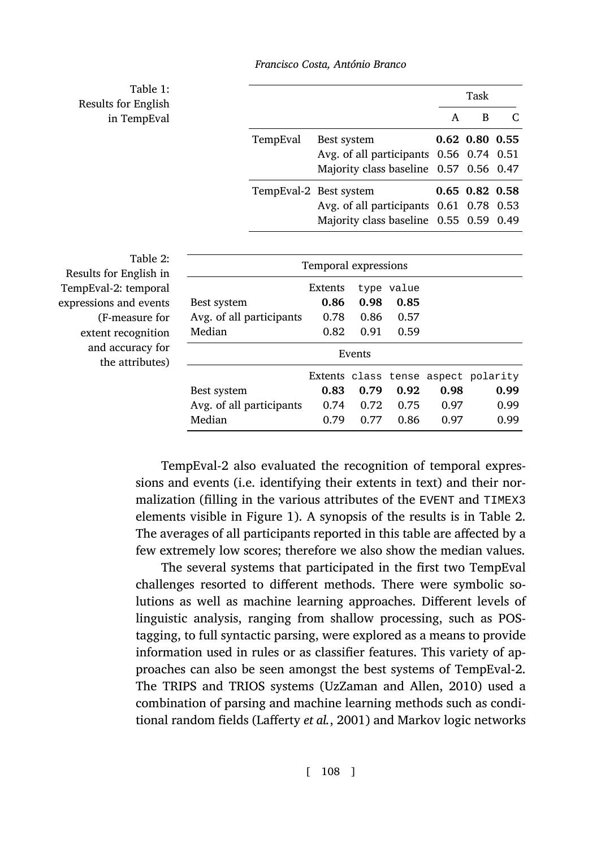<span id="page-11-1"></span><span id="page-11-0"></span>Table 1: Results for English in TempEval

|          |                                         |   | Task                 |  |
|----------|-----------------------------------------|---|----------------------|--|
|          |                                         | A | в                    |  |
| TempEval | Best system                             |   | $0.62$ $0.80$ $0.55$ |  |
|          | Avg. of all participants 0.56 0.74 0.51 |   |                      |  |
|          | Majority class baseline 0.57 0.56 0.47  |   |                      |  |
|          | TempEval-2 Best system                  |   | $0.65$ $0.82$ $0.58$ |  |
|          | Avg. of all participants 0.61 0.78 0.53 |   |                      |  |
|          | Majority class baseline 0.55 0.59 0.49  |   |                      |  |

Table 2: Results for English in TempEval-2: temporal expressions and events (F-measure for extent recognition and accuracy for the attributes)

| Temporal expressions |      |       |      |                                     |  |  |
|----------------------|------|-------|------|-------------------------------------|--|--|
| Extents              | type | value |      |                                     |  |  |
| 0.86                 | 0.98 | 0.85  |      |                                     |  |  |
| 0.78                 | 0.86 | 0.57  |      |                                     |  |  |
| 0.82                 | 0.91 | 0.59  |      |                                     |  |  |
| Events               |      |       |      |                                     |  |  |
|                      |      |       |      |                                     |  |  |
| 0.83                 | 0.79 | 0.92  | 0.98 | 0.99                                |  |  |
| 0.74                 | 0.72 | 0.75  | 0.97 | 0.99                                |  |  |
| 0.79                 | 0.77 | 0.86  | 0.97 | 0.99                                |  |  |
|                      |      |       |      | Extents class tense aspect polarity |  |  |

TempEval-2 also evaluated the recognition of temporal expressions and events (i.e. identifying their extents in text) and their normalization (filling in the various attributes of the EVENT and TIMEX3 elements visible in Figure 1). A synopsis of the results is in Table 2. The averages of all participants reported in this table are affected by a few extremely low scores; theref[ore we also show the](#page-55-4) [median](#page-55-4) values.

The several systems that participated in the first two TempEval challenges resortedt[o different method](#page-52-0)s. There were symbolic solutions as well as machine learning approaches. Different levels of linguistic analysis, ranging from shallow processing, such as POStagging, to full syntactic parsing, were explored as a means to provide information used in rules or as classifier features. This variety of approaches can also be seen amongst the best systems of TempEval-2. The TRIPS and TRIOS systems (UzZaman and Allen, 2010) used a combination of parsing and machine learning methods such as conditional random fields (Lafferty *et al.*, 2001) and Markov logic networks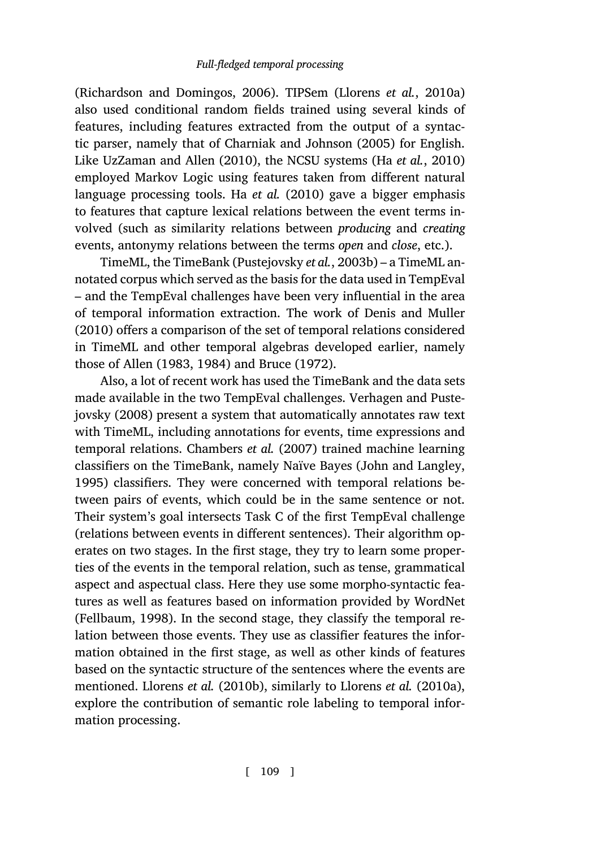(Richardson and Domingos, 2006). TIPSem (Llorens *et al.*, 2010a) also used conditional random fields trained using several kinds of features, including features [extracted from the outp](#page-54-2)ut of a syntactic parser, namely that of Charniak and Johnson (2005) for English. Like UzZaman and Allen (2010), the NCSU systems (Ha *et al.*, 2010) employed Markov Logic using features taken fro[m different natural](#page-50-2) l[angua](#page-50-2)ge processing tools. Ha *et al.* (2010) gave a bigger emphasis to features that capture lexical relations between the event terms involved([such](#page-46-1) a[s sim](#page-46-1)i[larity](#page-46-2) relat[ions b](#page-47-2)e[tween](#page-47-2) *producing* and *creating* events, antonymy relations between the terms *open* and *close*, etc.).

TimeML, the TimeBank (Pustejovsky *et al.*, 2[003b\) – a TimeML an](#page-56-4)[notated corpu](#page-56-4)s which served as the basis for the data used in TempEval – and the TempEval challenges have been very influential in the area of temporal inform[ation extraction](#page-48-3). [The](#page-48-3) work of Denis and Muller (2010) offers a comparison of the set of temporal r[elations considered](#page-51-1) [in Tim](#page-51-1)eML and other temporal algebras developed earlier, namely those of Allen (1983, 1984) and Bruce (1972).

Also, a lot of recent work has used the TimeBank and the data sets made available in the two TempEval challenges. Verhagen and Pustejovsky (2008) present a system that automatically annotates raw text with TimeML, including annotations for events, time expressions and temporal relations. Chambers *et al.* (2007) trained machine learning classifiers on the TimeBank, namely Naïve Bayes (John and Langley, [1995\) classifiers.](#page-50-3) They were concerned with temporal relations between pairs of events, which could be in the same sentence or not. Their system's goal intersects Task C of the first TempEval challenge (relations between events in different sentences). Their algorithm operates on t[wo stages. In t](#page-52-1)h[e first s](#page-52-1)tage, they try [to learn som](#page-52-2)e [proper](#page-52-2)ties of the events in the temporal relation, such as tense, grammatical aspect and aspectual class. Here they use some morpho-syntactic features as well as features based on information provided by WordNet (Fellbaum, 1998). In the second stage, they classify the temporal relation between those events. They use as classifier features the information obtained in the first stage, as well as other kinds of features based on the syntactic structure of the sentences where the events are mentioned. Llorens *et al.* (2010b), similarly to Llorens *et al.* (2010a), explore the contribution of semantic role labeling to temporal information processing.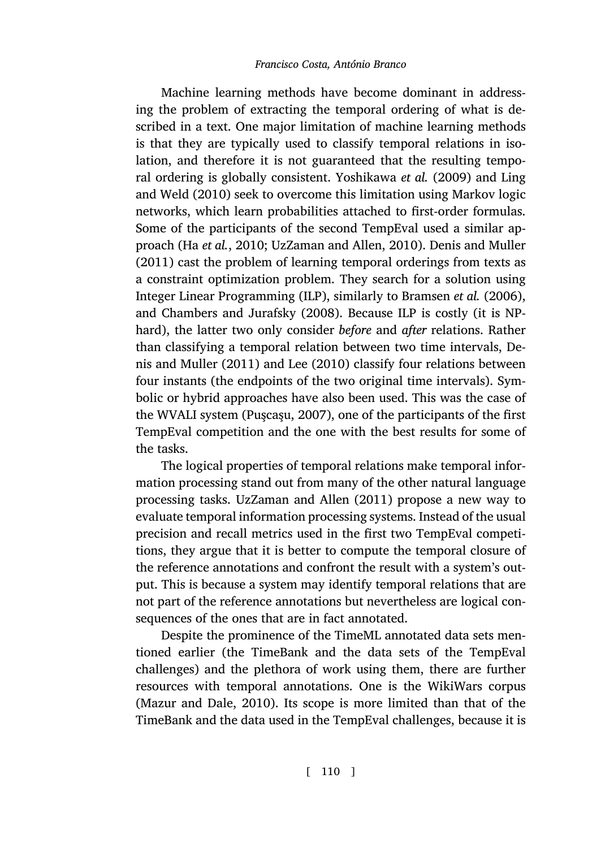Machine learning methods have become dominant in addressing the [problem of ext](#page-51-0)[racting the tempora](#page-55-4)l [order](#page-55-4)i[ng of what is de](#page-50-4)s[cribed](#page-50-4) in a text. One major limitation of machine learning methods is that they are typically used to classify temporal relations in isolation, and therefore it is not guaranteed tha[t the resulting tempo](#page-47-3)ral [ordering is globally consistent.](#page-48-4) Yoshikawa *et al.* (2009) and Ling and Weld (2010) seek to overcome this limitation using Markov logic networks, which learn probabilities attached to first-order form[ulas.](#page-50-4) [Some of the participa](#page-50-4)nts o[f th](#page-52-3)e [secon](#page-52-3)d TempEval used a similar approach (Ha *et al.*, 2010; UzZaman and Allen, 2010). Denis and Muller (2011) cast the problem of learning temporal orderings from texts as a constraint optimi[zation p](#page-54-3)r[oblem](#page-54-3). They search for a solution using Integer Linear Programming (ILP), similarly to Bramsen *et al.* (2006), and Chambers and Jurafsky (2008). Because ILP is costly (it is NPhard), the latter two only consider *before* and *after* relations. Rather than classifying a temporal relation between two time intervals, Denis and Muller (2[011\) and](#page-55-3) Lee (2010) [classif](#page-55-3)y four relations between four instants (the endpoints of the two original time intervals). Symbolic or hybrid approaches have also been used. This was the case of the WVALI system (Puşcaşu, 2007), one of the participants of the first TempEval competition and the one with the best results for some of the tasks.

The logical properties of temporal relations make temporal information processing stand out from many of the other natural language processing tasks. UzZaman and Allen (2011) propose a new way to evaluate temporal information processing systems. Instead of the usual precision and recall metrics used in the first two TempEval competitions, they argue that it is better to compute the temporal closure of t[he reference ann](#page-52-4)o[tation](#page-52-4)s and confront the result with a system's output. This is because a system may identify temporal relations that are not part of the reference annotations but nevertheless are logical consequences of the ones that are in fact annotated.

Despite the prominence of the TimeML annotated data sets mentioned earlier (the TimeBank and the data sets of the TempEval challenges) and the plethora of work using them, there are further resources with temporal annotations. One is the WikiWars corpus (Mazur and Dale, 2010). Its scope is more limited than that of the TimeBank and the data used in the TempEval challenges, because it is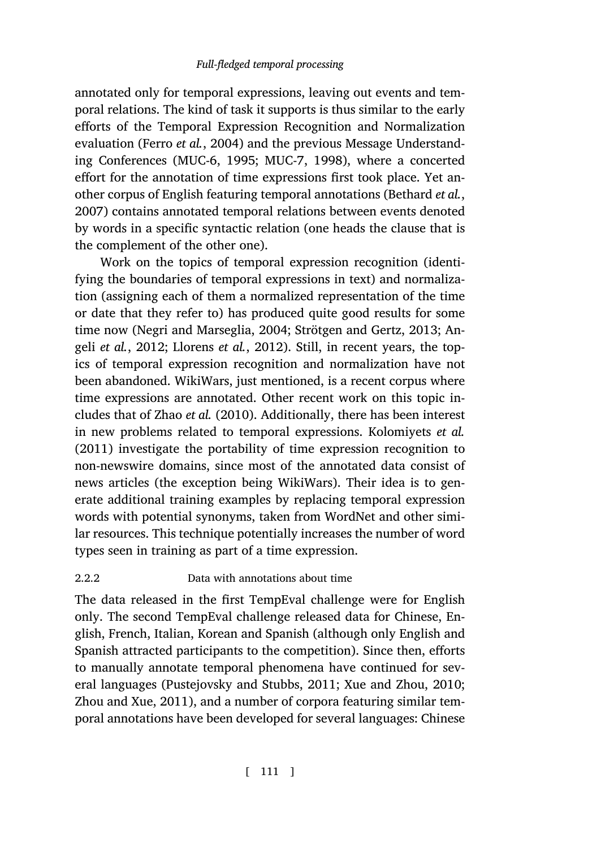annotated only for temporal expressions, leaving out events and temporal relations. The kind of task it supports is thus similar to the early efforts of the Temporal Expression Recognition and Normalization evaluation (Ferro *et al.*, 2004) and the previous Message Understanding Conferences (MUC-6, 1995; MUC-7, 1998), where a concerted effort for the annotation of time expressions first took place. Yet another corp[us of English featuring temp](#page-53-3)[oral annotations \(Be](#page-55-5)t[hard](#page-55-5) *et [al.](#page-46-3)*, [2007\) contains a](#page-46-3)[nnotated temporal re](#page-52-5)lations between events denoted by words in a specific syntactic relation (one heads the clause that is the complement of the other one).

Work on the topics of temporal expression recognition (identifying the bou[ndaries of tempor](#page-56-5)al expressions in text) and normalization (assigning each of them a normalized represen[tation of the time](#page-51-2) [or dat](#page-51-2)e that they refer to) has produced quite good results for some time now (Negri and Marseglia, 2004; Strötgen and Gertz, 2013; Angeli *et al.*, 2012; Llorens *et al.*, 2012). Still, in recent years, the topics of temporal expression recognition and normalization have not been abandoned. WikiWars, just mentioned, is a recent corpus where time expressions are annotated. Other recent work on this topic includes that of Zhao *et al.* (2010). Additionally, there has been interest in new problems related to temporal expressions. Kolomiyets *et al.* (2011) investigate the portability of time expression recognition to non-newswire domains, since most of the annotated data consist of news articles (the exception being WikiWars). Their idea is to generate additional training examples by replacing temporal expression words with potential synonyms, taken from WordNet and other similar resources. This technique potentially increas[es the number of word](#page-56-6) [types seen in tra](#page-57-0)[ining as part of a time express](#page-54-4)ion.

### <span id="page-14-0"></span>2.2.2 Data with annotations about time

The data released in the first TempEval challenge were for English only. The second TempEval challenge released data for Chinese, English, French, Italian, Korean and Spanish (although only English and Spanish attracted participants to the competition). Since then, efforts to manually annotate temporal phenomena have continued for several languages (Pustejovsky and Stubbs, 2011; Xue and Zhou, 2010; Zhou and Xue, 2011), and a number of corpora featuring similar temporal annotations have been developed for several languages: Chinese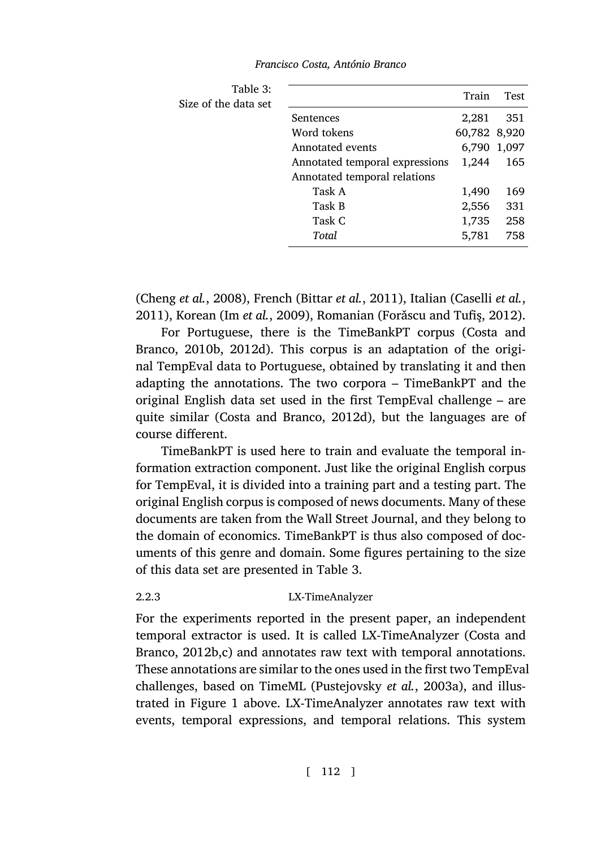<span id="page-15-1"></span>

| Table 3:<br>Size of the data set |                                | Train        | Test |
|----------------------------------|--------------------------------|--------------|------|
|                                  | Sentences                      | 2,281        | 351  |
|                                  | Word tokens                    | 60,782 8,920 |      |
|                                  | Annotated events               | 6,790 1,097  |      |
|                                  | Annotated temporal expressions | 1,244        | 165  |
|                                  | Annotated temporal relations   |              |      |
|                                  | Task A                         | 1,490        | 169  |
|                                  | Task B                         | 2,556        | 331  |
|                                  | Task C                         | 1,735        | 258  |
|                                  | Total                          | 5,781        | 758  |
|                                  |                                |              |      |

(Cheng *et al.*, 2008), French (Bittar *et al.*, 2011), Italian (Caselli *et al.*, 2011), Korean (Im *et al.*, 2009), Romanian (Forǎscu and Tufiş, 2012).

For Portuguese, there is the TimeBankPT corpus (Costa and Branco, 2010b, 2012d). This corpus is an adaptation of the original TempEval data to Portuguese, obtained by translating it and then adapting the annotations. The two corpora – TimeBankPT and the original English data set used in the first TempEval challenge – are quite similar (Costa and Branco, 20[12](#page-15-1)d), but the languages are of course different.

<span id="page-15-0"></span>TimeBankPT is used here to train and evaluate the temporal information extraction component. Just like the original English corpus for TempEval, it is divided into a training part and a testing part. The original English corpus is composed of news documents. Ma[ny of these](#page-49-1) [documents are](#page-49-1) [ta](#page-49-2)ken from the Wall Street Journal, and they belong to the domain of economics. TimeBankPT is thus also composed of documents of this genre and domai[n. Some figures pertaining](#page-54-1) to the size of this data set a[re](#page-9-0) presented in Table 3.

### 2.2.3 LX-TimeAnalyzer

For the experiments reported in the present paper, an independent temporal extractor is used. It is called LX-TimeAnalyzer (Costa and Branco, 2012b,c) and annotates raw text with temporal annotations. These annotations are similar to the ones used in the first two TempEval challenges, based on TimeML (Pustejovsky *et al.*, 2003a), and illustrated in Figure 1 above. LX-TimeAnalyzer annotates raw text with events, temporal expressions, and temporal relations. This system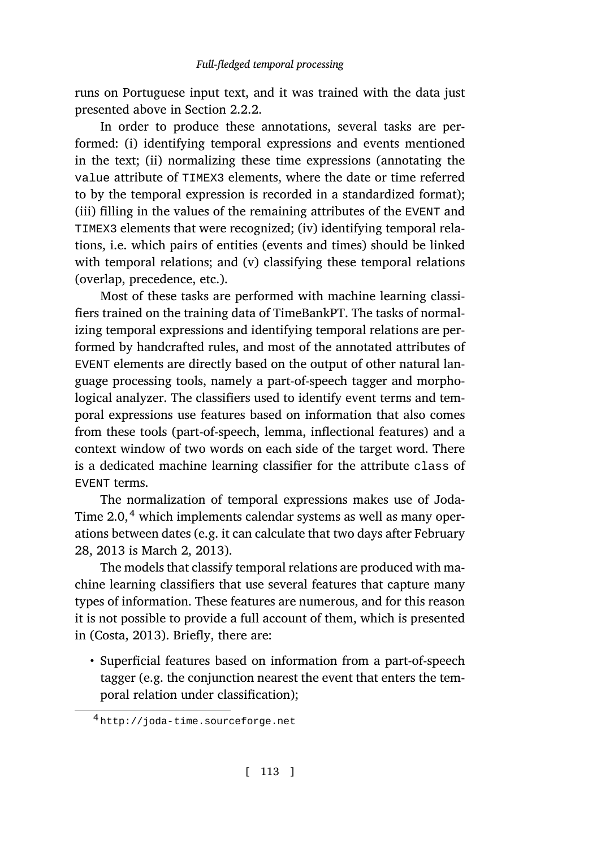runs on Portuguese input text, and it was trained with the data just presented above in Section 2.2.2.

In order to produce these annotations, several tasks are performed: (i) identifying temporal expressions and events mentioned in the text; (ii) normalizing these time expressions (annotating the value attribute of TIMEX3 elements, where the date or time referred to by the temporal expression is recorded in a standardized format); (iii) filling in the values of the remaining attributes of the EVENT and TIMEX3 elements that were recognized; (iv) identifying temporal relations, i.e. which pairs of entities (events and times) should be linked with temporal relations; and (v) classifying these temporal relations (overlap, precedence, etc.).

Most of these tasks are performed with machine learning classifiers trained on the training data of TimeBankPT. The tasks of normalizing temporal expressions and identifying temporal relations are performed by handcrafted rules, and most of the annotated attributes of EVENT elements are directly based on the output of other natural language processing tools, namely a part-of-speech tagger and morphological analyzer. The classifiers used to identify event terms and temporal expressions use features based on information that also comes from these tools (part-of-speech, lemma, inflectional features) and a context window of two words on each side of the target word. There is a dedicated machine learning classifier for the attribute class of EVENT terms.

[The norma](#page-48-7)lization of temporal expressions makes use of Joda-Time  $2.0$ ,<sup>4</sup> which implements calendar systems as well as many operations between dates (e.g. it can calculate that two days after February 28, 2013 is March 2, 2013).

The models that classify temporal relations are produced with machine learning classifiers that use several features that capture many types of information. These features are numerous, and for this reason it is not possible to provide a full account of them, which is presented in (Costa, 2013). Briefly, there are:

• Superficial features based on information from a part-of-speech tagger (e.g. the conjunction nearest the event that enters the temporal relation under classification);

<sup>4</sup> http://joda-time.sourceforge.net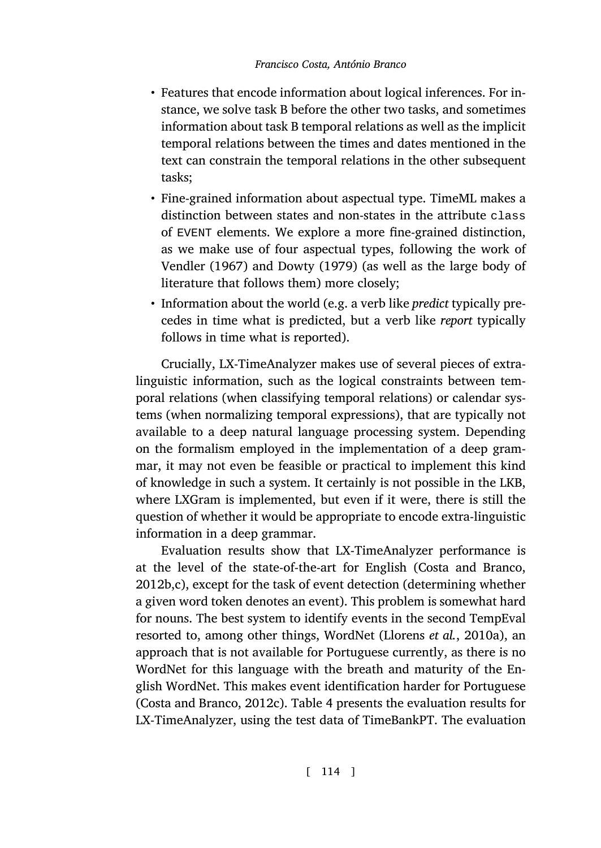- Features that encode information about logical inferences. For instance, we solve task B before the other two tasks, and sometimes [informat](#page-56-2)i[on ab](#page-56-2)out ta[sk B temporal](#page-50-0) relations as well as the implicit temporal relations between the times and dates mentioned in the text can constrain the temporal relations in the other subsequent tasks;
- Fine-grained information about aspectual type. TimeML makes a distinction between states and non-states in the attribute class of EVENT elements. We explore a more fine-grained distinction, as we make use of four aspectual types, following the work of Vendler (1967) and Dowty (1979) (as well as the large body of literature that follows them) more closely;
- Information about the world (e.g. a verb like *predict* typically precedes in time what is predicted, but a verb like *report* typically follows in time what is reported).

Crucially, LX-TimeAnalyzer makes use of several pieces of extralinguistic information, such as the logical constraints between temporal relations (when classifying temporal relations) or calendar systems (when normalizing temporal expressions), that are typically not available to a deep natural language processing [system. Depending](#page-49-1) [on the](#page-49-1) [f](#page-49-2)ormalism employed in the implementation of a deep grammar, it may not even be feasible or practical to implement this kind of knowledge in such a system. It certainly is not possible in the LKB, where LXGram is implemented, but even if [it were, there is still](#page-52-2) the question of whether it would be appropriate to encode extra-linguistic information in a deep grammar.

Evaluation results show that LX-TimeAnalyzer performance is [at the level of the state](#page-49-2)-of-the-[art](#page-18-1) for English (Costa and Branco, 2012b,c), except for the task of event detection (determining whether a given word token denotes an event). This problem is somewhat hard for nouns. The best system to identify events in the second TempEval resorted to, among other things, WordNet (Llorens *et al.*, 2010a), an approach that is not available for Portuguese currently, as there is no WordNet for this language with the breath and maturity of the English WordNet. This makes event identification harder for Portuguese (Costa and Branco, 2012c). Table 4 presents the evaluation results for LX-TimeAnalyzer, using the test data of TimeBankPT. The evaluation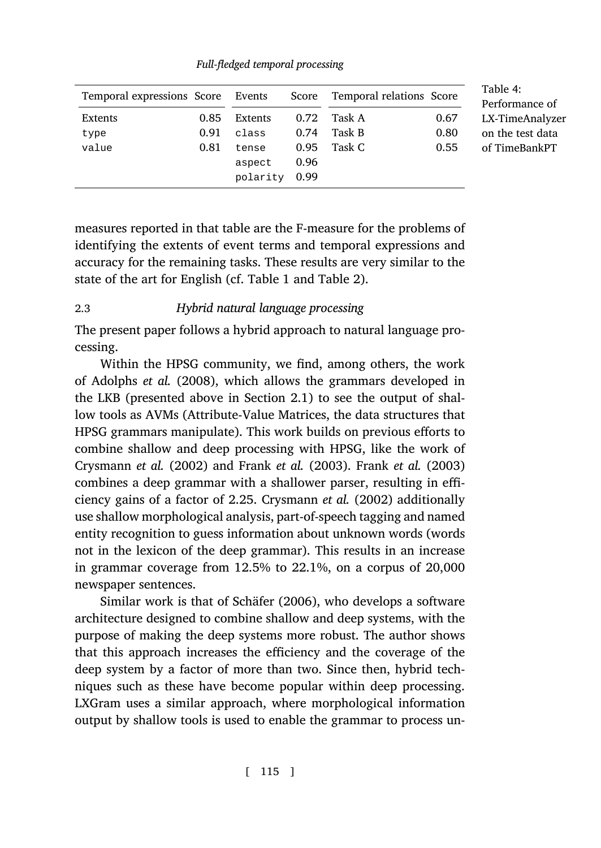| Temporal expressions Score Events |      |          | Score | Temporal relations Score |      |
|-----------------------------------|------|----------|-------|--------------------------|------|
| Extents                           | 0.85 | Extents  | 0.72  | Task A                   | 0.67 |
| type                              | 0.91 | class    | 0.74  | Task B                   | 0.80 |
| value                             | 0.81 | tense    | 0.95  | Task C                   | 0.55 |
|                                   |      | aspect   | 0.96  |                          |      |
|                                   |      | polarity | 0.99  |                          |      |

<span id="page-18-1"></span>*Full-fledged temporal processing*

<span id="page-18-0"></span>measures reported in that table are the F-measure for the problems of id[entifying the ex](#page-46-4)t[ents o](#page-46-4)f event terms and temporal expressions and accuracy for the remaining tasks. The[se re](#page-5-0)sults are very similar to the state of the art for English (cf. Table 1 and Table 2).

### 2.3 *Hybrid natural language processing*

[The present pap](#page-49-3)e[r follo](#page-49-3)ws a [hybrid appro](#page-50-6)a[ch to](#page-50-6) n[atural language pro](#page-50-6)cessing.

Within the HPSG communit[y, we find, amo](#page-49-3)n[g oth](#page-49-3)ers, the work of Adolphs *et al.* (2008), which allows the grammars developed in the LKB (presented above in Section 2.1) to see the output of shallow tools as AVMs (Attribute-Value Matrices, the data structures that HPSG grammars manipulate). This work builds on previous efforts to combine shallow and deep processing with HPSG, like the work of Crysmann *et al.* (2002) and [Frank](#page-54-5) *e[t al.](#page-54-5)* (2003). Frank *et al.* (2003) combines a deep grammar with a shallower parser, resulting in efficiency gains of a factor of 2.25. Crysmann *et al.* (2002) additionally use shallow morphological analysis, part-of-speech tagging and named entity recognition to guess information about unknown words (words not in the lexicon of the deep grammar). This results in an increase in grammar coverage from 12.5% to 22.1%, on a corpus of 20,000 newspaper sentences.

Similar work is that of Schäfer (2006), who develops a software architecture designed to combine shallow and deep systems, with the purpose of making the deep systems more robust. The author shows that this approach increases the efficiency and the coverage of the deep system by a factor of more than two. Since then, hybrid techniques such as these have become popular within deep processing. LXGram uses a similar approach, where morphological information output by shallow tools is used to enable the grammar to process un-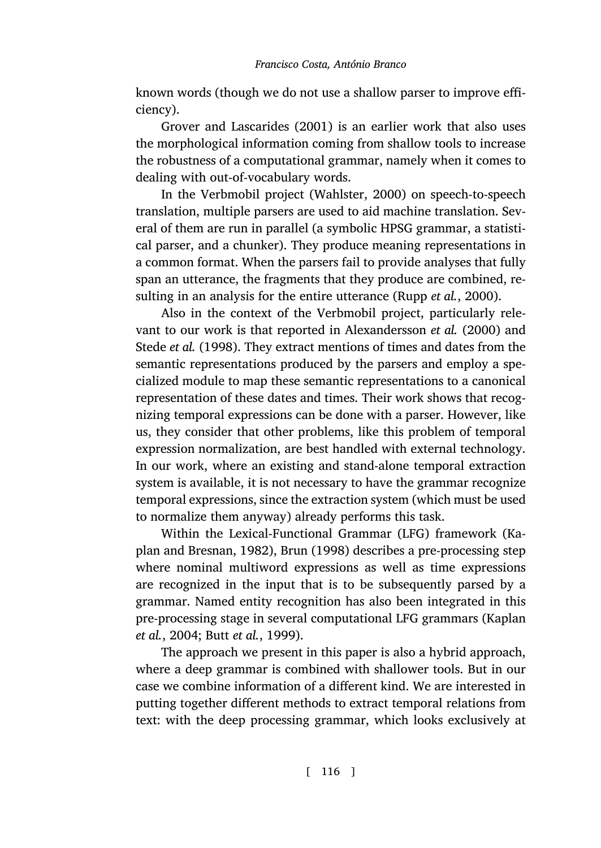known words (though we do not use a shallow parser to improve efficiency).

Grover and Lascarides (2001) is an earlier work that also uses the morphological information coming from shallow tools to increase the robustness of a computational grammar, n[amely when it com](#page-54-6)es to dealing with out-of-vocabulary words.

In the Verbmobil project (Wahlster, [2000\) on speech-to-sp](#page-46-5)eech [translation](#page-55-6), [multi](#page-55-6)ple parsers are used to aid machine translation. Several of them are run in parallel (a symbolic HPSG grammar, a statistical parser, and a chunker). They produce meaning representations in a common format. When the parsers fail to provide analyses that fully span an utterance, the fragments that they produce are combined, resulting in an analysis for the entire utterance (Rupp *et al.*, 2000).

Also in the context of the Verbmobil project, particularly relevant to our work is that reported in Alexandersson *et al.* (2000) and Stede *et al.* (1998). They extract mentions of times and dates from the semantic representations produced by the parsers and employ a specialized module to map these semantic representations to a canonical representation of these dates and times. Their work shows that re[cog](#page-51-4)[nizing temporal expressi](#page-51-4)o[ns ca](#page-47-5)n [be do](#page-47-5)ne with a parser. However, like us, they consider that other problems, like this problem of temporal expression normalization, are best handled with external technology. In our work, where an existing and stand-alone temporal extraction system is available, it is not necessary to have the grammar re[cognize](#page-51-5) [temporal ex](#page-51-5)[pressions,](#page-47-6) s[ince th](#page-47-6)e extraction system (which must be used to normalize them anyway) already performs this task.

Within the Lexical-Functional Grammar (LFG) framework (Kaplan and Bresnan, 1982), Brun (1998) describes a pre-processing step where nominal multiword expressions as well as time expressions are recognized in the input that is to be subsequently parsed by a grammar. Named entity recognition has also been integrated in this pre-processing stage in several computational LFG grammars (Kaplan *et al.*, 2004; Butt *et al.*, 1999).

The approach we present in this paper is also a hybrid approach, where a deep grammar is combined with shallower tools. But in our case we combine information of a different kind. We are interested in putting together different methods to extract temporal relations from text: with the deep processing grammar, which looks exclusively at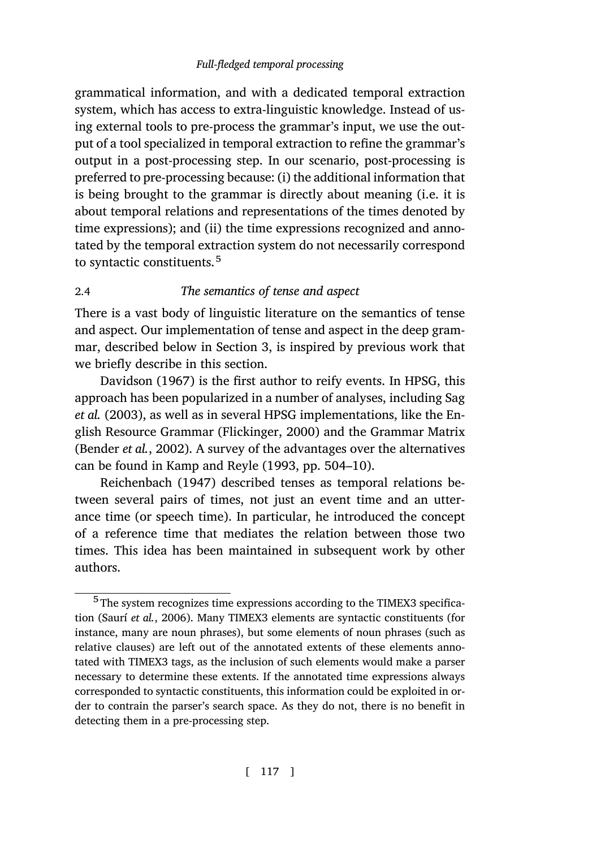<span id="page-20-0"></span>grammatical information, and with a dedicated temporal extraction system, which has access to extra-linguistic knowledge. Instead of using external tools to pre-process the grammar's input, we use the output of a tool specialized in temporal extraction to refine the grammar's output in a post-processing step. In our scenario, post-processing is preferred to pre-processing because: (i) the additional information that is being brought to the grammar is directly about meaning (i.e. it is about temporal relations and rep[re](#page-22-0)sentations of the times denoted by time expressions); and (ii) the time expressions recognized and annotate[d by the tempora](#page-49-0)l extraction system do not necessarily corresp[ond](#page-54-0) [to sy](#page-54-0)n[tactic](#page-54-0) constituents.<sup>5</sup>

# 2.4 *The se[mantics of tense an](#page-50-7)d aspect*

[There is a vast body](#page-46-0) of linguistic literature on the semantics of tense and aspect. Our [implementation of tense](#page-51-6) and aspect in the deep grammar, [described be](#page-54-7)l[ow in](#page-54-7) Section 3, is inspired by previous work that we briefly describe in this section.

Davidson (1967) is the first author to reify events. In HPSG, this approach has been popularized in a number of analyses, including Sag *et al.* (2003), as well as in several HPSG implementations, like the English Resource Grammar (Flickinger, 2000) and the Grammar Matrix (Bender *et al.*, 2002). A survey of the advantages over the alternatives can be found in Kamp and Reyle (1993, pp. 504–10).

[Reichenbach](#page-54-8) (1947) described tenses as temporal relations between several pairs of times, not just an event time and an utterance time (or speech time). In particular, he introduced the concept of a reference time that mediates the relation between those two times. This idea has been maintained in subsequent work by other authors.

<sup>5</sup> The system recognizes time expressions according to the TIMEX3 specification (Saurí *et al.*, 2006). Many TIMEX3 elements are syntactic constituents (for instance, many are noun phrases), but some elements of noun phrases (such as relative clauses) are left out of the annotated extents of these elements annotated with TIMEX3 tags, as the inclusion of such elements would make a parser necessary to determine these extents. If the annotated time expressions always corresponded to syntactic constituents, this information could be exploited in order to contrain the parser's search space. As they do not, there is no benefit in detecting them in a pre-processing step.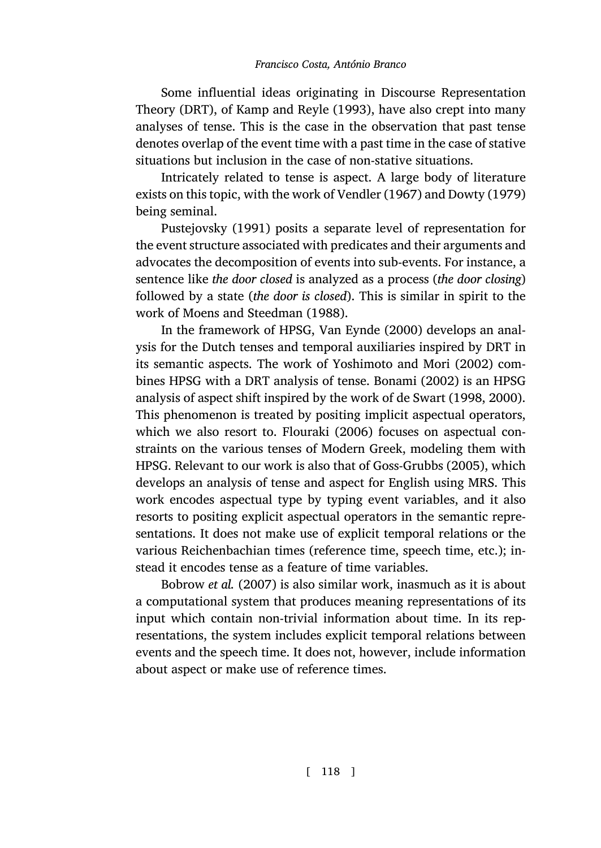[Some influential i](#page-54-9)deas originating in Discourse Representation Theory (DRT), of Kamp and Reyle (1993), have also crept into many analyses of tense. This is the case in the observation that past tense denotes overlap of the event time with a past time in the case of stative situations but inclusion in the case of non-stative situations.

Intr[icately related to tense is as](#page-53-4)pect. A large body of literature exists on this topic, with the work of [Vendler](#page-55-7) ([1967\)](#page-55-7) and Dowty (1979) being seminal.

Pustejovsky (1991) posits a s[eparate level of repre](#page-56-8)s[entati](#page-56-8)on for the event structure associated with predica[tes and their ar](#page-47-7)guments and advocates the decomposition of events into su[b-events. For ins](#page-49-4)t[ance,](#page-50-8) a sentence like *the door closed* is analyzed as a process (*the door closing*) followed by a state (*the d[oor is clo](#page-50-9)sed*[\). Th](#page-50-9)is is similar in spirit to the work of Moens and Steedman (1988).

In the framework of HPSG, Van Eynde [\(2000\) develops](#page-51-7) an analysis for the Dutch tenses and temporal auxiliaries inspired by DRT in its semantic aspects. The work of Yoshimoto and Mori (2002) combines HPSG with a DRT analysis of tense. Bonami (2002) is an HPSG analysis of aspect shift inspired by the work of de Swart (1998, 2000). This phenomenon is treated by positing implicit aspectual operators, which we also resort to. Flouraki (2006) focuses on aspectual constrai[nts on the va](#page-47-8)r[ious t](#page-47-8)enses of Modern Greek, modeling them with HPSG. Relevant to our work is also that of Goss-Grubbs (2005), which develops an analysis of tense and aspect for English using MRS. This work encodes aspectual type by typing event variables, and it also resorts to positing explicit aspectual operators in the semantic representations. It does not make use of explicit temporal relations or the various Reichenbachian times (reference time, speech time, etc.); instead it encodes tense as a feature of time variables.

Bobrow *et al.* (2007) is also similar work, inasmuch as it is about a computational system that produces meaning representations of its input which contain non-trivial information about time. In its representations, the system includes explicit temporal relations between events and the speech time. It does not, however, include information about aspect or make use of reference times.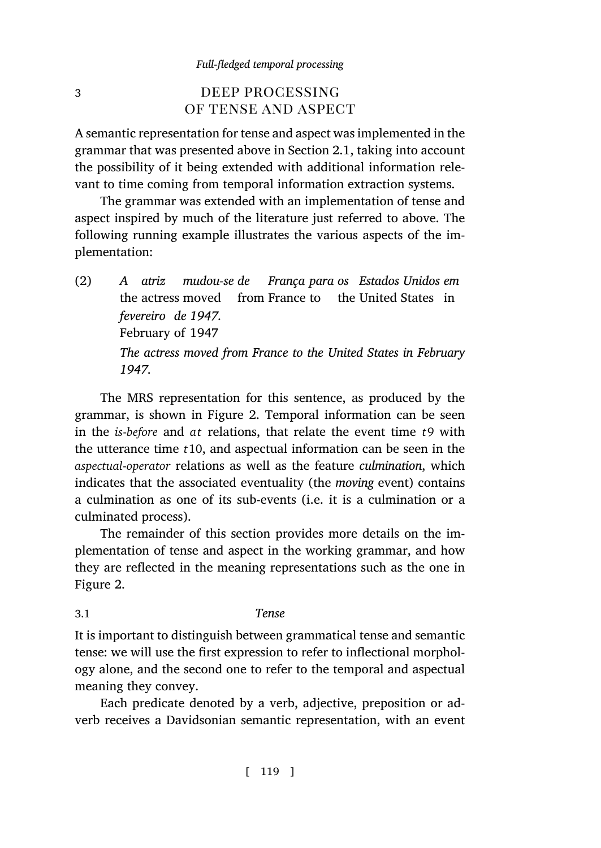# <span id="page-22-0"></span>3 DEEP PROCESSING of tense and aspect

<span id="page-22-1"></span>A semantic representation for tense and aspect was implemented in the grammar that was presented above in Section 2.1, taking into account the possibility of it being extended with additional information relevant to time coming from temporal information extraction systems.

The grammar was extended with an implementation of tense and aspect inspired by much of the literature just referred to above. The following running example illustrates the various aspects of the implementation:

 $(2)$ the actress moved *atriz mudou-se d[e](#page-23-0)* from France to the United States in *França para os Estados Unidos em fevereiro de 1947.* February of 1947 *The actress moved from France to the United States in February 1947.*

The MRS representation for this sentence, as produced by the grammar, is shown in Figure 2. Temporal information can be seen in the *is-before* and *at* relations, that relate the event time *t*9 with the utt[er](#page-23-0)ance time *t*10, and aspectual information can be seen in the *aspectual*-*operator* relations as well as the feature *culmination*, which indicates that the associated eventuality (the *moving* event) contains a culmination as one of its sub-events (i.e. it is a culmination or a culminated process).

The remainder of this section provides more details on the implementation of tense and aspect in the working grammar, and how they are reflected in the meaning representations such as the one in Figure 2.

### 3.1 *Tense*

It is important to distinguish between grammatical tense and semantic tense: we will use the first expression to refer to inflectional morphology alone, and the second one to refer to the temporal and aspectual meaning they convey.

Each predicate denoted by a verb, adjective, preposition or adverb receives a Davidsonian semantic representation, with an event

[ 119 ]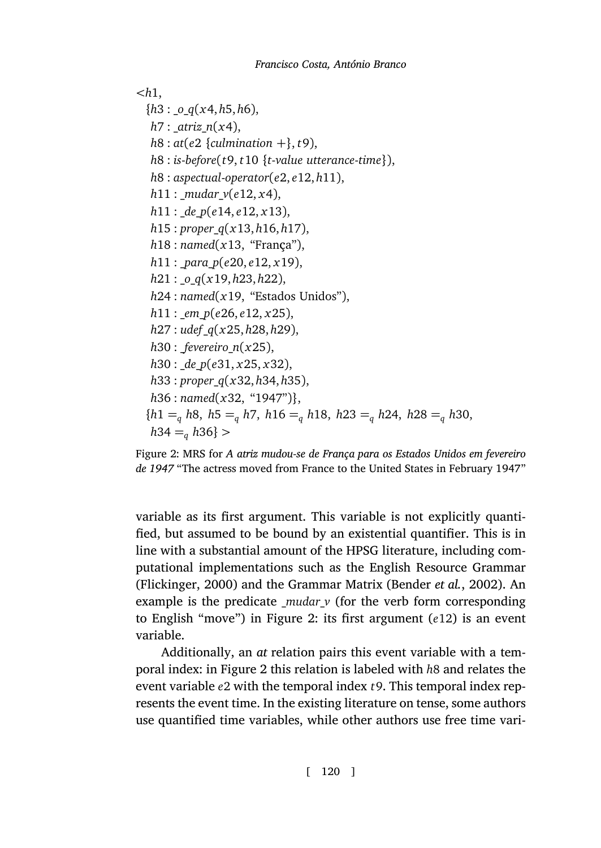```
<h1,
 {h3 : _o_q(x4, h5, h6),
  h7 : _atriz_n(x4),
  h8 : at(e2 {culmination +}, t9),
  h8 : is-before(t9, t10 {t-value utterance-time}),
  h8 : aspectual-operator(e2, e12, h11),
  h11 : _mudar_v(e12, x4),
  h11 : _de_p(e14, e12, x13),
  h15 : proper_q(x13, h16, h17),
  h18 : named(x13, "França"),
  h11 : _para_p(e20, e12, x19),
  h21 : _o_q(x19, h23, h22),
  h24 : named(x19, "Estados Unidos"),
  h11 : _em_p(e26, e12, x25),
  h27 : udef_q(x25, h28, h29),
  h30 : _fevereiro_n(x25),
  h30 : _de_p(e31, x25, x32),
  h33 : proper_q(x32, h34, h35),
  h36 : named(x32, "1947")},
 {h1 =q h8, h5 =q h7, h16 =q h18, h23 =q h24, h28 =q h30,
  h34 =q h36} >
```
<span id="page-23-0"></span>[Figure 2:](#page-50-7) MR[S for](#page-50-7) *A atriz mudou-se de França para o[s Estados Unido](#page-46-0)s [em fev](#page-46-0)ereiro de 1947* "The actress moved from F[ra](#page-23-0)nce to the United States in February 1947"

variable as its first argument. This variable is not explicitly quantified, but assumed to [be](#page-23-0) bound by an existential quantifier. This is in line with a substantial amount of the HPSG literature, including computational implementations such as the English Resource Grammar (Flickinger, 2000) and the Grammar Matrix (Bender *et al.*, 2002). An example is the predicate \_*mudar*\_*v* (for the verb form corresponding to English "move") in Figure 2: its first argument (*e*12) is an event variable.

Additionally, an *at* relation pairs this event variable with a temporal index: in Figure 2 this relation is labeled with *h*8 and relates the event variable *e*2 with the temporal index *t*9. This temporal index represents the event time. In the existing literature on tense, some authors use quantified time variables, while other authors use free time vari-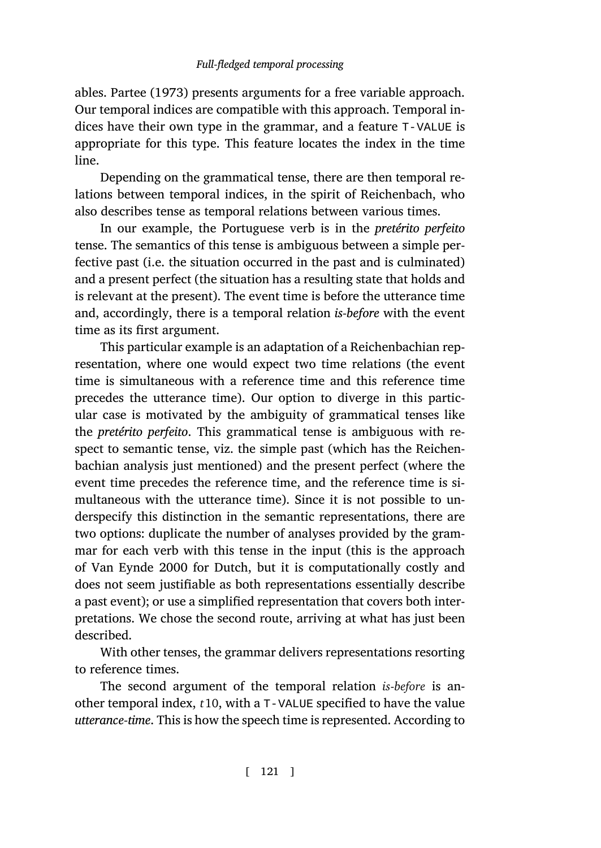ables. Partee (1973) presents arguments for a free variable approach. Our temporal indices are compatible with this approach. Temporal indices have their own type in the grammar, and a feature T-VALUE is appropriate for this type. This feature locates the index in the time line.

Depending on the grammatical tense, there are then temporal relations between temporal indices, in the spirit of Reichenbach, who also describes tense as temporal relations between various times.

In our example, the Portuguese verb is in the *pretérito perfeito* tense. The semantics of this tense is ambiguous between a simple perfective past (i.e. the situation occurred in the past and is culminated) and a present perfect (the situation has a resulting state that holds and is relevant at the present). The event time is before the utterance time and, accordingly, there is a temporal relation *is-before* with the event time as its first argument.

This particular example is an adaptation of a Reichenbachian representation, where one would expect two time relations (the event time is simultaneous with a reference time and this reference time precedes the utterance time). Our option to diverge in this particular case is motivated by the ambiguity of grammatical tenses like the *[pretérito perfeito](#page-55-7)*. This grammatical tense is ambiguous with respect to semantic tense, viz. the simple past (which has the Reichenbachian analysis just mentioned) and the present perfect (where the event time precedes the reference time, and the reference time is simultaneous with the utterance time). Since it is not possible to underspecify this distinction in the semantic representations, there are two options: duplicate the number of analyses provided by the grammar for each verb with this tense in the input (this is the approach of Van Eynde 2000 for Dutch, but it is computationally costly and does not seem justifiable as both representations essentially describe a past event); or use a simplified representation that covers both interpretations. We chose the second route, arriving at what has just been described.

With other tenses, the grammar delivers representations resorting to reference times.

The second argument of the temporal relation *is*-*before* is another temporal index, *t*10, with a T-VALUE specified to have the value *utterance-time*. This is how the speech time is represented. According to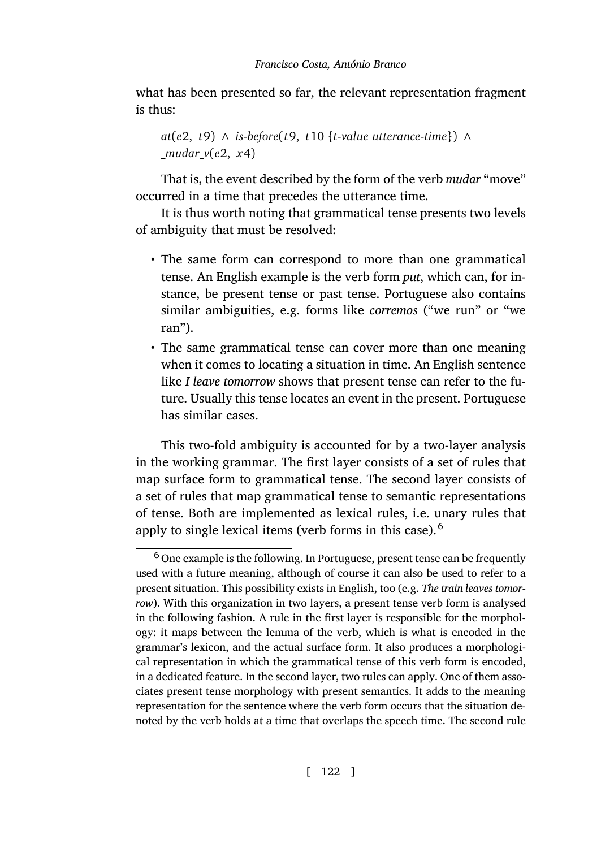what has been presented so far, the relevant representation fragment is thus:

```
at(e2, t9) ∧ is-before(t9, t10 {t-value utterance-time}) ∧
mudar v(e2, x4)
```
That is, the event described by the form of the verb *mudar* "move" occurred in a time that precedes the utterance time.

It is thus worth noting that grammatical tense presents two levels of ambiguity that must be resolved:

- The same form can correspond to more than one grammatical tense. An English example is the verb form *put*, which can, for instance, be present tense or past tense. Portuguese also contains similar ambiguities, e.g. forms like *corremos* ("we run" or "we ran").
- The same grammatical tense can cover more than one meaning when it comes to locating a situation in time. An English sentence like *I leave tomorrow* shows that present tense can refer to the future. Usually this tense locates an event in the present. Portuguese has similar cases.

This two-fold ambiguity is accounted for by a two-layer analysis in the working grammar. The first layer consists of a set of rules that map surface form to grammatical tense. The second layer consists of a set of rules that map grammatical tense to semantic representations of tense. Both are implemented as lexical rules, i.e. unary rules that apply to single lexical items (verb forms in this case).<sup>6</sup>

<sup>6</sup> One example is the following. In Portuguese, present tense can be frequently used with a future meaning, although of course it can also be used to refer to a present situation. This possibility exists in English, too (e.g. *The train leaves tomorrow*). With this organization in two layers, a present tense verb form is analysed in the following fashion. A rule in the first layer is responsible for the morphology: it maps between the lemma of the verb, which is what is encoded in the grammar's lexicon, and the actual surface form. It also produces a morphological representation in which the grammatical tense of this verb form is encoded, in a dedicated feature. In the second layer, two rules can apply. One of them associates present tense morphology with present semantics. It adds to the meaning representation for the sentence where the verb form occurs that the situation denoted by the verb holds at a time that overlaps the speech time. The second rule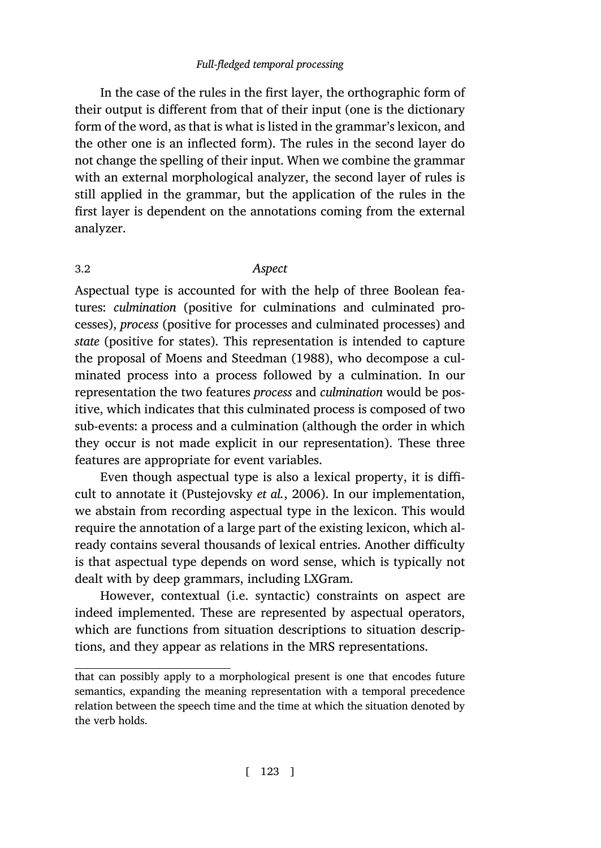In the case of the rules in the first layer, the orthographic form of their output is different from that of their input (one is the dictionary form of the word, as that is what is listed in the grammar's lexicon, and the other one is an inflected form). The rules in the second layer do not change the spelling of their input. When we combine the grammar with an external morphological analyzer, the second layer of rules is still applied in the grammar, but the application of the rules in the first layer is de[pendent on the annota](#page-53-4)t[ions c](#page-53-4)oming from the external analyzer.

# 3.2 *Aspect*

Aspectual type is accounted for with the help of three Boolean features: *culmination* (positive for culminations and culminated processes), *process* (positive for processes and culminated processes) and *state* (positive for states). This representation is intended to capture the proposal of Mo[ens and Steedman](#page-54-10) [\(1988](#page-54-10)), who decompose a culminated process into a process followed by a culmination. In our representation the two features *process* and *culmination* would be positive, which indicates that this culminated process is composed of two sub-events: a process and a culmination (although the order in which they occur is not made explicit in our representation). These three features are appropriate for event variables.

Even though aspectual type is also a lexical property, it is difficult to annotate it (Pustejovsky *et al.*, 2006). In our implementation, we abstain from recording aspectual type in the lexicon. This would require the annotation of a large part of the existing lexicon, which already contains several thousands of lexical entries. Another difficulty is that aspectual type depends on word sense, which is typically not dealt with by deep grammars, including LXGram.

However, contextual (i.e. syntactic) constraints on aspect are indeed implemented. These are represented by aspectual operators, which are functions from situation descriptions to situation descriptions, and they appear as relations in the MRS representations.

that can possibly apply to a morphological present is one that encodes future semantics, expanding the meaning representation with a temporal precedence relation between the speech time and the time at which the situation denoted by the verb holds.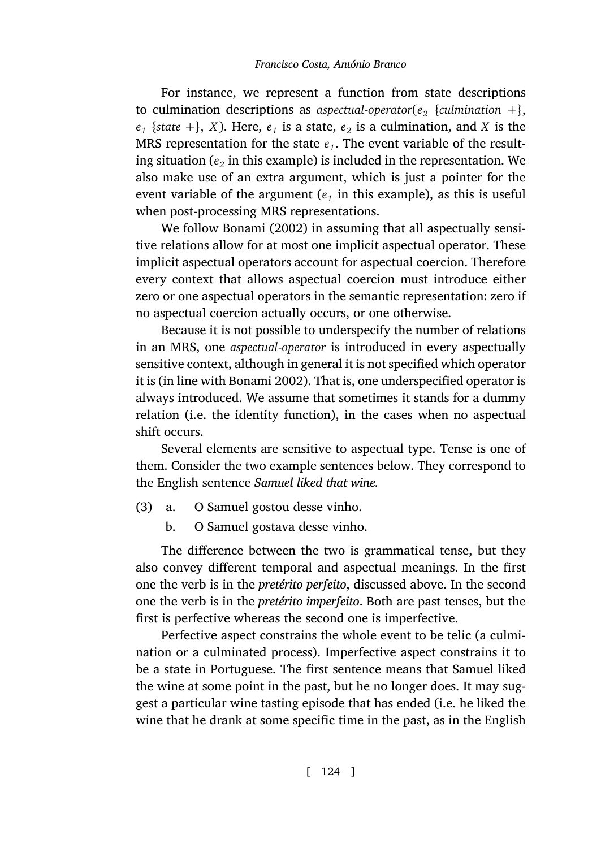For instan[ce, we](#page-47-7) r[eprese](#page-47-7)nt a function from state descriptions to culmination descriptions as *aspectual*-*operator*(*e<sup>2</sup> {culmination* +*}*,  $e_1$  {*state* +}, *X*). Here,  $e_1$  is a state,  $e_2$  is a culmination, and *X* is the MRS representation for the state  $e_1$ . The event variable of the resulting situation ( $e_2$  in this example) is included in the representation. We also make use of an extra argument, which is just a pointer for the event variable of the argument  $(e<sub>1</sub>$  in this example), as this is useful when post-processing MRS representations.

We follow Bonami (2002) in assuming that all aspectually sensitive relations all[ow for at mos](#page-47-7)t one implicit aspectual operator. These implicit aspectual operators account for aspectual coercion. Therefore every context that allows aspectual coercion must introduce either zero or one aspectual operators in the semantic representation: zero if no aspectual coercion actually occurs, or one otherwise.

Because it is not possible to underspecify the number of relations in an MRS, one *aspectual*-*operator* is introduced in every aspectually sensitive context, although in general it is not specified which operator it is (in line with Bonami 2002). That is, one underspecified operator is always introduced. We assume that sometimes it stands for a dummy relation (i.e. the identity function), in the cases when no aspectual shift occurs.

Several elements are sensitive to aspectual type. Tense is one of them. Consider the two example sentences below. They correspond to the English sentence *Samuel liked that wine.*

- (3) a. O Samuel gostou desse vinho.
	- b. O Samuel gostava desse vinho.

The difference between the two is grammatical tense, but they also convey different temporal and aspectual meanings. In the first one the verb is in the *pretérito perfeito*, discussed above. In the second one the verb is in the *pretérito imperfeito*. Both are past tenses, but the first is perfective whereas the second one is imperfective.

Perfective aspect constrains the whole event to be telic (a culmination or a culminated process). Imperfective aspect constrains it to be a state in Portuguese. The first sentence means that Samuel liked the wine at some point in the past, but he no longer does. It may suggest a particular wine tasting episode that has ended (i.e. he liked the wine that he drank at some specific time in the past, as in the English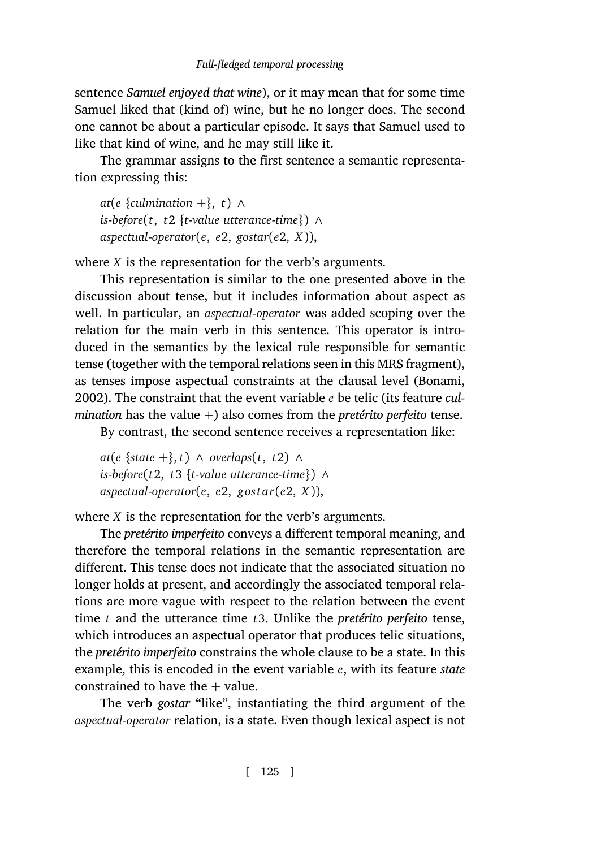sentence *Samuel enjoyed that wine*), or it may mean that for some time Samuel liked that (kind of) wine, but he no longer does. The second one cannot be about a particular episode. It says that Samuel used to like that kind of wine, and he may still like it.

The grammar assigns to the first sentence a semantic representation expressing this:

*at*( $e$  {*culmination* + }, *t*) ∧ *is*-*before*(*t*, *t*2 *{t*-*value utterance*-*time}*) *∧ aspectual*-*operator*(*e*, *e*2, *gostar*(*e*2, *X*)),

[where](#page-47-7) *X* is the representation for the verb's arguments.

This representation is similar to the one presented above in the discussion about tense, but it includes information about aspect as well. In particular, an *aspectual*-*operator* was added scoping over the relation for the main verb in this sentence. This operator is introduced in the semantics by the lexical rule responsible for semantic tense (together with the temporal relations seen in this MRS fragment), as tenses impose aspectual constraints at the clausal level (Bonami, 2002). The constraint that the event variable *e* be telic (its feature *culmination* has the value +) also comes from the *pretérito perfeito* tense.

By contrast, the second sentence receives a representation like:

*at*(*e {state* +*}*, *t*) *∧ overlaps*(*t*, *t*2) *∧ is*-*before*(*t*2, *t*3 *{t*-*value utterance*-*time}*) *∧ aspectual*-*operator*(*e*, *e*2, *gos tar*(*e*2, *X*)),

where *X* is the representation for the verb's arguments.

The *pretérito imperfeito* conveys a different temporal meaning, and therefore the temporal relations in the semantic representation are different. This tense does not indicate that the associated situation no longer holds at present, and accordingly the associated temporal relations are more vague with respect to the relation between the event time *t* and the utterance time *t*3. Unlike the *pretérito perfeito* tense, which introduces an aspectual operator that produces telic situations, the *pretérito imperfeito* constrains the whole clause to be a state. In this example, this is encoded in the event variable *e*, with its feature *state* constrained to have the  $+$  value.

The verb *gostar* "like", instantiating the third argument of the *aspectual*-*operator* relation, is a state. Even though lexical aspect is not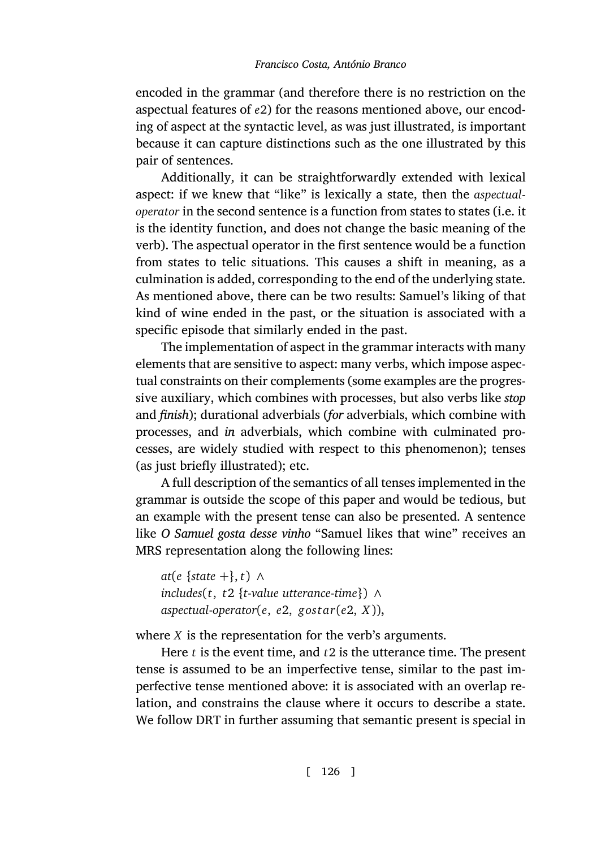encoded in the grammar (and therefore there is no restriction on the aspectual features of *e*2) for the reasons mentioned above, our encoding of aspect at the syntactic level, as was just illustrated, is important because it can capture distinctions such as the one illustrated by this pair of sentences.

Additionally, it can be straightforwardly extended with lexical aspect: if we knew that "like" is lexically a state, then the *aspectualoperator* in the second sentence is a function from states to states (i.e. it is the identity function, and does not change the basic meaning of the verb). The aspectual operator in the first sentence would be a function from states to telic situations. This causes a shift in meaning, as a culmination is added, corresponding to the end of the underlying state. As mentioned above, there can be two results: Samuel's liking of that kind of wine ended in the past, or the situation is associated with a specific episode that similarly ended in the past.

The implementation of aspect in the grammar interacts with many elements that are sensitive to aspect: many verbs, which impose aspectual constraints on their complements (some examples are the progressive auxiliary, which combines with processes, but also verbs like *stop* and *finish*); durational adverbials (*for* adverbials, which combine with processes, and *in* adverbials, which combine with culminated processes, are widely studied with respect to this phenomenon); tenses (as just briefly illustrated); etc.

A full description of the semantics of all tenses implemented in the grammar is outside the scope of this paper and would be tedious, but an example with the present tense can also be presented. A sentence like *O Samuel gosta desse vinho* "Samuel likes that wine" receives an MRS representation along the following lines:

```
at(e {state +}, t) ∧
includes(t, t2 {t-value utterance-time}) ∧
aspectual-operator(e, e2, gos tar(e2, X)),
```
where *X* is the representation for the verb's arguments.

Here *t* is the event time, and *t*2 is the utterance time. The present tense is assumed to be an imperfective tense, similar to the past imperfective tense mentioned above: it is associated with an overlap relation, and constrains the clause where it occurs to describe a state. We follow DRT in further assuming that semantic present is special in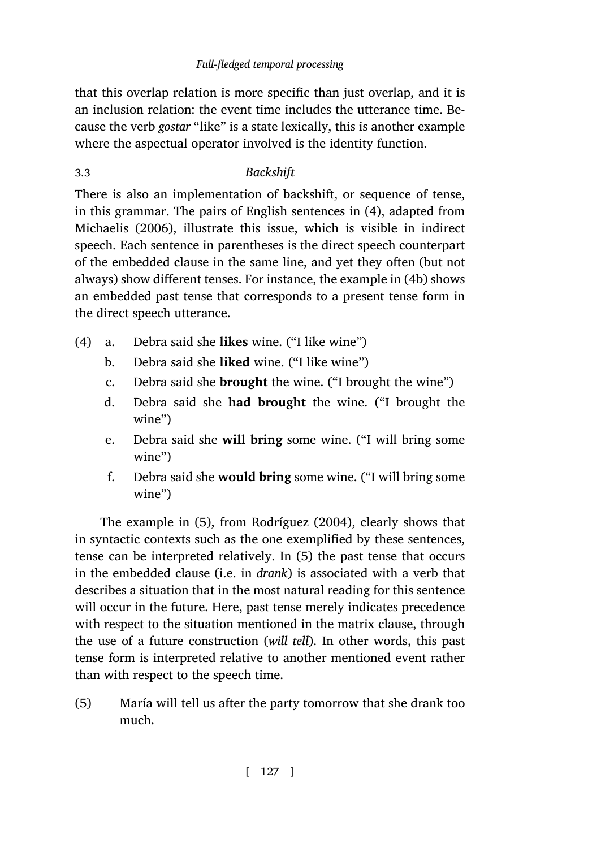[that this overlap](#page-53-5) relation is more specific than just overlap, and it is an inclusion relation: the event time includes the utterance time. Because the verb *gostar* "like" is a state lexically, this is another example where the aspectual operator involved is the identity funct[ion](#page-30-0).

# 3.3 *Backshift*

<span id="page-30-5"></span><span id="page-30-4"></span><span id="page-30-2"></span><span id="page-30-0"></span>There is also an implementation of backshift, or sequence of tense, in this grammar. The pairs of English sentences in (4), adapted from Michaelis (2006), illustrate this issue, which is visible in indirect speech. Each sentence in parentheses is the direct speech counterpart of the embedded clause in the same line, and yet they often (but not always) show different tenses. For instance, the example in (4b) shows an embedded past tense that corresponds to a present tense form in the direct speech utterance.

- <span id="page-30-6"></span><span id="page-30-3"></span>(4) a. Debra said she **likes** wine. ("I like wine")
	- b. Debra said she **liked** wine. ("I like wine")
	- c. Debra said [sh](#page-30-1)e **brought** [the wine. \("I b](#page-54-11)rought the wine")
	- d. Debra said she **had brought** the wine. ("I brought the wine")
	- e. Debra said she **will bring** some wine. ("I will bring some wine")
	- f. Debra said she **would bring** some wine. ("I will bring some wine")

<span id="page-30-1"></span>The example in (5), from Rodríguez (2004), clearly shows that in syntactic contexts such as the one exemplified by these sentences, tense can be interpreted relatively. In (5) the past tense that occurs in the embedded clause (i.e. in *drank*) is associated with a verb that describes a situation that in the most natural reading for this sentence will occur in the future. Here, past tense merely indicates precedence with respect to the situation mentioned in the matrix clause, through the use of a future construction (*will tell*). In other words, this past tense form is interpreted relative to another mentioned event rather than with respect to the speech time.

(5) María will tell us after the party tomorrow that she drank too much.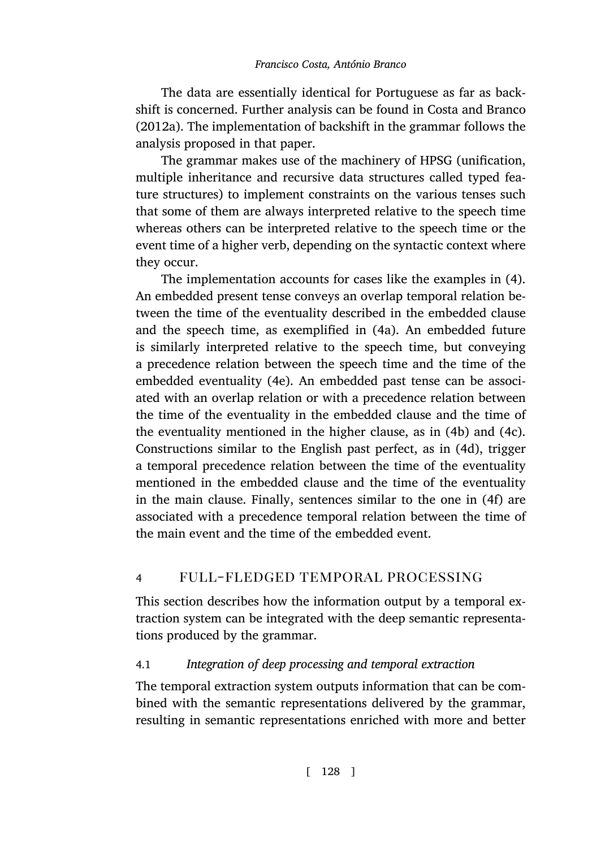The data are essentially identical for Portuguese as far as backshift is concerned. Further analysis can be found in Costa and Branco (2012a). The implementation of backshift in the grammar follows the analysis proposed in that paper.

The grammar makes use of the machinery of HPSG (unification, multiple inheritance and recursive data structures called typed feature structures) to implement constraints [on](#page-30-2) the various tenses such that some of them are always interpreted relative to the speech time whereas others can be interpreted relative to the speech time or the event time of a higher v[erb](#page-30-3), depending on the syntactic context where they occur.

The implementation accounts for cases like the examples in (4). An embedded present tense conveys an overlap tempor[al r](#page-30-0)elation [be](#page-30-4)tween the time of the eventuality described in the embe[dde](#page-30-5)d clause and the speech time, as exemplified in (4a). An embedded future is similarly interpreted relative to the speech time, but conveying a precedence relation between the speech time and the time [o](#page-30-6)f the embedded eventuality (4e). An embedded past tense can be associated with an overlap relation or with a precedence relation between the time of the eventuality in the embedded clause and the time of the eventuality mentioned in the higher clause, as in (4b) and (4c). Constructions similar to the English past perfect, as in (4d), trigger a temporal precedence relation between the time of the eventuality mentioned in the embedded clause and the time of the eventuality in the main clause. Finally, sentences similar to the one in (4f) are associated with a precedence temporal relation between the time of the main event and the time of the embedded event.

# 4 full-fledged temporal processing

This section describes how the information output by a temporal extraction system can be integrated with the deep semantic representations produced by the grammar.

# 4.1 *Integration of deep processing and temporal extraction*

The temporal extraction system outputs information that can be combined with the semantic representations delivered by the grammar, resulting in semantic representations enriched with more and better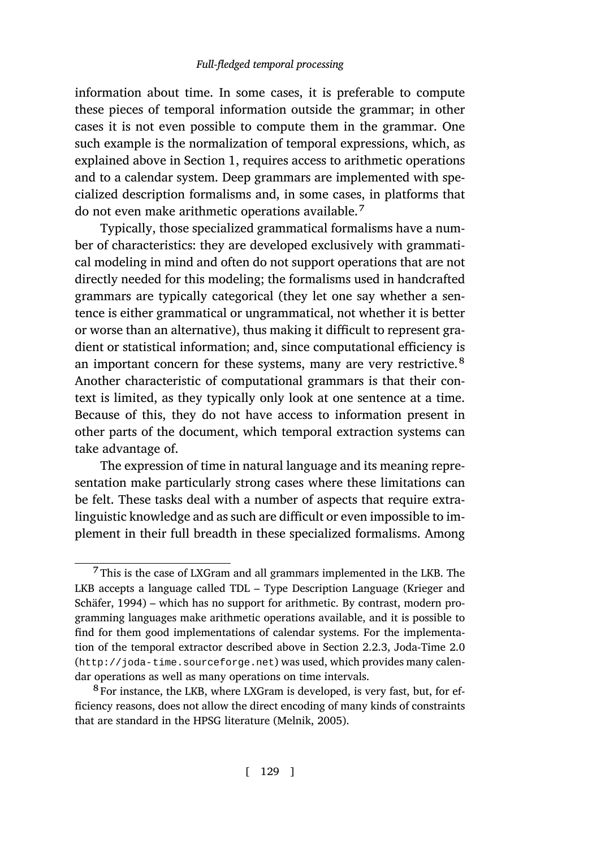information about time. In some cases, it is preferable to compute these pieces of temporal information outside the grammar; in other cases it is not even possible to compute them in the grammar. One such example is the normalization of temporal expressions, which, as explained above in Section 1, requires access to arithmetic operations and to a calendar system. Deep grammars are implemented with specialized description formalisms and, in some cases, in platforms that do not even make arithmetic operations available.<sup>7</sup>

Typically, those specialized grammatical formalisms have a number of characteristics: they are developed exclusively with grammatical modeling in mind and often do not support operations that are not directly needed for this modeling; the formalisms used in handcrafted grammars are typically categorical (they let one say whether a sentence is either grammatical or ungrammatical, not whether it is better or worse than an alternative), thus making it difficult to represent gradient or statistical information; and, since computational efficiency is an important concern for these systems, many are very restrictive.<sup>8</sup> Another characteristic of computational grammars is that their context is limited, as they typically only look at one sentence at a time. Because of this, they do not have access to information present in other parts of the document, which temporal extraction systems can take advantage of.

[The exp](#page-52-6)ression of time in natural language and its meaning representation make particularly strong cases where these limitations can be felt. These tasks deal with a number of aspects [that](#page-15-0) require extralinguistic knowledge and as such are difficult or even impossible to implement in their full breadth in these specialized formalisms. Among

<sup>7</sup> This is the case of LXGram and all grammars implemented in the LKB. The LKB accepts a language called TDL – Ty[pe Description](#page-52-7) Language (Krieger and Schäfer, 1994) – which has no support for arithmetic. By contrast, modern programming languages make arithmetic operations available, and it is possible to find for them good implementations of calendar systems. For the implementation of the temporal extractor described above in Section 2.2.3, Joda-Time 2.0 (http://joda-time.sourceforge.net) was used, which provides many calendar operations as well as many operations on time intervals.

<sup>8</sup> For instance, the LKB, where LXGram is developed, is very fast, but, for efficiency reasons, does not allow the direct encoding of many kinds of constraints that are standard in the HPSG literature (Melnik, 2005).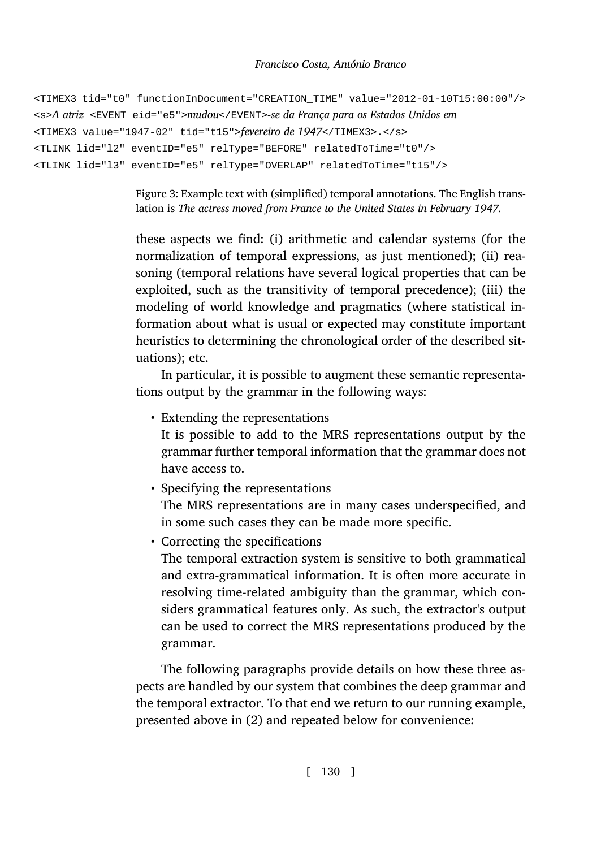```
<TIMEX3 tid="t0" functionInDocument="CREATION_TIME" value="2012-01-10T15:00:00"/>
<s>A atriz <EVENT eid="e5">mudou</EVENT>-se da França para os Estados Unidos em
<TIMEX3 value="1947-02" tid="t15">fevereiro de 1947</TIMEX3>.</s>
<TLINK lid="l2" eventID="e5" relType="BEFORE" relatedToTime="t0"/>
<TLINK lid="l3" eventID="e5" relType="OVERLAP" relatedToTime="t15"/>
```
<span id="page-33-0"></span>Figure 3: Example text with (simplified) temporal annotations. The English translation is *The actress moved from France to the United States in February 1947.*

these aspects we find: (i) arithmetic and calendar systems (for the normalization of temporal expressions, as just mentioned); (ii) reasoning (temporal relations have several logical properties that can be exploited, such as the transitivity of temporal precedence); (iii) the modeling of world knowledge and pragmatics (where statistical information about what is usual or expected may constitute important heuristics to determining the chronological order of the described situations); etc.

In particular, it is possible to augment these semantic representations output by the grammar in the following ways:

• Extending the representations

It is possible to add to the MRS representations output by the grammar further temporal information that the grammar does not have access to.

- Specifying the representations The MRS representations are in many cases underspecified, and in some such cases they can be made more specific.
- Correcting the specifications

The temporal extraction system is sensitive to both grammatical and extra-gram[m](#page-22-1)atical information. It is often more accurate in resolving time-related ambiguity than the grammar, which considers grammatical features only. As such, the extractor's output can be used to correct the MRS representations produced by the grammar.

The following paragraphs provide details on how these three aspects are handled by our system that combines the deep grammar and the temporal extractor. To that end we return to our running example, presented above in (2) and repeated below for convenience: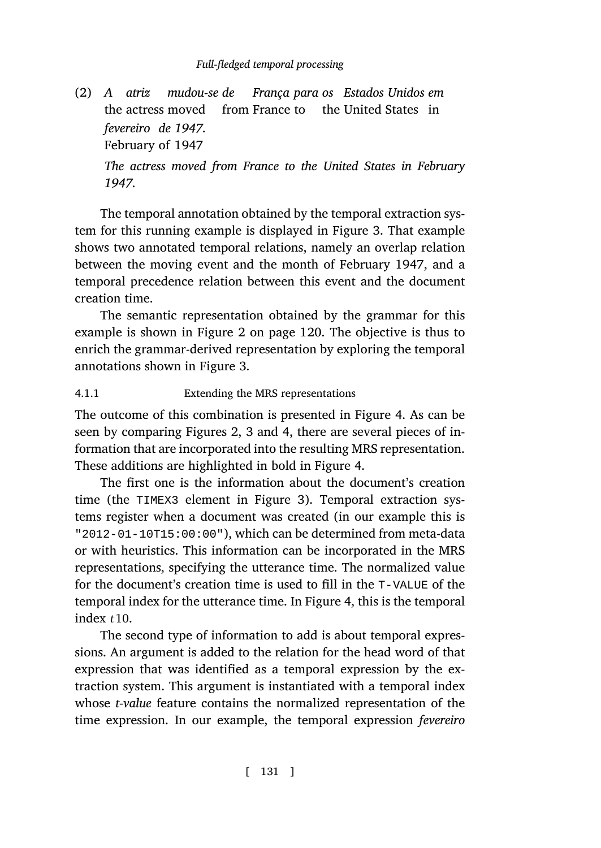(2) *A atriz* the actress moved from France to the United States in *mudou-se de França para os Estad[os](#page-33-0) Unidos em fevereiro de 1947.* February of 1947 *The actress moved from France to the United States in February 1947.*

The temporal annotation obtained by the temporal extraction system for this running exampl[e i](#page-33-0)s displayed in Figure 3. That example shows two annotated temporal relations, namely an overlap relation between the moving event and the month of February 1947, and a temporal precedence relati[on](#page-23-0) [b](#page-33-0)etwe[en](#page-35-0) this event and t[he](#page-35-0) document creation time.

The semantic representation obtained by the grammar for this example is shown in Figure 2 on page 120. The [o](#page-35-0)bjective is thus to enrich the grammar-derived representa[tio](#page-33-0)n by exploring the temporal annotations shown in Figure 3.

### 4.1.1 Extending the MRS representations

The outcome of this combination is presented in Figure 4. As can be seen by comparing Figures 2, 3 and 4, there are several pieces of information that are incorporated into the resulting MRS representation. These additions are highlighted in bold in Figu[re](#page-35-0) 4.

The first one is the information about the document's creation time (the TIMEX3 element in Figure 3). Temporal extraction systems register when a document was created (in our example this is "2012-01-10T15:00:00"), which can be determined from meta-data or with heuristics. This information can be incorporated in the MRS representations, specifying the utterance time. The normalized value for the document's creation time is used to fill in the T-VALUE of the temporal index for the utterance time. In Figure 4, this is the temporal index *t*10.

The second type of information to add is about temporal expressions. An argument is added to the relation for the head word of that expression that was identified as a temporal expression by the extraction system. This argument is instantiated with a temporal index whose *t-value* feature contains the normalized representation of the time expression. In our example, the temporal expression *fevereiro*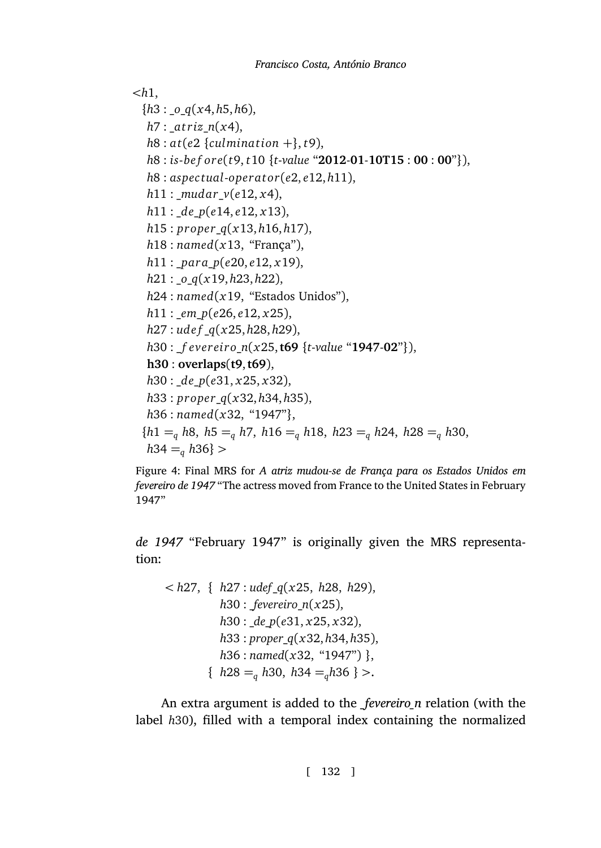```
<h1,
  {h3 : _o_q(x4, h5, h6),
  h7 : _a t riz_n(x4),
  h8: \text{at}(e2 \text{ } {\text{fculmination +}} \cdot k, t9),h8 : is-be f ore(t9, t10 {t-value "2012-01-10T15 : 00 : 00"}),
  h8 : aspec tual-opera t or(e2, e12, h11),
  h11 : _mudar_v(e12, x4),
  h11 : _de_p(e14, e12, x13),
  h15 : pr oper_q(x13, h16, h17),
  h18 : named(x13, "França"),
  h11 : _para_p(e20, e12, x19),
  h21 : _o_q(x19, h23, h22),
  h24 : named(x19, "Estados Unidos"),
  h11 : _em_p(e26, e12, x25),
  h27 : ude f _q(x25, h28, h29),
  h30 : _f everei r o_n(x25,t69 {t-value "1947-02"}),
  h30 : overlaps(t9,t69),
  h30 : _de_p(e31, x25, x32),
  h33 : pr oper_q(x32, h34, h35),
  h36 : named(x32, "1947"},
  {h1 =q h8, h5 =q h7, h16 =q h18, h23 =q h24, h28 =q h30,
  h34 =q h36} >
```
<span id="page-35-0"></span>Figure 4: Final MRS for *A atriz mudou-se de França para os Estados Unidos em fevereiro de 1947* "The actress moved from France to the United States in February 1947"

*de 1947* "February 1947" is originally given the MRS representation:

```
< h27, { h27 : udef_q(x25, h28, h29),
         h30 : _fevereiro_n(x25),
         h30 : _de_p(e31, x25, x32),
         h33 : proper_q(x32, h34, h35),
         h36 : named(x32, "1947") },
       { h28 =q h30, h34 =qh36 } >.
```
An extra argument is added to the *\_fevereiro\_n* relation (with the label *h*30), filled with a temporal index containing the normalized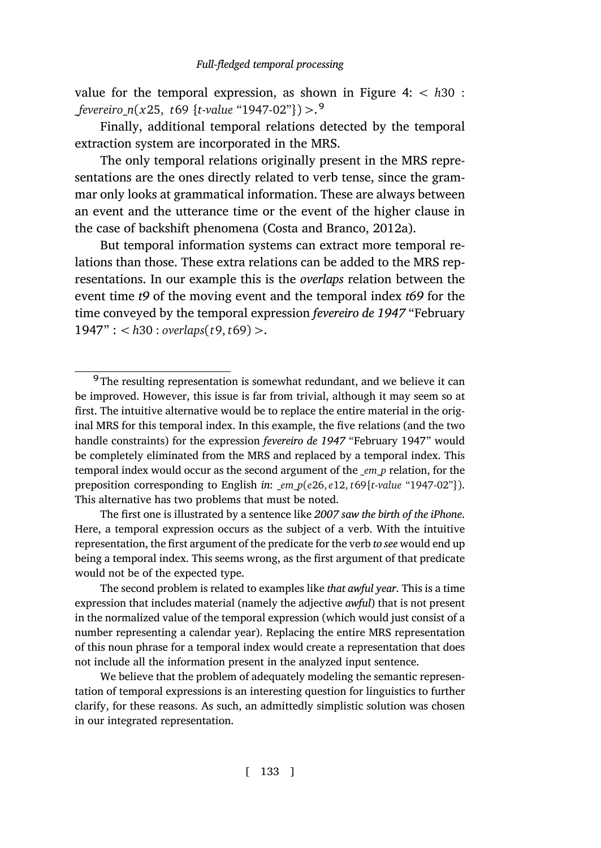value for the temporal expressio[n, as shown in F](#page-49-5)i[gure](#page-49-5) 4: *< h*30 : \_*fevereiro*\_*n*(*x*25, *t*69 *{t*-*value* "1947-02"*}*) *>*. 9

Finally, additional temporal relations detected by the temporal extraction system are incorporated in the MRS.

The only temporal relations originally present in the MRS representations are the ones directly related to verb tense, since the grammar only looks at grammatical information. These are always between an event and the utterance time or the event of the higher clause in the case of backshift phenomena (Costa and Branco, 2012a).

But temporal information systems can extract more temporal relations than those. These extra relations can be added to the MRS representations. In our example this is the *overlaps* relation between the event time *t9* of the moving event and the temporal index *t69* for the time conveyed by the temporal expression *fevereiro de 1947* "February 1947" : *< h*30 : *overlaps*(*t*9, *t*69) *>*.

We believe that the problem of adequately modeling the semantic representation of temporal expressions is an interesting question for linguistics to further clarify, for these reasons. As such, an admittedly simplistic solution was chosen in our integrated representation.

 $9$ The resulting representation is somewhat redundant, and we believe it can be improved. However, this issue is far from trivial, although it may seem so at first. The intuitive alternative would be to replace the entire material in the original MRS for this temporal index. In this example, the five relations (and the two handle constraints) for the expression *fevereiro de 1947* "February 1947" would be completely eliminated from the MRS and replaced by a temporal index. This temporal index would occur as the second argument of the \_*em*\_*p* relation, for the preposition corresponding to English *in*: \_*em*\_*p*(*e*26, *e*12, *t*69*{t*-*value* "1947-02"*}*). This alternative has two problems that must be noted.

The first one is illustrated by a sentence like *2007 saw the birth of the iPhone*. Here, a temporal expression occurs as the subject of a verb. With the intuitive representation, the first argument of the predicate for the verb *to see* would end up being a temporal index. This seems wrong, as the first argument of that predicate would not be of the expected type.

The second problem is related to examples like *that awful year*. This is a time expression that includes material (namely the adjective *awful*) that is not present in the normalized value of the temporal expression (which would just consist of a number representing a calendar year). Replacing the entire MRS representation of this noun phrase for a temporal index would create a representation that does not include all the information present in the analyzed input sentence.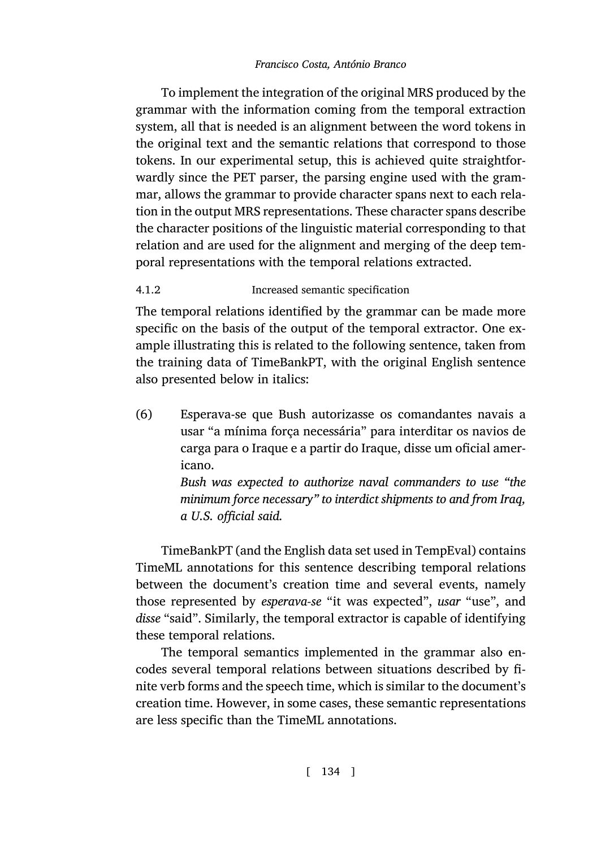To implement the integration of the original MRS produced by the grammar with the information coming from the temporal extraction system, all that is needed is an alignment between the word tokens in the original text and the semantic relations that correspond to those tokens. In our experimental setup, this is achieved quite straightforwardly since the PET parser, the parsing engine used with the grammar, allows the grammar to provide character spans next to each relation in the output MRS representations. These character spans describe the character positions of the linguistic material corresponding to that relation and are used for the alignment and merging of the deep temporal representations with the temporal relations extracted.

# 4.1.2 Increased semantic specification

The temporal relations identified by the grammar can be made more specific on the basis of the output of the temporal extractor. One example illustrating this is related to the following sentence, taken from the training data of TimeBankPT, with the original English sentence also presented below in italics:

(6) Esperava-se que Bush autorizasse os comandantes navais a usar "a mínima força necessária" para interditar os navios de carga para o Iraque e a partir do Iraque, disse um oficial americano.

> *Bush was expected to authorize naval commanders to use "the minimum force necessary" to interdict shipments to and from Iraq, a U.S. official said.*

TimeBankPT (and the English data set used in TempEval) contains TimeML annotations for this sentence describing temporal relations between the document's creation time and several events, namely those represented by *esperava-se* "it was expected", *usar* "use", and *disse* "said". Similarly, the temporal extractor is capable of identifying these temporal relations.

The temporal semantics implemented in the grammar also encodes several temporal relations between situations described by finite verb forms and the speech time, which is similar to the document's creation time. However, in some cases, these semantic representations are less specific than the TimeML annotations.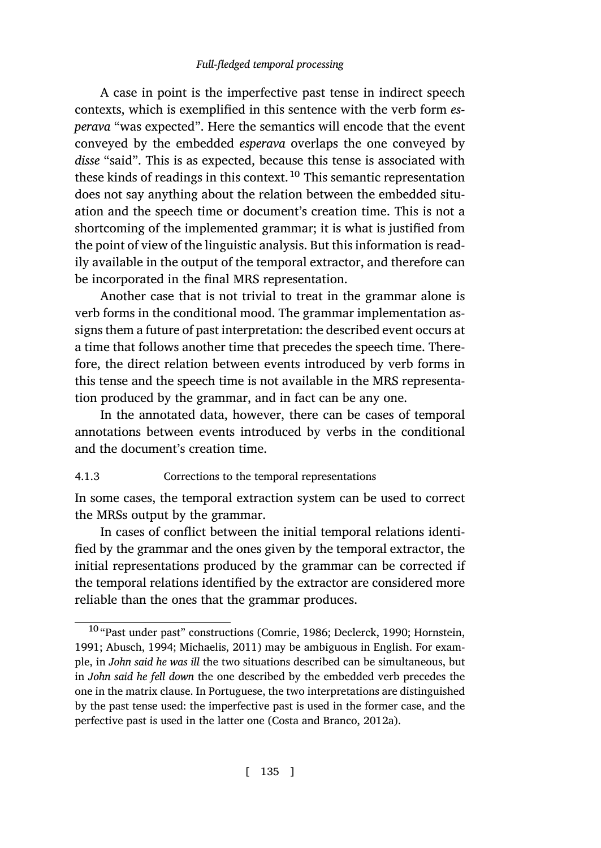A case in point is the imperfective past tense in indirect speech contexts, which is exemplified in this sentence with the verb form *esperava* "was expected". Here the semantics will encode that the event conveyed by the embedded *esperava* overlaps the one conveyed by *disse* "said". This is as expected, because this tense is associated with these kinds of readings in this context.<sup>10</sup> This semantic representation does not say anything about the relation between the embedded situation and the speech time or document's creation time. This is not a shortcoming of the implemented grammar; it is what is justified from the point of view of the linguistic analysis. But this information is readily available in the output of the temporal extractor, and therefore can be incorporated in the final MRS representation.

Another case that is not trivial to treat in the grammar alone is verb forms in the conditional mood. The grammar implementation assigns them a future of past interpretation: the described event occurs at a time that follows another time that precedes the speech time. Therefore, the direct relation between events introduced by verb forms in this tense and the speech time is not available in the MRS representation produced by the grammar, and in fact can be any one.

In the annotated data, however, there can be cases of temporal annotations between events introduced by verbs in the conditional and the document's creation time.

### 4.1.3 Corrections to the temporal representations

In some cases, the temporal extr[action](#page-48-8) s[ystem](#page-48-8) [can be used](#page-50-10) [to correct](#page-51-8) [the M](#page-51-8)[RSs output b](#page-46-6)[y the gramma](#page-53-6)r.

In cases of conflict between the initial temporal relations identified by the grammar and the ones given by the temporal extractor, the initial representations produced by the grammar can be corrected if the temporal relations identified b[y the extractor a](#page-49-5)r[e cons](#page-49-5)idered more reliable than the ones that the grammar produces.

<sup>10</sup> "Past under past" constructions (Comrie, 1986; Declerck, 1990; Hornstein, 1991; Abusch, 1994; Michaelis, 2011) may be ambiguous in English. For example, in *John said he was ill* the two situations described can be simultaneous, but in *John said he fell down* the one described by the embedded verb precedes the one in the matrix clause. In Portuguese, the two interpretations are distinguished by the past tense used: the imperfective past is used in the former case, and the perfective past is used in the latter one (Costa and Branco, 2012a).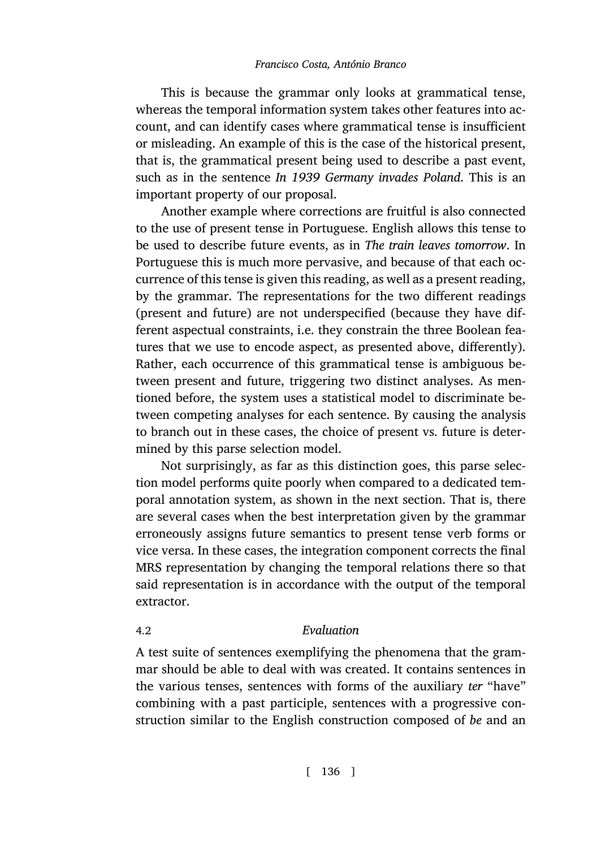This is because the grammar only looks at grammatical tense, whereas the temporal information system takes other features into account, and can identify cases where grammatical tense is insufficient or misleading. An example of this is the case of the historical present, that is, the grammatical present being used to describe a past event, such as in the sentence *In 1939 Germany invades Poland*. This is an important property of our proposal.

Another example where corrections are fruitful is also connected to the use of present tense in Portuguese. English allows this tense to be used to describe future events, as in *The train leaves tomorrow*. In Portuguese this is much more pervasive, and because of that each occurrence of this tense is given this reading, as well as a present reading, by the grammar. The representations for the two different readings (present and future) are not underspecified (because they have different aspectual constraints, i.e. they constrain the three Boolean features that we use to encode aspect, as presented above, differently). Rather, each occurrence of this grammatical tense is ambiguous between present and future, triggering two distinct analyses. As mentioned before, the system uses a statistical model to discriminate between competing analyses for each sentence. By causing the analysis to branch out in these cases, the choice of present vs. future is determined by this parse selection model.

Not surprisingly, as far as this distinction goes, this parse selection model performs quite poorly when compared to a dedicated temporal annotation system, as shown in the next section. That is, there are several cases when the best interpretation given by the grammar erroneously assigns future semantics to present tense verb forms or vice versa. In these cases, the integration component corrects the final MRS representation by changing the temporal relations there so that said representation is in accordance with the output of the temporal extractor.

# 4.2 *Evaluation*

A test suite of sentences exemplifying the phenomena that the grammar should be able to deal with was created. It contains sentences in the various tenses, sentences with forms of the auxiliary *ter* "have" combining with a past participle, sentences with a progressive construction similar to the English construction composed of *be* and an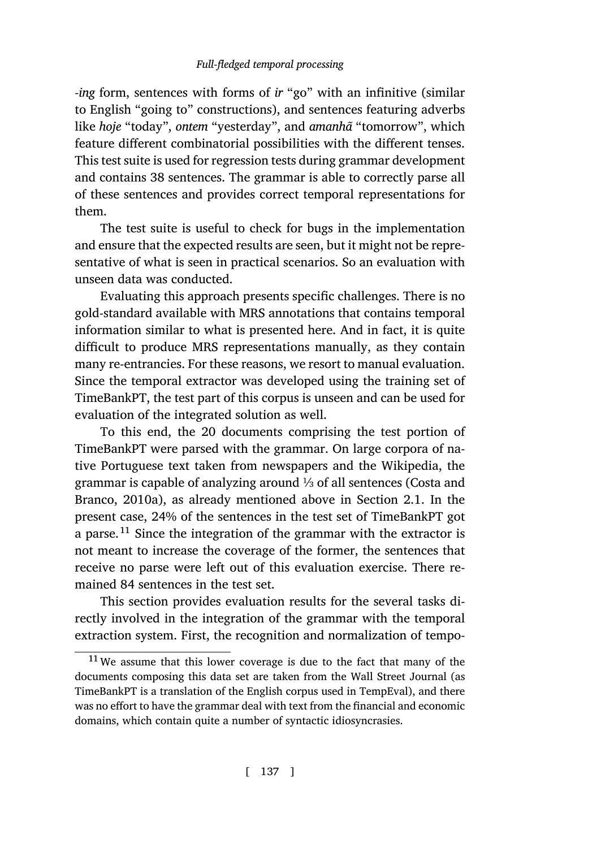*-ing* form, sentences with forms of *ir* "go" with an infinitive (similar to English "going to" constructions), and sentences featuring adverbs like *hoje* "today", *ontem* "yesterday", and *amanhã* "tomorrow", which feature different combinatorial possibilities with the different tenses. This test suite is used for regression tests during grammar development and contains 38 sentences. The grammar is able to correctly parse all of these sentences and provides correct temporal representations for them.

The test suite is useful to check for bugs in the implementation and ensure that the expected results are seen, but it might not be representative of what is seen in practical scenarios. So an evaluation with unseen data was conducted.

Evaluating this approach presents specific challenges. There is no gold-standard available with MRS annotations that contains temporal information similar to what is presented here. And in fact, it is quite difficult to produce MRS representations manually, as th[ey contain](#page-48-0) [many re-entran](#page-48-0)cies. For these reasons, we resort to manual [eva](#page-5-0)luation. Since the temporal extractor was developed using the training set of TimeBankPT, the test part of this corpus is unseen and can be used for evaluation of the integrated solution as well.

To this end, the 20 documents comprising the test portion of TimeBankPT were parsed with the grammar. On large corpora of native Portuguese text taken from newspapers and the Wikipedia, the grammar is capable of analyzing around ⅓ of all sentences (Costa and Branco, 2010a), as already mentioned above in Section 2.1. In the present case, 24% of the sentences in the test set of TimeBankPT got a parse.<sup>11</sup> Since the integration of the grammar with the extractor is not meant to increase the coverage of the former, the sentences that receive no parse were left out of this evaluation exercise. There remained 84 sentences in the test set.

This section provides evaluation results for the several tasks directly involved in the integration of the grammar with the temporal extraction system. First, the recognition and normalization of tempo-

<sup>&</sup>lt;sup>11</sup> We assume that this lower coverage is due to the fact that many of the documents composing this data set are taken from the Wall Street Journal (as TimeBankPT is a translation of the English corpus used in TempEval), and there was no effort to have the grammar deal with text from the financial and economic domains, which contain quite a number of syntactic idiosyncrasies.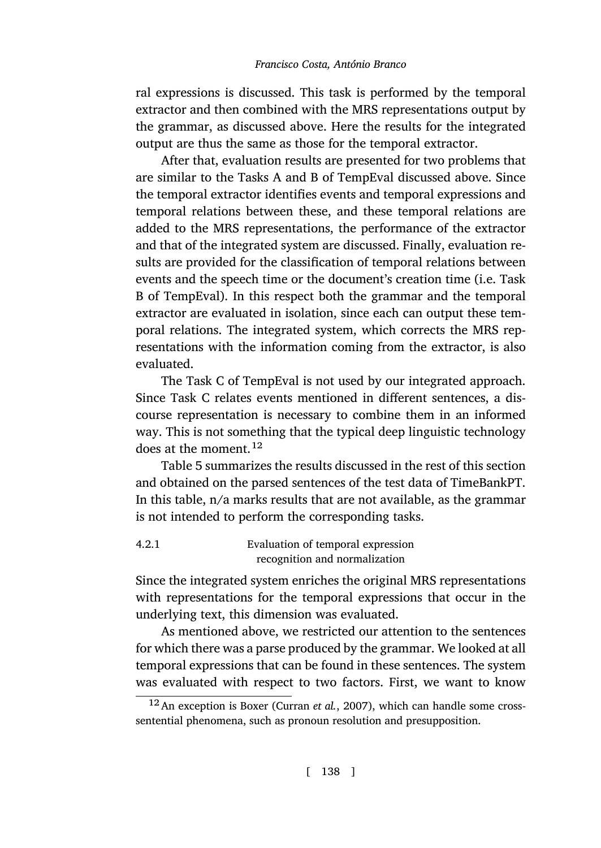ral expressions is discussed. This task is performed by the temporal extractor and then combined with the MRS representations output by the grammar, as discussed above. Here the results for the integrated output are thus the same as those for the temporal extractor.

After that, evaluation results are presented for two problems that are similar to the Tasks A and B of TempEval discussed above. Since the temporal extractor identifies events and temporal expressions and temporal relations between these, and these temporal relations are added to the MRS representations, the performance of the extractor and that of the integrated system are discussed. Finally, evaluation results are provided for the classification of temporal relations between events and the speech time or the document's creation time (i.e. Task B of TempEval). In this respect both the grammar and the temporal extractor are evaluated in isolation, since each can output these temporal relat[io](#page-42-0)ns. The integrated system, which corrects the MRS representations with the information coming from the extractor, is also evaluated.

The Task C of TempEval is not used by our integrated approach. Since Task C relates events mentioned in different sentences, a discourse representation is necessary to combine them in an informed way. This is not something that the typical deep linguistic technology does at the moment.<sup>12</sup>

Table 5 summarizes the results discussed in the rest of this section and obtained on the parsed sentences of the test data of TimeBankPT. In this table, n/a marks results that are not available, as the grammar is not intended to perform the corresponding tasks.

# 4.2.1 Evaluation of temporal expression rec[ognition and norma](#page-49-6)lization

Since the integrated system enriches the original MRS representations with representations for the temporal expressions that occur in the underlying text, this dimension was evaluated.

As mentioned above, we restricted our attention to the sentences for which there was a parse produced by the grammar. We looked at all temporal expressions that can be found in these sentences. The system was evaluated with respect to two factors. First, we want to know

<sup>12</sup>An exception is Boxer (Curran *et al.*, 2007), which can handle some crosssentential phenomena, such as pronoun resolution and presupposition.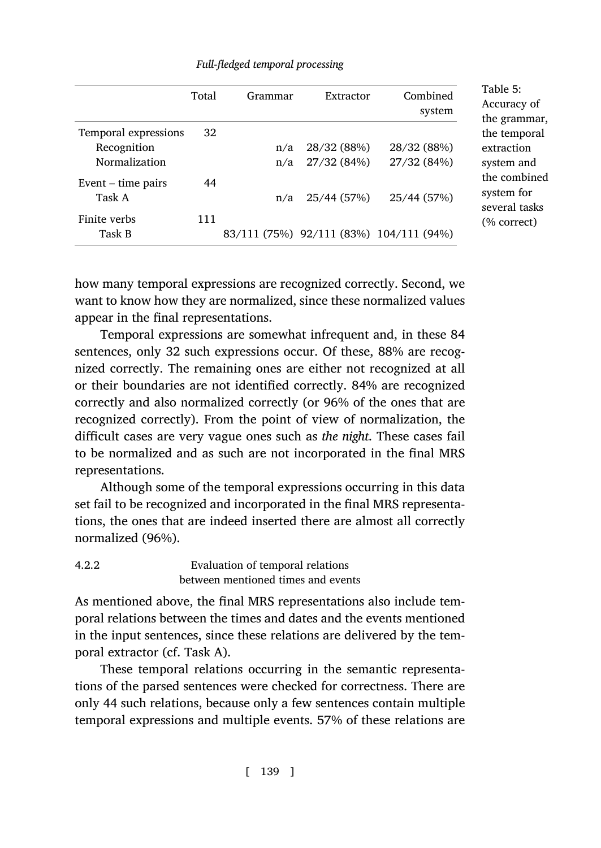| Full-fledged temporal processing |  |  |
|----------------------------------|--|--|
|----------------------------------|--|--|

|                      | Total | Grammar | Extractor   | Combined<br>system                      |
|----------------------|-------|---------|-------------|-----------------------------------------|
| Temporal expressions | 32    |         |             |                                         |
| Recognition          |       | n/a     | 28/32 (88%) | 28/32 (88%)                             |
| Normalization        |       | n/a     | 27/32(84%)  | 27/32 (84%)                             |
| Event $-$ time pairs | 44    |         |             |                                         |
| Task A               |       | n/a     | 25/44 (57%) | 25/44 (57%)                             |
| Finite verbs         | 111   |         |             |                                         |
| Task B               |       |         |             | 83/111 (75%) 92/111 (83%) 104/111 (94%) |

<span id="page-42-0"></span>Table 5: Accuracy of he grammar, he temporal extraction system and he combined system for several tasks (% correct)

how many temporal expressions are recognized correctly. Second, we want to know how they are normalized, since these normalized values appear in the final representations.

Temporal expressions are somewhat infrequent and, in these 84 sentences, only 32 such expressions occur. Of these, 88% are recognized correctly. The remaining ones are either not recognized at all or their boundaries are not identified correctly. 84% are recognized correctly and also normalized correctly (or 96% of the ones that are recognized correctly). From the point of view of normalization, the difficult cases are very vague ones such as *the night*. These cases fail to be normalized and as such are not incorporated in the final MRS representations.

Although some of the temporal expressions occurring in this data set fail to be recognized and incorporated in the final MRS representations, the ones that are indeed inserted there are almost all correctly normalized (96%).

| 4.2.2 | Evaluation of temporal relations   |
|-------|------------------------------------|
|       | between mentioned times and events |

As mentioned above, the final MRS representations also include temporal relations between the times and dates and the events mentioned in the input sentences, since these relations are delivered by the temporal extractor (cf. Task A).

These temporal relations occurring in the semantic representations of the parsed sentences were checked for correctness. There are only 44 such relations, because only a few sentences contain multiple temporal expressions and multiple events. 57% of these relations are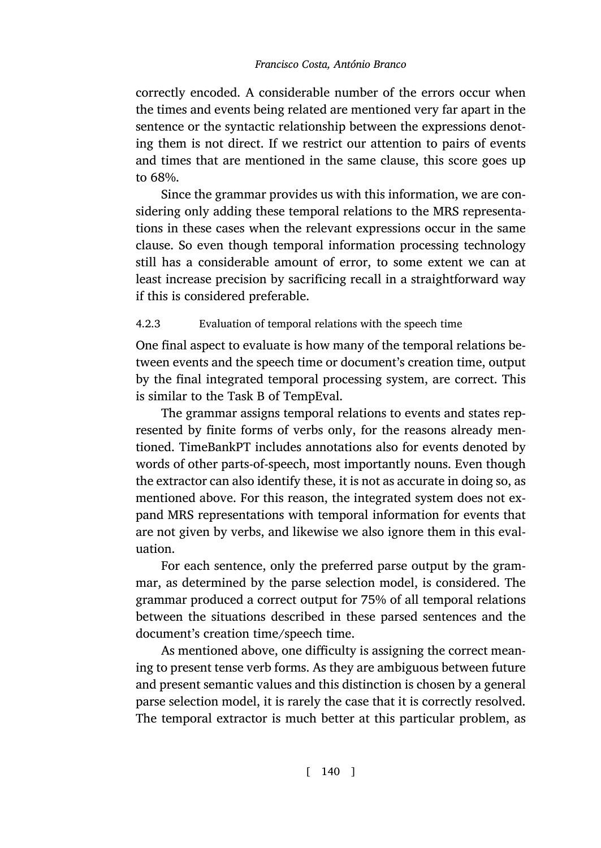correctly encoded. A considerable number of the errors occur when the times and events being related are mentioned very far apart in the sentence or the syntactic relationship between the expressions denoting them is not direct. If we restrict our attention to pairs of events and times that are mentioned in the same clause, this score goes up to 68%.

Since the grammar provides us with this information, we are considering only adding these temporal relations to the MRS representations in these cases when the relevant expressions occur in the same clause. So even though temporal information processing technology still has a considerable amount of error, to some extent we can at least increase precision by sacrificing recall in a straightforward way if this is considered preferable.

# 4.2.3 Evaluation of temporal relations with the speech time

One final aspect to evaluate is how many of the temporal relations between events and the speech time or document's creation time, output by the final integrated temporal processing system, are correct. This is similar to the Task B of TempEval.

The grammar assigns temporal relations to events and states represented by finite forms of verbs only, for the reasons already mentioned. TimeBankPT includes annotations also for events denoted by words of other parts-of-speech, most importantly nouns. Even though the extractor can also identify these, it is not as accurate in doing so, as mentioned above. For this reason, the integrated system does not expand MRS representations with temporal information for events that are not given by verbs, and likewise we also ignore them in this evaluation.

For each sentence, only the preferred parse output by the grammar, as determined by the parse selection model, is considered. The grammar produced a correct output for 75% of all temporal relations between the situations described in these parsed sentences and the document's creation time/speech time.

As mentioned above, one difficulty is assigning the correct meaning to present tense verb forms. As they are ambiguous between future and present semantic values and this distinction is chosen by a general parse selection model, it is rarely the case that it is correctly resolved. The temporal extractor is much better at this particular problem, as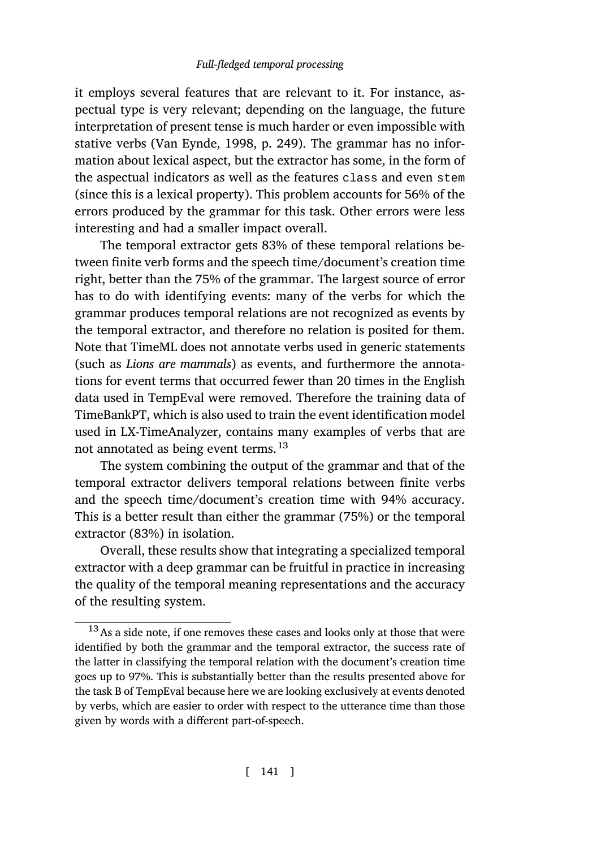it employs several features that are relevant to it. For instance, aspectual type is very relevant; depending on the language, the future interpretation of present tense is much harder or even impossible with stative verbs (Van Eynde, 1998, p. 249). The grammar has no information about lexical aspect, but the extractor has some, in the form of the aspectual indicators as well as the features class and even stem (since this is a lexical property). This problem accounts for 56% of the errors produced by the grammar for this task. Other errors were less interesting and had a smaller impact overall.

The temporal extractor gets 83% of these temporal relations between finite verb forms and the speech time/document's creation time right, better than the 75% of the grammar. The largest source of error has to do with identifying events: many of the verbs for which the grammar produces temporal relations are not recognized as events by the temporal extractor, and therefore no relation is posited for them. Note that TimeML does not annotate verbs used in generic statements (such as *Lions are mammals*) as events, and furthermore the annotations for event terms that occurred fewer than 20 times in the English data used in TempEval were removed. Therefore the training data of TimeBankPT, which is also used to train the event identification model used in LX-TimeAnalyzer, contains many examples of verbs that are not annotated as being event terms.<sup>13</sup>

The system combining the output of the grammar and that of the temporal extractor delivers temporal relations between finite verbs and the speech time/document's creation time with 94% accuracy. This is a better result than either the grammar (75%) or the temporal extractor (83%) in isolation.

Overall, these results show that integrating a specialized temporal extractor with a deep grammar can be fruitful in practice in increasing the quality of the temporal meaning representations and the accuracy of the resulting system.

<sup>&</sup>lt;sup>13</sup> As a side note, if one removes these cases and looks only at those that were identified by both the grammar and the temporal extractor, the success rate of the latter in classifying the temporal relation with the document's creation time goes up to 97%. This is substantially better than the results presented above for the task B of TempEval because here we are looking exclusively at events denoted by verbs, which are easier to order with respect to the utterance time than those given by words with a different part-of-speech.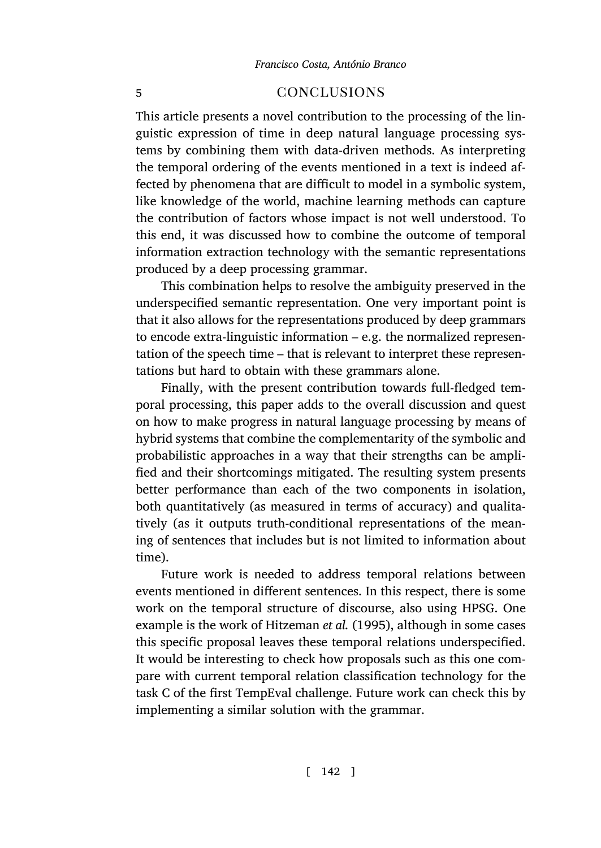# <span id="page-45-0"></span>5 conclusions

This article presents a novel contribution to the processing of the linguistic expression of time in deep natural language processing systems by combining them with data-driven methods. As interpreting the temporal ordering of the events mentioned in a text is indeed affected by phenomena that are difficult to model in a symbolic system, like knowledge of the world, machine learning methods can capture the contribution of factors whose impact is not well understood. To this end, it was discussed how to combine the outcome of temporal information extraction technology with the semantic representations produced by a deep processing grammar.

This combination helps to resolve the ambiguity preserved in the underspecified semantic representation. One very important point is that it also allows for the representations produced by deep grammars to encode extra-linguistic information – e.g. the normalized representation of the speech time – that is relevant to interpret these representations but hard to obtain with these grammars alone.

Finally, with the present contribution towards full-fledged temporal processing, this paper adds to the overall discussion and quest on how to make progress in natural language processing by means of hybrid systems that combine the complementarity of the symbolic and probabilistic approaches in a way that their strengths can be amplified and their shortcomings mitigated. The resulting system presents better performance th[an each of the two c](#page-51-9)omponents in isolation, both quantitatively (as measured in terms of accuracy) and qualitatively (as it outputs truth-conditional representations of the meaning of sentences that includes but is not limited to information about time).

Future work is needed to address temporal relations between events mentioned in different sentences. In this respect, there is some work on the temporal structure of discourse, also using HPSG. One example is the work of Hitzeman *et al.* (1995), although in some cases this specific proposal leaves these temporal relations underspecified. It would be interesting to check how proposals such as this one compare with current temporal relation classification technology for the task C of the first TempEval challenge. Future work can check this by implementing a similar solution with the grammar.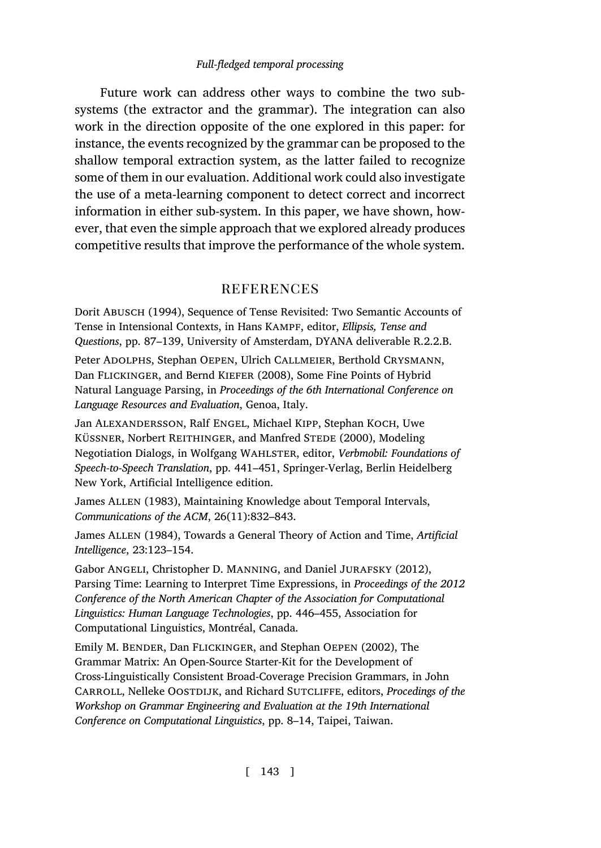Future work can address other ways to combine the two subsystems (the extractor and the grammar). The integration can also work in the direction opposite of the one explored in this paper: for instance, the events recognized by the grammar can be proposed to the shallow temporal extraction system, as the latter failed to recognize some of them in our evaluation. Additional work could also investigate the use of a meta-learning component to detect correct and incorrect information in either sub-system. In this paper, we have shown, however, that even the simple approach that we explored already produces competitive results that improve the performance of the whole system.

# **REFERENCES**

<span id="page-46-6"></span>Dorit Abusch (1994), Sequence of Tense Revisited: Two Semantic Accounts of Tense in Intensional Contexts, in Hans Kampf, editor, *Ellipsis, Tense and Questions*, pp. 87–139, University of Amsterdam, DYANA deliverable R.2.2.B.

<span id="page-46-4"></span>Peter ADOLPHS, Stephan OEPEN, Ulrich CALLMEIER, Berthold CRYSMANN, Dan FLICKINGER, and Bernd KIEFER (2008), Some Fine Points of Hybrid Natural Language Parsing, in *Proceedings of the 6th International Conference on Language Resources and Evaluation*, Genoa, Italy.

<span id="page-46-5"></span>Jan Alexandersson, Ralf Engel, Michael Kipp, Stephan Koch, Uwe KÜSSNER, Norbert REITHINGER, and Manfred STEDE (2000), Modeling Negotiation Dialogs, in Wolfgang Wahlster, editor, *Verbmobil: Foundations of Speech-to-Speech Translation*, pp. 441–451, Springer-Verlag, Berlin Heidelberg New York, Artificial Intelligence edition.

<span id="page-46-1"></span>James ALLEN (1983), Maintaining Knowledge about Temporal Intervals, *Communications of the ACM*, 26(11):832–843.

<span id="page-46-2"></span>James Allen (1984), Towards a General Theory of Action and Time, *Artificial Intelligence*, 23:123–154.

<span id="page-46-3"></span>Gabor Angeli, Christopher D. Manning, and Daniel Jurafsky (2012), Parsing Time: Learning to Interpret Time Expressions, in *Proceedings of the 2012 Conference of the North American Chapter of the Association for Computational Linguistics: Human Language Technologies*, pp. 446–455, Association for Computational Linguistics, Montréal, Canada.

<span id="page-46-0"></span>Emily M. Bender, Dan Flickinger, and Stephan Oepen (2002), The Grammar Matrix: An Open-Source Starter-Kit for the Development of Cross-Linguistically Consistent Broad-Coverage Precision Grammars, in John CARROLL, Nelleke OOSTDIJK, and Richard SUTCLIFFE, editors, *Procedings of the Workshop on Grammar Engineering and Evaluation at the 19th International Conference on Computational Linguistics*, pp. 8–14, Taipei, Taiwan.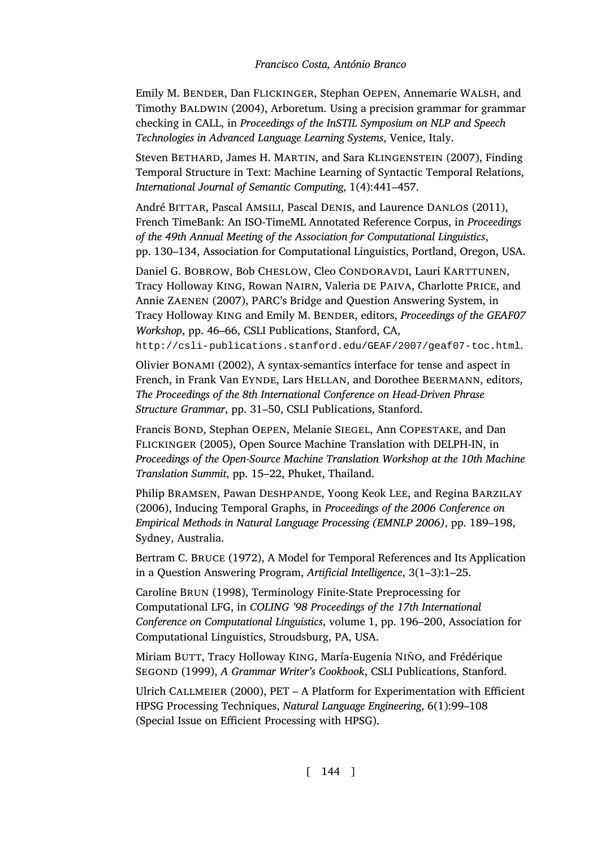<span id="page-47-4"></span><span id="page-47-1"></span>Emily M. BENDER, Dan FLICKINGER, Stephan OEPEN, Annemarie WALSH, and Timothy BALDWIN (2004), Arboretum. Using a precision grammar for grammar checking in CALL, in *Proceedings of the InSTIL Symposium on NLP and Speech Technologies in Advanced Language Learning Systems*, Venice, Italy.

<span id="page-47-8"></span>Steven BETHARD, James H. MARTIN, and Sara KLINGENSTEIN (2007), Finding Temporal Structure in Text: Machine Learning of Syntactic Temporal Relations, *International Journal of Semantic Computing*, 1(4):441–457.

<span id="page-47-7"></span>André BITTAR, Pascal AMSILI, Pascal DENIS, and Laurence DANLOS (2011), French TimeBank: An ISO-TimeML Annotated Reference Corpus, in *Proceedings of the 49th Annual Meeting of the Association for Computational Linguistics*, pp. 130–134, Association for Computational Linguistics, Portland, Oregon, USA.

<span id="page-47-0"></span>Daniel G. BOBROW, Bob CHESLOW, Cleo CONDORAVDI, Lauri KARTTUNEN, Tracy Holloway King, Rowan Nairn, Valeria de Paiva, Charlotte Price, and Annie Zaenen (2007), PARC's Bridge and Question Answering System, in Tracy Holloway KING and Emily M. BENDER, editors, *Proceedings of the GEAF07 Workshop*, pp. 46–66, CSLI Publications, Stanford, CA,

<span id="page-47-3"></span>http://csli-publications.stanford.edu/GEAF/2007/geaf07-toc.html.

Olivier Bonami (2002), A syntax-semantics interface for tense and aspect in French, in Frank Van EYNDE, Lars HELLAN, and Dorothee BEERMANN, editors, *The Proceedings of the 8th International Conference on Head-Driven Phrase Structure Grammar*, pp. 31–50, CSLI Publications, Stanford.

<span id="page-47-5"></span><span id="page-47-2"></span>Francis Bond, Stephan Oepen, Melanie Siegel, Ann Copestake, and Dan Flickinger (2005), Open Source Machine Translation with DELPH-IN, in *Proceedings of the Open-Source Machine Translation Workshop at the 10th Machine Translation Summit*, pp. 15–22, Phuket, Thailand.

<span id="page-47-6"></span>Philip Bramsen, Pawan Deshpande, Yoong Keok Lee, and Regina Barzilay (2006), Inducing Temporal Graphs, in *Proceedings of the 2006 Conference on Empirical Methods in Natural Language Processing (EMNLP 2006)*, pp. 189–198, Sydney, Australia.

Bertram C. Bruce (1972), A Model for Temporal References and Its Application in a Question Answering Program, *Artificial Intelligence*, 3(1–3):1–25.

Caroline Brun (1998), Terminology Finite-State Preprocessing for Computational LFG, in *COLING '98 Proceedings of the 17th International Conference on Computational Linguistics*, volume 1, pp. 196–200, Association for Computational Linguistics, Stroudsburg, PA, USA.

Miriam BUTT, Tracy Holloway KING, María-Eugenia NIÑO, and Frédérique Segond (1999), *A Grammar Writer's Cookbook*, CSLI Publications, Stanford.

Ulrich Callmeier (2000), PET – A Platform for Experimentation with Efficient HPSG Processing Techniques, *Natural Language Engineering*, 6(1):99–108 (Special Issue on Efficient Processing with HPSG).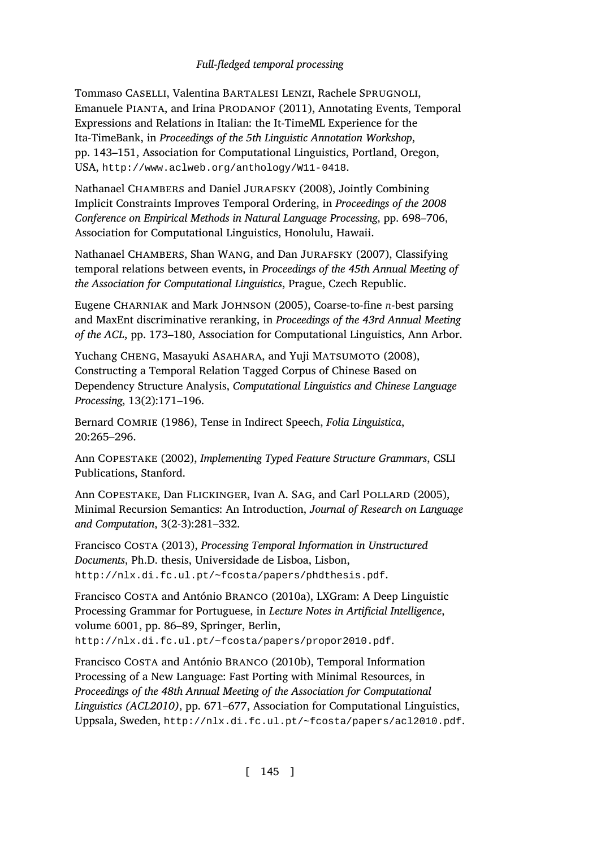<span id="page-48-5"></span><span id="page-48-4"></span><span id="page-48-3"></span>Tommaso Caselli, Valentina Bartalesi Lenzi, Rachele Sprugnoli, Emanuele PIANTA, and Irina PRODANOF (2011), Annotating Events, Temporal Expressions and Relations in Italian: the It-TimeML Experience for the Ita-TimeBank, in *Proceedings of the 5th Linguistic Annotation Workshop*, pp. 143–151, Association for Computational Linguistics, Portland, Oregon, USA, http://www.aclweb.org/anthology/W11-0418.

Nathanael CHAMBERS and Daniel JURAFSKY (2008), Jointly Combining Implicit Constraints Improves Temporal Ordering, in *Proceedings of the 2008 Conference on Empirical Methods in Natural Language Processing*, pp. 698–706, Association for Computational Linguistics, Honolulu, Hawaii.

<span id="page-48-8"></span>Nathanael Chambers, Shan Wang, and Dan Jurafsky (2007), Classifying temporal relations between events, in *Proceedings of the 45th Annual Meeting of the Association for Computational Linguistics*, Prague, Czech Republic.

<span id="page-48-1"></span>Eugene Charniak and Mark Johnson (2005), Coarse-to-fine *n*-best parsing and MaxEnt discriminative reranking, in *Proceedings of the 43rd Annual Meeting of the ACL*, pp. 173–180, Association for Computational Linguistics, Ann Arbor.

<span id="page-48-2"></span>Yuchang CHENG, Masayuki ASAHARA, and Yuji MATSUMOTO (2008), Constructing a Temporal Relation Tagged Corpus of Chinese Based on Dependency Structure Analysis, *Computational Linguistics and Chinese Language Processing*, 13(2):171–196.

<span id="page-48-7"></span>Bernard Comrie (1986), Tense in Indirect Speech, *Folia Linguistica*, [20:265–296.](http://nlx.di.fc.ul.pt/~fcosta/papers/phdthesis.pdf)

<span id="page-48-0"></span>Ann Copestake (2002), *Implementing Typed Feature Structure Grammars*, CSLI Publications, Stanford.

<span id="page-48-6"></span>Ann COPESTAKE, Dan FLICKINGER, Ivan A. SAG, and Carl POLLARD (2005), [Minimal Recursion Semantics: An Introduction,](http://nlx.di.fc.ul.pt/~fcosta/papers/propor2010.pdf) *Journal of Research on Language and Computation*, 3(2-3):281–332.

Francisco Costa (2013), *Processing Temporal Information in Unstructured Documents*, Ph.D. thesis, Universidade de Lisboa, Lisbon, http://nlx.di.[fc.ul.pt/~fcosta/papers/phdthesis.pdf](http://nlx.di.fc.ul.pt/~fcosta/papers/acl2010.pdf).

Francisco Costa and António Branco (2010a), LXGram: A Deep Linguistic Processing Grammar for Portuguese, in *Lecture Notes in Artificial Intelligence*, volume 6001, pp. 86–89, Springer, Berlin, http://nlx.di.fc.ul.pt/~fcosta/papers/propor2010.pdf.

Francisco Costa and António Branco (2010b), Temporal Information Processing of a New Language: Fast Porting with Minimal Resources, in *Proceedings of the 48th Annual Meeting of the Association for Computational Linguistics (ACL2010)*, pp. 671–677, Association for Computational Linguistics, Uppsala, Sweden, http://nlx.di.fc.ul.pt/~fcosta/papers/acl2010.pdf.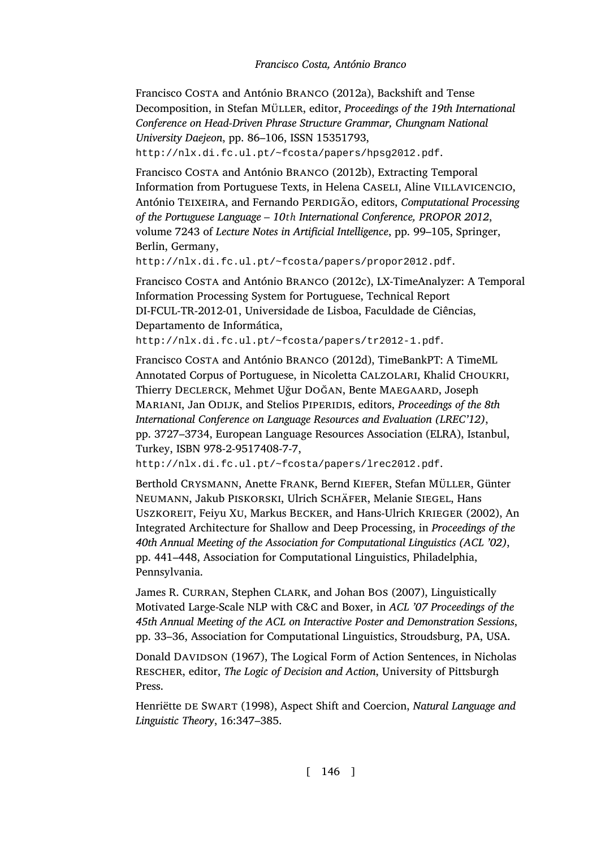<span id="page-49-5"></span><span id="page-49-1"></span>Francisco Costa and António Branco (2012a), Backshift and Tense Decomposition, in Stefan Müller, editor, *Proceedings of the 19th International [Conference on Head-Driven Phrase Structure Grammar, Chungnam N](http://nlx.di.fc.ul.pt/~fcosta/papers/propor2012.pdf)ational University Daejeon*, pp. 86–106, ISSN 15351793, http://nlx.di.fc.ul.pt/~fcosta/papers/hpsg2012.pdf.

<span id="page-49-2"></span>Francisco Costa and António Branco (2012b), Extracting Temporal Information from Portuguese Texts, in Helena Caseli, Aline Villavicencio, António TEIXEIRA, and Fernando PERDIGÃO, editors, *Computational Processing of the Portuguese Language – 10th International Conference, PROPOR 2012*, volume 7243 of *Lecture Notes in Artificial Intelligence*, pp. 99–105, Springer, Berlin, Germany,

http://nlx.di.fc.ul.pt/~fcosta/papers/propor2012.pdf.

Francisco Costa and António Branco (2012c), LX-TimeAnalyzer: A Temporal Information Processing System for Portuguese, Technical Report DI-FCUL-TR-2012-01, Universidade de Lisboa, Faculdade de Ciências, [Departamento de Informática,](http://nlx.di.fc.ul.pt/~fcosta/papers/lrec2012.pdf)

<span id="page-49-3"></span>http://nlx.di.fc.ul.pt/~fcosta/papers/tr2012-1.pdf.

Francisco Costa and António Branco (2012d), TimeBankPT: A TimeML Annotated Corpus of Portuguese, in Nicoletta CALZOLARI, Khalid CHOUKRI, Thierry Declerck, Mehmet Uğur Doğan, Bente Maegaard, Joseph Mariani, Jan Odijk, and Stelios Piperidis, editors, *Proceedings of the 8th International Conference on Language Resources and Evaluation (LREC'12)*, pp. 3727–3734, European Language Resources Association (ELRA), Istanbul, Turkey, ISBN 978-2-9517408-7-7,

<span id="page-49-6"></span>http://nlx.di.fc.ul.pt/~fcosta/papers/lrec2012.pdf.

<span id="page-49-0"></span>Berthold Crysmann, Anette Frank, Bernd Kiefer, Stefan Müller, Günter Neumann, Jakub Piskorski, Ulrich Schäfer, Melanie Siegel, Hans Uszkoreit, Feiyu Xu, Markus Becker, and Hans-Ulrich Krieger (2002), An Integrated Architecture for Shallow and Deep Processing, in *Proceedings of the 40th Annual Meeting of the Association for Computational Linguistics (ACL '02)*, pp. 441–448, Association for Computational Linguistics, Philadelphia, Pennsylvania.

<span id="page-49-4"></span>James R. CURRAN, Stephen CLARK, and Johan BOS (2007), Linguistically Motivated Large-Scale NLP with C&C and Boxer, in *ACL '07 Proceedings of the 45th Annual Meeting of the ACL on Interactive Poster and Demonstration Sessions*, pp. 33–36, Association for Computational Linguistics, Stroudsburg, PA, USA.

Donald DAVIDSON (1967), The Logical Form of Action Sentences, in Nicholas Rescher, editor, *The Logic of Decision and Action*, University of Pittsburgh Press.

Henriëtte de Swart (1998), Aspect Shift and Coercion, *Natural Language and Linguistic Theory*, 16:347–385.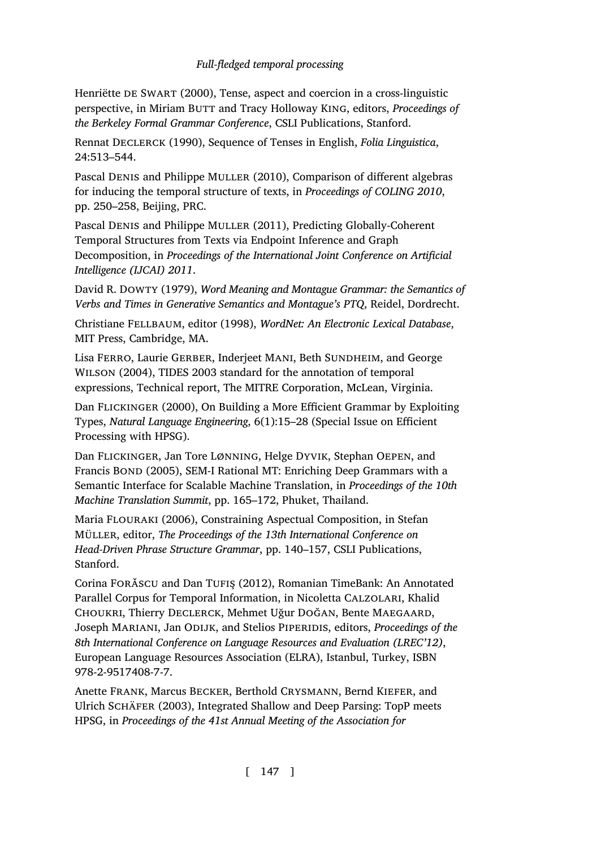<span id="page-50-8"></span>Henriëtte de Swart (2000), Tense, aspect and coercion in a cross-linguistic perspective, in Miriam BUTT and Tracy Holloway KING, editors, *Proceedings of the Berkeley Formal Grammar Conference*, CSLI Publications, Stanford.

<span id="page-50-10"></span>Rennat Declerck (1990), Sequence of Tenses in English, *Folia Linguistica*, 24:513–544.

<span id="page-50-2"></span>Pascal DENIS and Philippe MULLER (2010), Comparison of different algebras for inducing the temporal structure of texts, in *Proceedings of COLING 2010*, pp. 250–258, Beijing, PRC.

<span id="page-50-4"></span>Pascal Denis and Philippe Muller (2011), Predicting Globally-Coherent Temporal Structures from Texts via Endpoint Inference and Graph Decomposition, in *Proceedings of the International Joint Conference on Artificial Intelligence (IJCAI) 2011*.

<span id="page-50-0"></span>David R. Dowty (1979), *Word Meaning and Montague Grammar: the Semantics of Verbs and Times in Generative Semantics and Montague's PTQ*, Reidel, Dordrecht.

<span id="page-50-3"></span>Christiane Fellbaum, editor (1998), *WordNet: An Electronic Lexical Database*, MIT Press, Cambridge, MA.

Lisa FERRO, Laurie GERBER, Inderjeet MANI, Beth SUNDHEIM, and George Wilson (2004), TIDES 2003 standard for the annotation of temporal expressions, Technical report, The MITRE Corporation, McLean, Virginia.

<span id="page-50-7"></span>Dan FLICKINGER (2000), On Building a More Efficient Grammar by Exploiting Types, *Natural Language Engineering*, 6(1):15–28 (Special Issue on Efficient Processing with HPSG).

<span id="page-50-1"></span>Dan Flickinger, Jan Tore Lønning, Helge Dyvik, Stephan Oepen, and Francis BOND (2005), SEM-I Rational MT: Enriching Deep Grammars with a Semantic Interface for Scalable Machine Translation, in *Proceedings of the 10th Machine Translation Summit*, pp. 165–172, Phuket, Thailand.

<span id="page-50-9"></span>Maria Flouraki (2006), Constraining Aspectual Composition, in Stefan Müller, editor, *The Proceedings of the 13th International Conference on Head-Driven Phrase Structure Grammar*, pp. 140–157, CSLI Publications, Stanford.

<span id="page-50-5"></span>Corina Forǎscu and Dan Tufiş (2012), Romanian TimeBank: An Annotated Parallel Corpus for Temporal Information, in Nicoletta Calzolari, Khalid Choukri, Thierry Declerck, Mehmet Uğur Doğan, Bente Maegaard, Joseph Mariani, Jan Odijk, and Stelios Piperidis, editors, *Proceedings of the 8th International Conference on Language Resources and Evaluation (LREC'12)*, European Language Resources Association (ELRA), Istanbul, Turkey, ISBN 978-2-9517408-7-7.

<span id="page-50-6"></span>Anette Frank, Marcus Becker, Berthold Crysmann, Bernd Kiefer, and Ulrich Schäfer (2003), Integrated Shallow and Deep Parsing: TopP meets HPSG, in *Proceedings of the 41st Annual Meeting of the Association for*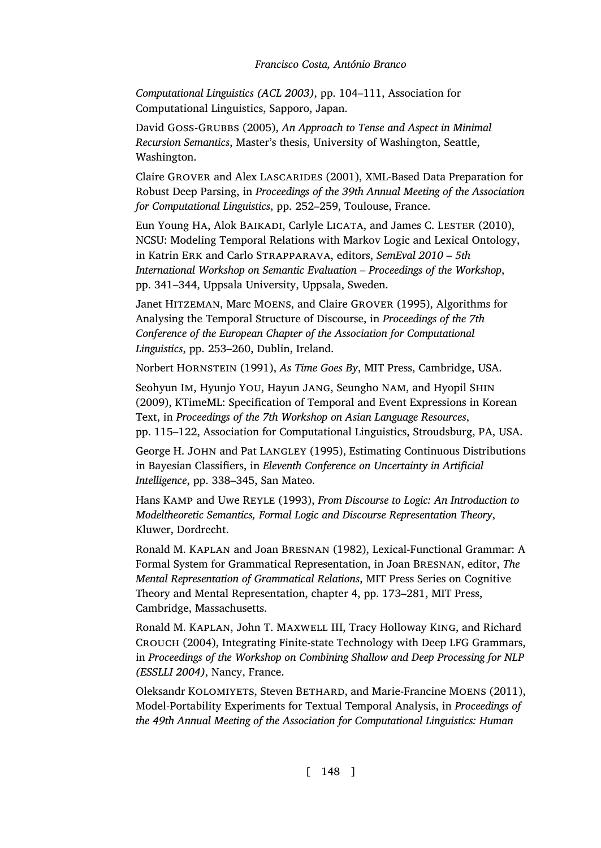*Computational Linguistics (ACL 2003)*, pp. 104–111, Association for Computational Linguistics, Sapporo, Japan.

<span id="page-51-7"></span>David Goss-Grubbs (2005), *An Approach to Tense and Aspect in Minimal Recursion Semantics*, Master's thesis, University of Washington, Seattle, Washington.

Claire GROVER and Alex LASCARIDES (2001), XML-Based Data Preparation for Robust Deep Parsing, in *Proceedings of the 39th Annual Meeting of the Association for Computational Linguistics*, pp. 252–259, Toulouse, France.

<span id="page-51-0"></span>Eun Young HA, Alok BAIKADI, Carlyle LICATA, and James C. LESTER (2010), NCSU: Modeling Temporal Relations with Markov Logic and Lexical Ontology, in Katrin Erk and Carlo Strapparava, editors, *SemEval 2010 – 5th International Workshop on Semantic Evaluation – Proceedings of the Workshop*, pp. 341–344, Uppsala University, Uppsala, Sweden.

<span id="page-51-9"></span>Janet Hitzeman, Marc Moens, and Claire Grover (1995), Algorithms for Analysing the Temporal Structure of Discourse, in *Proceedings of the 7th Conference of the European Chapter of the Association for Computational Linguistics*, pp. 253–260, Dublin, Ireland.

<span id="page-51-8"></span>Norbert Hornstein (1991), *As Time Goes By*, MIT Press, Cambridge, USA.

<span id="page-51-3"></span>Seohyun Im, Hyunjo YOU, Hayun JANG, Seungho NAM, and Hyopil SHIN (2009), KTimeML: Specification of Temporal and Event Expressions in Korean Text, in *Proceedings of the 7th Workshop on Asian Language Resources*, pp. 115–122, Association for Computational Linguistics, Stroudsburg, PA, USA.

<span id="page-51-1"></span>George H. John and Pat Langley (1995), Estimating Continuous Distributions in Bayesian Classifiers, in *Eleventh Conference on Uncertainty in Artificial Intelligence*, pp. 338–345, San Mateo.

<span id="page-51-6"></span>Hans Kamp and Uwe Reyle (1993), *From Discourse to Logic: An Introduction to Modeltheoretic Semantics, Formal Logic and Discourse Representation Theory*, Kluwer, Dordrecht.

<span id="page-51-4"></span>Ronald M. Kaplan and Joan Bresnan (1982), Lexical-Functional Grammar: A Formal System for Grammatical Representation, in Joan Bresnan, editor, *The Mental Representation of Grammatical Relations*, MIT Press Series on Cognitive Theory and Mental Representation, chapter 4, pp. 173–281, MIT Press, Cambridge, Massachusetts.

<span id="page-51-5"></span>Ronald M. Kaplan, John T. Maxwell III, Tracy Holloway King, and Richard Crouch (2004), Integrating Finite-state Technology with Deep LFG Grammars, in *Proceedings of the Workshop on Combining Shallow and Deep Processing for NLP (ESSLLI 2004)*, Nancy, France.

<span id="page-51-2"></span>Oleksandr KOLOMIYETS, Steven BETHARD, and Marie-Francine MOENS (2011), Model-Portability Experiments for Textual Temporal Analysis, in *Proceedings of the 49th Annual Meeting of the Association for Computational Linguistics: Human*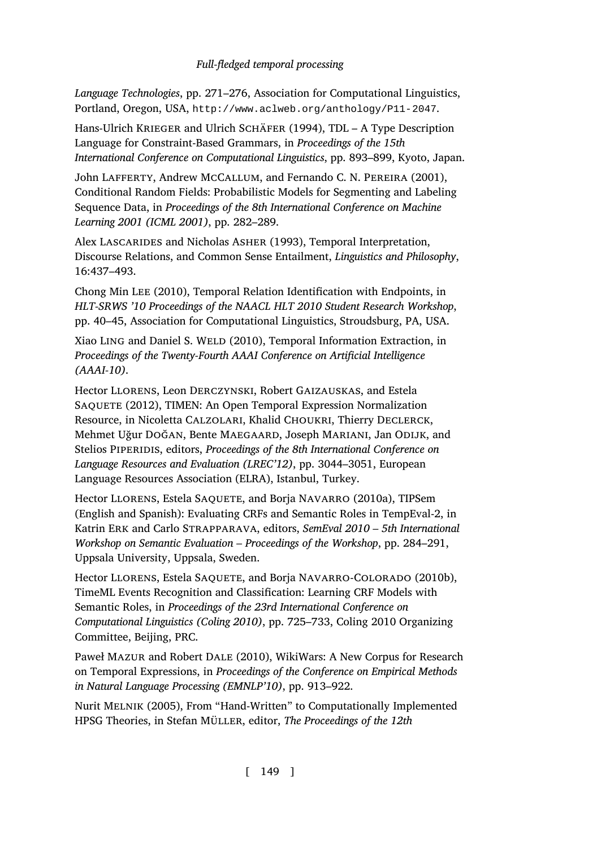<span id="page-52-6"></span><span id="page-52-0"></span>*Language Technologies*, pp. 271–276, Association for Computational Linguistics, Portland, Oregon, USA, http://www.aclweb.org/anthology/P11-2047.

<span id="page-52-3"></span>Hans-Ulrich KRIEGER and Ulrich SCHÄFER (1994), TDL - A Type Description Language for Constraint-Based Grammars, in *Proceedings of the 15th International Conference on Computational Linguistics*, pp. 893–899, Kyoto, Japan.

John Lafferty, Andrew McCallum, and Fernando C. N. Pereira (2001), Conditional Random Fields: Probabilistic Models for Segmenting and Labeling Sequence Data, in *Proceedings of the 8th International Conference on Machine Learning 2001 (ICML 2001)*, pp. 282–289.

<span id="page-52-5"></span>Alex LASCARIDES and Nicholas ASHER (1993), Temporal Interpretation, Discourse Relations, and Common Sense Entailment, *Linguistics and Philosophy*, 16:437–493.

Chong Min Lee (2010), Temporal Relation Identification with Endpoints, in *HLT-SRWS '10 Proceedings of the NAACL HLT 2010 Student Research Workshop*, pp. 40–45, Association for Computational Linguistics, Stroudsburg, PA, USA.

<span id="page-52-2"></span>Xiao LING and Daniel S. WELD (2010), Temporal Information Extraction, in *Proceedings of the Twenty-Fourth AAAI Conference on Artificial Intelligence (AAAI-10)*.

<span id="page-52-1"></span>Hector Llorens, Leon Derczynski, Robert Gaizauskas, and Estela SAQUETE (2012), TIMEN: An Open Temporal Expression Normalization Resource, in Nicoletta CALZOLARI, Khalid CHOUKRI, Thierry DECLERCK, Mehmet Uğur Doğan, Bente Maegaard, Joseph Mariani, Jan Odijk, and Stelios Piperidis, editors, *Proceedings of the 8th International Conference on Language Resources and Evaluation (LREC'12)*, pp. 3044–3051, European Language Resources Association (ELRA), Istanbul, Turkey.

<span id="page-52-4"></span>Hector LLORENS, Estela SAQUETE, and Borja NAVARRO (2010a), TIPSem (English and Spanish): Evaluating CRFs and Semantic Roles in TempEval-2, in Katrin Erk and Carlo Strapparava, editors, *SemEval 2010 – 5th International Workshop on Semantic Evaluation – Proceedings of the Workshop*, pp. 284–291, Uppsala University, Uppsala, Sweden.

<span id="page-52-7"></span>Hector LLORENS, Estela SAQUETE, and Borja NAVARRO-COLORADO (2010b), TimeML Events Recognition and Classification: Learning CRF Models with Semantic Roles, in *Proceedings of the 23rd International Conference on Computational Linguistics (Coling 2010)*, pp. 725–733, Coling 2010 Organizing Committee, Beijing, PRC.

Paweł Mazur and Robert Dale (2010), WikiWars: A New Corpus for Research on Temporal Expressions, in *Proceedings of the Conference on Empirical Methods in Natural Language Processing (EMNLP'10)*, pp. 913–922.

Nurit Melnik (2005), From "Hand-Written" to Computationally Implemented HPSG Theories, in Stefan Müller, editor, *The Proceedings of the 12th*

[ 149 ]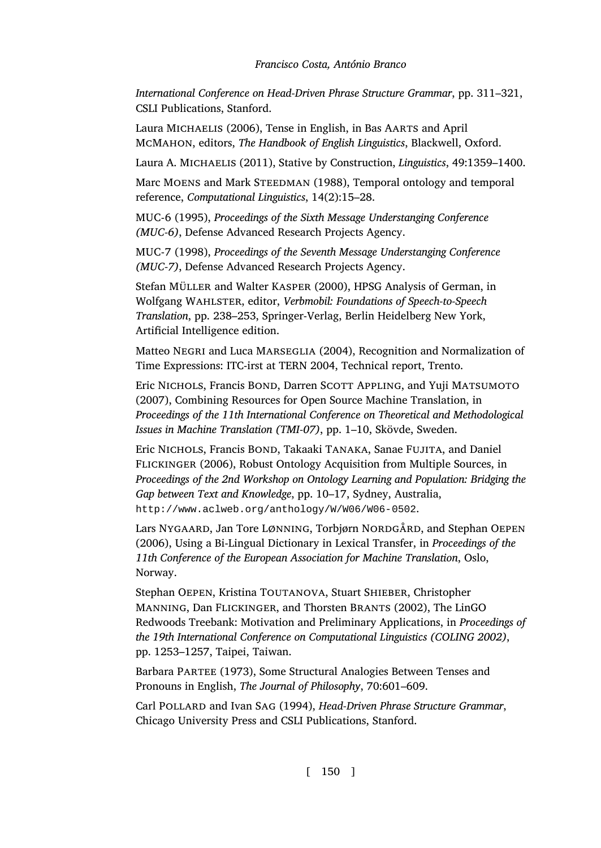<span id="page-53-6"></span><span id="page-53-5"></span><span id="page-53-4"></span>*International Conference on Head-Driven Phrase Structure Grammar*, pp. 311–321, CSLI Publications, Stanford.

Laura MICHAELIS (2006), Tense in English, in Bas AARTS and April McMahon, editors, *The Handbook of English Linguistics*, Blackwell, Oxford.

Laura A. Michaelis (2011), Stative by Construction, *Linguistics*, 49:1359–1400.

Marc MOENS and Mark STEEDMAN (1988), Temporal ontology and temporal reference, *Computational Linguistics*, 14(2):15–28.

<span id="page-53-3"></span>MUC-6 (1995), *Proceedings of the Sixth Message Understanging Conference (MUC-6)*, Defense Advanced Research Projects Agency.

<span id="page-53-2"></span>MUC-7 (1998), *Proceedings of the Seventh Message Understanging Conference (MUC-7)*, Defense Advanced Research Projects Agency.

<span id="page-53-0"></span>Stefan Müller and Walter Kasper (2000), HPSG Analysis of German, in Wolfgang Wahlster, editor, *Verbmobil: Foundations of Speech-to-Speech Translation*, pp. 238–253, Springer-Verlag, Berlin Heidelberg New York, Artificial Intelligence edition.

Matteo Negri and Luca Marseglia (2004), Recognition and Normalization of [Time Expressions: ITC-irst at TERN 2004, Technical repor](http://www.aclweb.org/anthology/W/W06/W06-0502)t, Trento.

<span id="page-53-1"></span>Eric NICHOLS, Francis BOND, Darren SCOTT APPLING, and Yuji MATSUMOTO (2007), Combining Resources for Open Source Machine Translation, in *Proceedings of the 11th International Conference on Theoretical and Methodological Issues in Machine Translation (TMI-07)*, pp. 1–10, Skövde, Sweden.

Eric Nichols, Francis Bond, Takaaki Tanaka, Sanae Fujita, and Daniel Flickinger (2006), Robust Ontology Acquisition from Multiple Sources, in *Proceedings of the 2nd Workshop on Ontology Learning and Population: Bridging the Gap between Text and Knowledge*, pp. 10–17, Sydney, Australia, http://www.aclweb.org/anthology/W/W06/W06-0502.

Lars NyGAARD, Jan Tore LØNNING, Torbjørn NORDGÅRD, and Stephan OEPEN (2006), Using a Bi-Lingual Dictionary in Lexical Transfer, in *Proceedings of the 11th Conference of the European Association for Machine Translation*, Oslo, Norway.

Stephan OEPEN, Kristina TOUTANOVA, Stuart SHIEBER, Christopher Manning, Dan Flickinger, and Thorsten Brants (2002), The LinGO Redwoods Treebank: Motivation and Preliminary Applications, in *Proceedings of the 19th International Conference on Computational Linguistics (COLING 2002)*, pp. 1253–1257, Taipei, Taiwan.

Barbara Partee (1973), Some Structural Analogies Between Tenses and Pronouns in English, *The Journal of Philosophy*, 70:601–609.

Carl Pollard and Ivan Sag (1994), *Head-Driven Phrase Structure Grammar*, Chicago University Press and CSLI Publications, Stanford.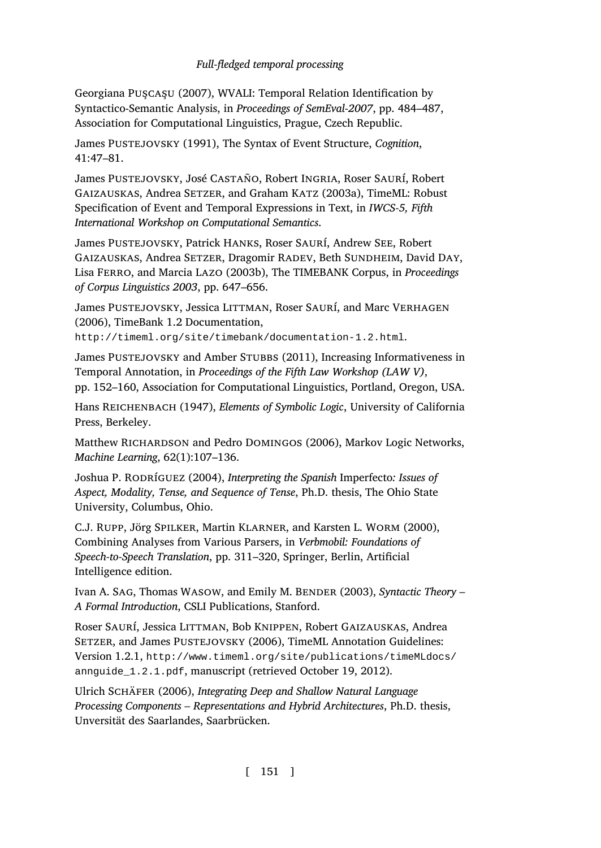<span id="page-54-9"></span><span id="page-54-3"></span><span id="page-54-2"></span><span id="page-54-1"></span>Georgiana Puşcaşu (2007), WVALI: Temporal Relation Identification by Syntactico-Semantic Analysis, in *Proceedings of SemEval-2007*, pp. 484–487, Association for Computational Linguistics, Prague, Czech Republic.

James PUSTEJOVSKY (1991), The Syntax of Event Structure, *Cognition*, 41:47–81.

<span id="page-54-10"></span>James Pustejovsky, José Castaño, Robert Ingria, Roser Saurí, Robert GAIZAUSKAS, Andrea SETZER, and Graham KATZ (2003a), TimeML: Robust Specification of Event and Temporal Expressions in Text, in *IWCS-5, Fifth International Workshop on Computational Semantics*.

<span id="page-54-7"></span><span id="page-54-4"></span>James Pustejovsky, Patrick Hanks, Roser Saurí, Andrew See, Robert Gaizauskas, Andrea Setzer, Dragomir Radev, Beth Sundheim, David Day, Lisa Ferro, and Marcia Lazo (2003b), The TIMEBANK Corpus, in *Proceedings of Corpus Linguistics 2003*, pp. 647–656.

James PUSTEJOVSKY, Jessica LITTMAN, Roser SAURÍ, and Marc VERHAGEN (2006), TimeBank 1.2 Documentation, http://timeml.org/site/timebank/documentation-1.2.html.

<span id="page-54-11"></span>James Pustejovsky and Amber Stubbs (2011), Increasing Informativeness in Temporal Annotation, in *Proceedings of the Fifth Law Workshop (LAW V)*, pp. 152–160, Association for Computational Linguistics, Portland, Oregon, USA.

<span id="page-54-6"></span>Hans Reichenbach (1947), *Elements of Symbolic Logic*, University of California Press, Berkeley.

<span id="page-54-0"></span>Matthew RICHARDSON and Pedro DOMINGOS (2006), Markov Logic Networks, *Machine Learning*, 62(1):107–136.

<span id="page-54-8"></span>Joshua P. Rodríguez (2004), *Interpreting the Spanish* Imperfecto*: Issues of Aspect, Modality, Tense, and Sequence of Tense*, Ph.D. thesis, The Ohio State University, Columbus, Ohio.

<span id="page-54-5"></span>[C.J. Rupp, Jörg Spilker, Martin Klarner, and Karsten L. Worm \(2000\),](http://www.timeml.org/site/publications/timeMLdocs/annguide_1.2.1.pdf) Combining Analyses from Various Parsers, in *Verbmobil: Foundations of Speech-to-Speech Translation*, pp. 311–320, Springer, Berlin, Artificial Intelligence edition.

Ivan A. SAG, Thomas WASOW, and Emily M. BENDER (2003), *Syntactic Theory -A Formal Introduction*, CSLI Publications, Stanford.

Roser Saurí, Jessica Littman, Bob Knippen, Robert Gaizauskas, Andrea SETZER, and James PUSTEJOVSKY (2006), TimeML Annotation Guidelines: Version 1.2.1, http://www.timeml.org/site/publications/timeMLdocs/ annguide\_1.2.1.pdf, manuscript (retrieved October 19, 2012).

Ulrich Schäfer (2006), *Integrating Deep and Shallow Natural Language Processing Components – Representations and Hybrid Architectures*, Ph.D. thesis, Unversität des Saarlandes, Saarbrücken.

[ 151 ]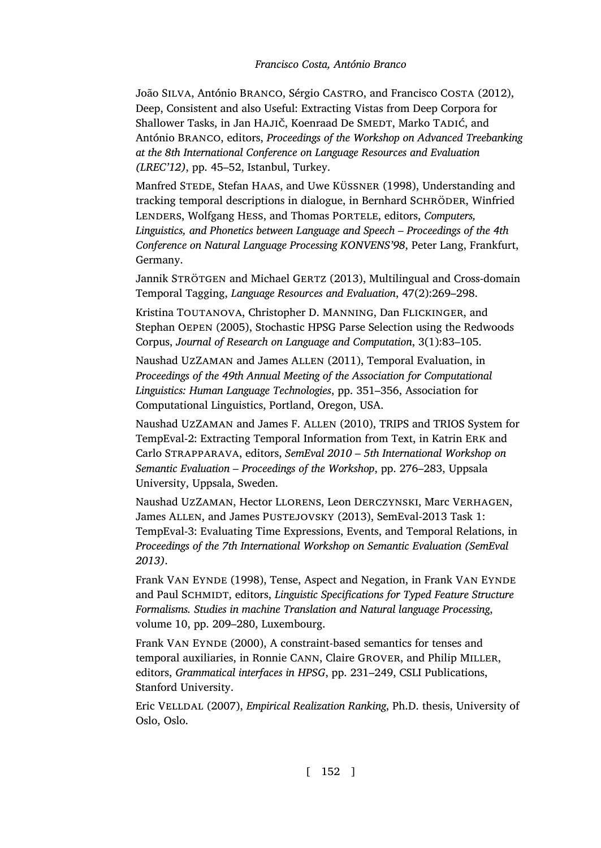<span id="page-55-1"></span>João Silva, António Branco, Sérgio Castro, and Francisco Costa (2012), Deep, Consistent and also Useful: Extracting Vistas from Deep Corpora for Shallower Tasks, in Jan HAJIČ, Koenraad De SMEDT, Marko TADIĆ, and António Branco, editors, *Proceedings of the Workshop on Advanced Treebanking at the 8th International Conference on Language Resources and Evaluation (LREC'12)*, pp. 45–52, Istanbul, Turkey.

<span id="page-55-6"></span>Manfred STEDE, Stefan HAAS, and Uwe KÜSSNER (1998), Understanding and tracking temporal descriptions in dialogue, in Bernhard SCHRÖDER, Winfried Lenders, Wolfgang Hess, and Thomas Portele, editors, *Computers, Linguistics, and Phonetics between Language and Speech – Proceedings of the 4th Conference on Natural Language Processing KONVENS'98*, Peter Lang, Frankfurt, Germany.

<span id="page-55-5"></span>Jannik STRÖTGEN and Michael GERTZ (2013), Multilingual and Cross-domain Temporal Tagging, *Language Resources and Evaluation*, 47(2):269–298.

Kristina TOUTANOVA, Christopher D. MANNING, Dan FLICKINGER, and Stephan Oepen (2005), Stochastic HPSG Parse Selection using the Redwoods Corpus, *Journal of Research on Language and Computation*, 3(1):83–105.

<span id="page-55-3"></span>Naushad UzZaman and James Allen (2011), Temporal Evaluation, in *Proceedings of the 49th Annual Meeting of the Association for Computational Linguistics: Human Language Technologies*, pp. 351–356, Association for Computational Linguistics, Portland, Oregon, USA.

<span id="page-55-4"></span>Naushad UzZaman and James F. Allen (2010), TRIPS and TRIOS System for TempEval-2: Extracting Temporal Information from Text, in Katrin Erk and Carlo Strapparava, editors, *SemEval 2010 – 5th International Workshop on Semantic Evaluation – Proceedings of the Workshop*, pp. 276–283, Uppsala University, Uppsala, Sweden.

<span id="page-55-2"></span>Naushad UzZaman, Hector Llorens, Leon Derczynski, Marc Verhagen, James ALLEN, and James PUSTEJOVSKY (2013), SemEval-2013 Task 1: TempEval-3: Evaluating Time Expressions, Events, and Temporal Relations, in *Proceedings of the 7th International Workshop on Semantic Evaluation (SemEval 2013)*.

Frank VAN EYNDE (1998), Tense, Aspect and Negation, in Frank VAN EYNDE and Paul SCHMIDT, editors, *Linguistic Specifications for Typed Feature Structure Formalisms. Studies in machine Translation and Natural language Processing*, volume 10, pp. 209–280, Luxembourg.

<span id="page-55-7"></span>Frank VAN EYNDE (2000), A constraint-based semantics for tenses and temporal auxiliaries, in Ronnie Cann, Claire Grover, and Philip Miller, editors, *Grammatical interfaces in HPSG*, pp. 231–249, CSLI Publications, Stanford University.

<span id="page-55-0"></span>Eric Velldal (2007), *Empirical Realization Ranking*, Ph.D. thesis, University of Oslo, Oslo.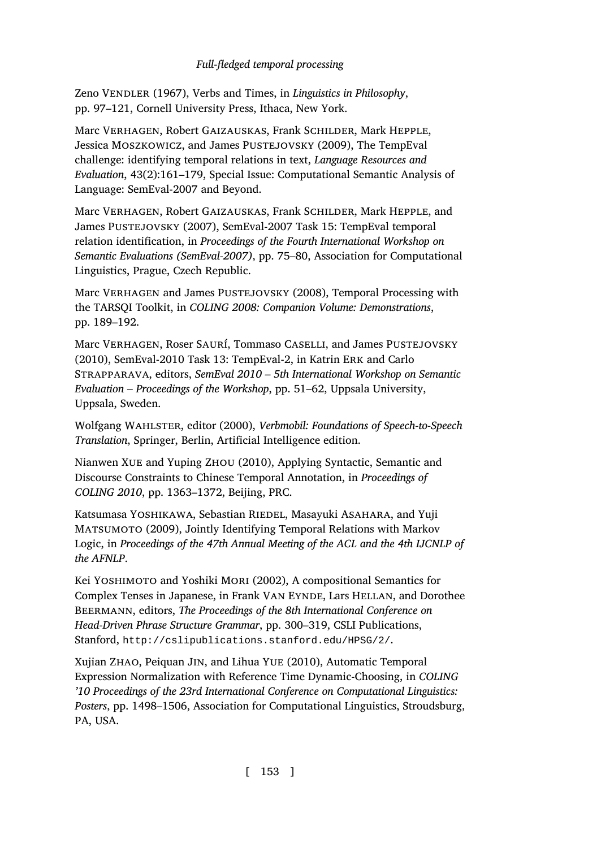<span id="page-56-3"></span><span id="page-56-2"></span><span id="page-56-0"></span>Zeno Vendler (1967), Verbs and Times, in *Linguistics in Philosophy*, pp. 97–121, Cornell University Press, Ithaca, New York.

<span id="page-56-4"></span>Marc Verhagen, Robert Gaizauskas, Frank Schilder, Mark Hepple, Jessica MOSZKOWICZ, and James PUSTEJOVSKY (2009), The TempEval challenge: identifying temporal relations in text, *Language Resources and Evaluation*, 43(2):161–179, Special Issue: Computational Semantic Analysis of Language: SemEval-2007 and Beyond.

<span id="page-56-1"></span>Marc Verhagen, Robert Gaizauskas, Frank Schilder, Mark Hepple, and James PUSTEJOVSKY (2007), SemEval-2007 Task 15: TempEval temporal relation identification, in *Proceedings of the Fourth International Workshop on Semantic Evaluations (SemEval-2007)*, pp. 75–80, Association for Computational Linguistics, Prague, Czech Republic.

<span id="page-56-7"></span><span id="page-56-6"></span>Marc VERHAGEN and James PUSTEJOVSKY (2008), Temporal Processing with the TARSQI Toolkit, in *COLING 2008: Companion Volume: Demonstrations*, pp. 189–192.

Marc Verhagen, Roser Saurí, Tommaso Caselli, and James Pustejovsky (2010), SemEval-2010 Task 13: TempEval-2, in Katrin Erk and Carlo Strapparava, editors, *SemEval 2010 – 5th International Workshop on Semantic Evaluation – Proceedings of the Workshop*, pp. 51–62, Uppsala University, Uppsala, Sweden.

<span id="page-56-8"></span>Wolfgang Wahlster, editor (2000), *Verbmobil: Foundations of Speech-to-Speech Translation*, Springer, Berlin, Artificial Intelligence edition.

Nianwen Xue and Yuping Zhou (2010), Applying Syntactic, Semantic and Discourse Constraints to Chinese Temporal Annotation, in *Proceedings of COLING 2010*[, pp. 1363–1372, Beijing, PRC.](http://cslipublications.stanford.edu/HPSG/2/)

<span id="page-56-5"></span>Katsumasa YOSHIKAWA, Sebastian RIEDEL, Masayuki ASAHARA, and Yuji Matsumoto (2009), Jointly Identifying Temporal Relations with Markov Logic, in *Proceedings of the 47th Annual Meeting of the ACL and the 4th IJCNLP of the AFNLP*.

Kei YOSHIMOTO and Yoshiki MORI (2002), A compositional Semantics for Complex Tenses in Japanese, in Frank VAN EYNDE, Lars HELLAN, and Dorothee Beermann, editors, *The Proceedings of the 8th International Conference on Head-Driven Phrase Structure Grammar*, pp. 300–319, CSLI Publications, Stanford, http://cslipublications.stanford.edu/HPSG/2/.

Xujian Zhao, Peiquan Jin, and Lihua Yue (2010), Automatic Temporal Expression Normalization with Reference Time Dynamic-Choosing, in *COLING '10 Proceedings of the 23rd International Conference on Computational Linguistics: Posters*, pp. 1498–1506, Association for Computational Linguistics, Stroudsburg, PA, USA.